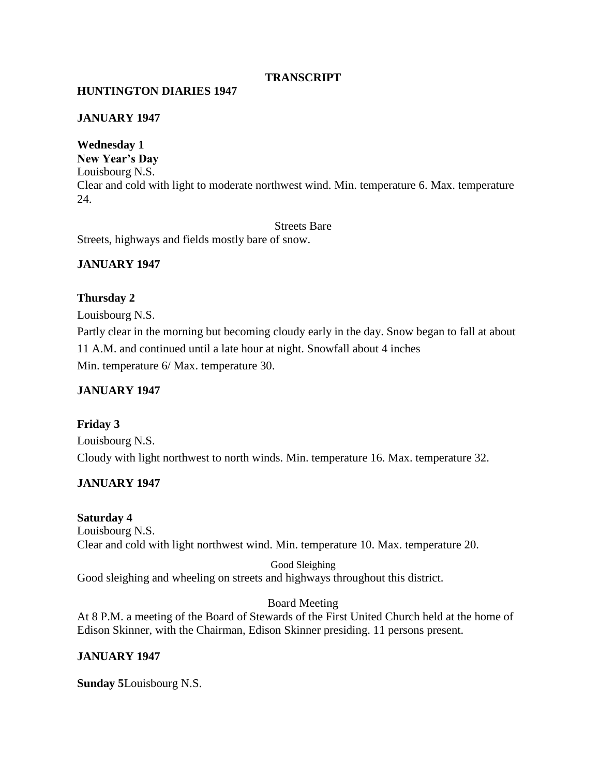## **TRANSCRIPT**

## **HUNTINGTON DIARIES 1947**

### **JANUARY 1947**

**Wednesday 1 New Year's Day** Louisbourg N.S. Clear and cold with light to moderate northwest wind. Min. temperature 6. Max. temperature 24.

Streets Bare Streets, highways and fields mostly bare of snow.

### **JANUARY 1947**

#### **Thursday 2**

Louisbourg N.S.

Partly clear in the morning but becoming cloudy early in the day. Snow began to fall at about 11 A.M. and continued until a late hour at night. Snowfall about 4 inches Min. temperature 6/ Max. temperature 30.

#### **JANUARY 1947**

# **Friday 3**

Louisbourg N.S. Cloudy with light northwest to north winds. Min. temperature 16. Max. temperature 32.

### **JANUARY 1947**

### **Saturday 4**

Louisbourg N.S. Clear and cold with light northwest wind. Min. temperature 10. Max. temperature 20.

Good Sleighing Good sleighing and wheeling on streets and highways throughout this district.

### Board Meeting

At 8 P.M. a meeting of the Board of Stewards of the First United Church held at the home of Edison Skinner, with the Chairman, Edison Skinner presiding. 11 persons present.

### **JANUARY 1947**

**Sunday 5**Louisbourg N.S.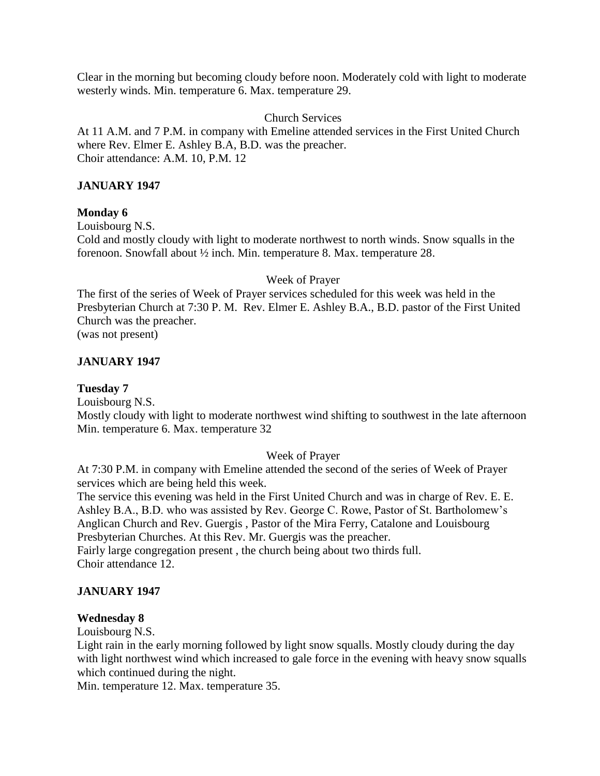Clear in the morning but becoming cloudy before noon. Moderately cold with light to moderate westerly winds. Min. temperature 6. Max. temperature 29.

## Church Services

At 11 A.M. and 7 P.M. in company with Emeline attended services in the First United Church where Rev. Elmer E. Ashley B.A, B.D. was the preacher. Choir attendance: A.M. 10, P.M. 12

## **JANUARY 1947**

## **Monday 6**

Louisbourg N.S.

Cold and mostly cloudy with light to moderate northwest to north winds. Snow squalls in the forenoon. Snowfall about ½ inch. Min. temperature 8. Max. temperature 28.

#### Week of Prayer

The first of the series of Week of Prayer services scheduled for this week was held in the Presbyterian Church at 7:30 P. M. Rev. Elmer E. Ashley B.A., B.D. pastor of the First United Church was the preacher. (was not present)

## **JANUARY 1947**

### **Tuesday 7**

Louisbourg N.S. Mostly cloudy with light to moderate northwest wind shifting to southwest in the late afternoon Min. temperature 6. Max. temperature 32

# Week of Prayer

At 7:30 P.M. in company with Emeline attended the second of the series of Week of Prayer services which are being held this week.

The service this evening was held in the First United Church and was in charge of Rev. E. E. Ashley B.A., B.D. who was assisted by Rev. George C. Rowe, Pastor of St. Bartholomew's Anglican Church and Rev. Guergis , Pastor of the Mira Ferry, Catalone and Louisbourg Presbyterian Churches. At this Rev. Mr. Guergis was the preacher.

Fairly large congregation present , the church being about two thirds full. Choir attendance 12.

### **JANUARY 1947**

### **Wednesday 8**

Louisbourg N.S.

Light rain in the early morning followed by light snow squalls. Mostly cloudy during the day with light northwest wind which increased to gale force in the evening with heavy snow squalls which continued during the night.

Min. temperature 12. Max. temperature 35.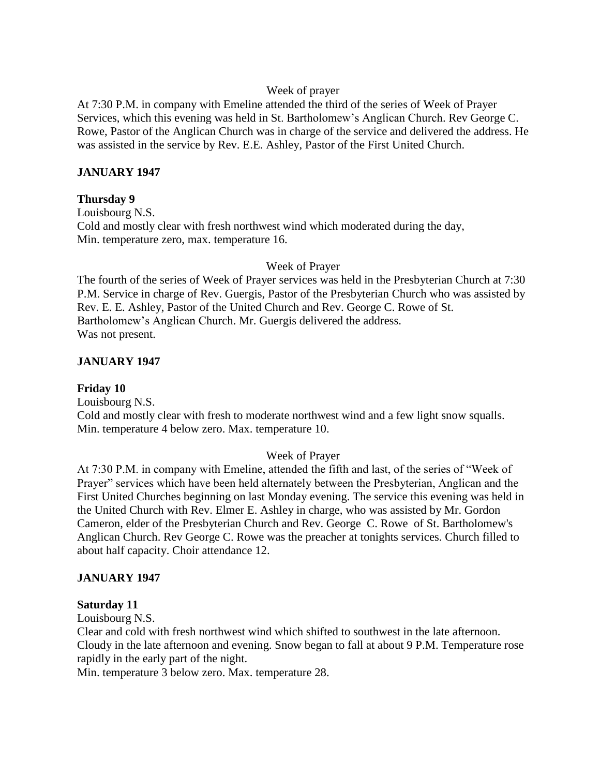## Week of prayer

At 7:30 P.M. in company with Emeline attended the third of the series of Week of Prayer Services, which this evening was held in St. Bartholomew's Anglican Church. Rev George C. Rowe, Pastor of the Anglican Church was in charge of the service and delivered the address. He was assisted in the service by Rev. E.E. Ashley, Pastor of the First United Church.

## **JANUARY 1947**

### **Thursday 9**

Louisbourg N.S. Cold and mostly clear with fresh northwest wind which moderated during the day, Min. temperature zero, max. temperature 16.

### Week of Prayer

The fourth of the series of Week of Prayer services was held in the Presbyterian Church at 7:30 P.M. Service in charge of Rev. Guergis, Pastor of the Presbyterian Church who was assisted by Rev. E. E. Ashley, Pastor of the United Church and Rev. George C. Rowe of St. Bartholomew's Anglican Church. Mr. Guergis delivered the address. Was not present.

## **JANUARY 1947**

## **Friday 10**

Louisbourg N.S.

Cold and mostly clear with fresh to moderate northwest wind and a few light snow squalls. Min. temperature 4 below zero. Max. temperature 10.

# Week of Prayer

At 7:30 P.M. in company with Emeline, attended the fifth and last, of the series of "Week of Prayer" services which have been held alternately between the Presbyterian, Anglican and the First United Churches beginning on last Monday evening. The service this evening was held in the United Church with Rev. Elmer E. Ashley in charge, who was assisted by Mr. Gordon Cameron, elder of the Presbyterian Church and Rev. George C. Rowe of St. Bartholomew's Anglican Church. Rev George C. Rowe was the preacher at tonights services. Church filled to about half capacity. Choir attendance 12.

### **JANUARY 1947**

### **Saturday 11**

Louisbourg N.S.

Clear and cold with fresh northwest wind which shifted to southwest in the late afternoon. Cloudy in the late afternoon and evening. Snow began to fall at about 9 P.M. Temperature rose rapidly in the early part of the night.

Min. temperature 3 below zero. Max. temperature 28.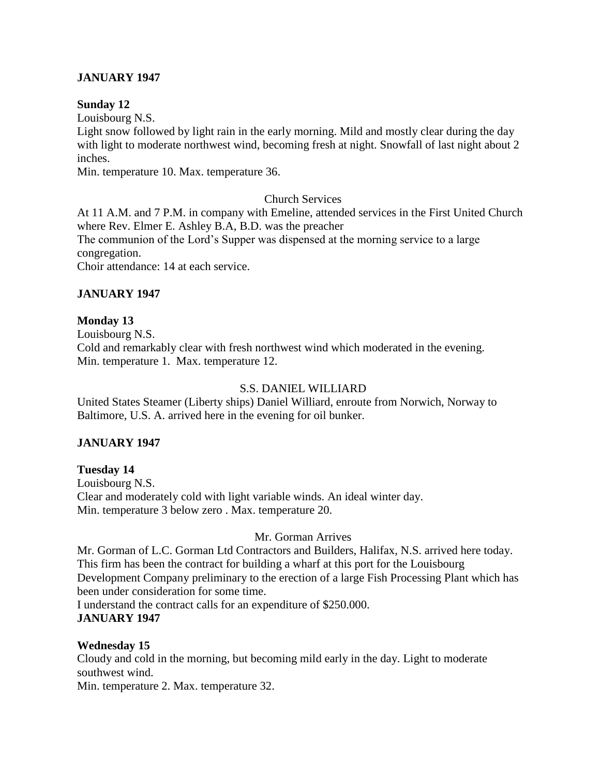## **JANUARY 1947**

#### **Sunday 12**

Louisbourg N.S.

Light snow followed by light rain in the early morning. Mild and mostly clear during the day with light to moderate northwest wind, becoming fresh at night. Snowfall of last night about 2 inches.

Min. temperature 10. Max. temperature 36.

### Church Services

At 11 A.M. and 7 P.M. in company with Emeline, attended services in the First United Church where Rev. Elmer E. Ashley B.A, B.D. was the preacher The communion of the Lord's Supper was dispensed at the morning service to a large congregation. Choir attendance: 14 at each service.

### **JANUARY 1947**

### **Monday 13**

Louisbourg N.S. Cold and remarkably clear with fresh northwest wind which moderated in the evening. Min. temperature 1. Max. temperature 12.

#### S.S. DANIEL WILLIARD

United States Steamer (Liberty ships) Daniel Williard, enroute from Norwich, Norway to Baltimore, U.S. A. arrived here in the evening for oil bunker.

### **JANUARY 1947**

**Tuesday 14** Louisbourg N.S. Clear and moderately cold with light variable winds. An ideal winter day. Min. temperature 3 below zero . Max. temperature 20.

### Mr. Gorman Arrives

Mr. Gorman of L.C. Gorman Ltd Contractors and Builders, Halifax, N.S. arrived here today. This firm has been the contract for building a wharf at this port for the Louisbourg Development Company preliminary to the erection of a large Fish Processing Plant which has been under consideration for some time.

I understand the contract calls for an expenditure of \$250.000. **JANUARY 1947**

### **Wednesday 15**

Cloudy and cold in the morning, but becoming mild early in the day. Light to moderate southwest wind.

Min. temperature 2. Max. temperature 32.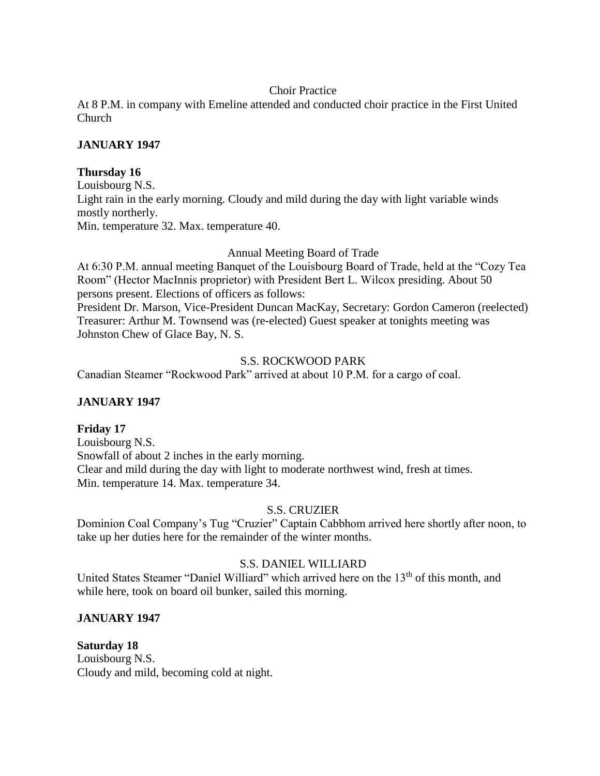## Choir Practice

At 8 P.M. in company with Emeline attended and conducted choir practice in the First United Church

# **JANUARY 1947**

## **Thursday 16**

Louisbourg N.S. Light rain in the early morning. Cloudy and mild during the day with light variable winds mostly northerly. Min. temperature 32. Max. temperature 40.

## Annual Meeting Board of Trade

At 6:30 P.M. annual meeting Banquet of the Louisbourg Board of Trade, held at the "Cozy Tea Room" (Hector MacInnis proprietor) with President Bert L. Wilcox presiding. About 50 persons present. Elections of officers as follows:

President Dr. Marson, Vice-President Duncan MacKay, Secretary: Gordon Cameron (reelected) Treasurer: Arthur M. Townsend was (re-elected) Guest speaker at tonights meeting was Johnston Chew of Glace Bay, N. S.

## S.S. ROCKWOOD PARK

Canadian Steamer "Rockwood Park" arrived at about 10 P.M. for a cargo of coal.

# **JANUARY 1947**

# **Friday 17**

Louisbourg N.S. Snowfall of about 2 inches in the early morning. Clear and mild during the day with light to moderate northwest wind, fresh at times. Min. temperature 14. Max. temperature 34.

# S.S. CRUZIER

Dominion Coal Company's Tug "Cruzier" Captain Cabbhom arrived here shortly after noon, to take up her duties here for the remainder of the winter months.

# S.S. DANIEL WILLIARD

United States Steamer "Daniel Williard" which arrived here on the 13<sup>th</sup> of this month, and while here, took on board oil bunker, sailed this morning.

### **JANUARY 1947**

**Saturday 18** Louisbourg N.S. Cloudy and mild, becoming cold at night.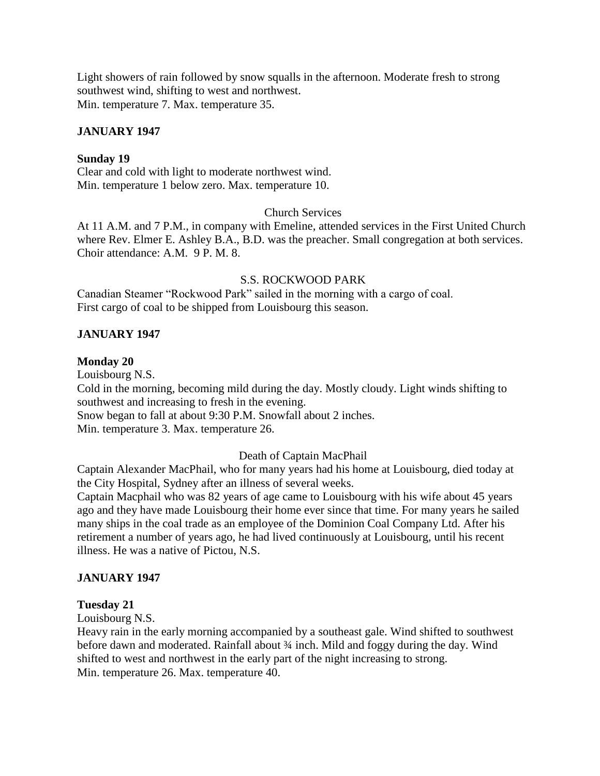Light showers of rain followed by snow squalls in the afternoon. Moderate fresh to strong southwest wind, shifting to west and northwest. Min. temperature 7. Max. temperature 35.

### **JANUARY 1947**

#### **Sunday 19**

Clear and cold with light to moderate northwest wind. Min. temperature 1 below zero. Max. temperature 10.

### Church Services

At 11 A.M. and 7 P.M., in company with Emeline, attended services in the First United Church where Rev. Elmer E. Ashley B.A., B.D. was the preacher. Small congregation at both services. Choir attendance: A.M. 9 P. M. 8.

#### S.S. ROCKWOOD PARK

Canadian Steamer "Rockwood Park" sailed in the morning with a cargo of coal. First cargo of coal to be shipped from Louisbourg this season.

#### **JANUARY 1947**

#### **Monday 20**

Louisbourg N.S.

Cold in the morning, becoming mild during the day. Mostly cloudy. Light winds shifting to southwest and increasing to fresh in the evening.

Snow began to fall at about 9:30 P.M. Snowfall about 2 inches.

Min. temperature 3. Max. temperature 26.

#### Death of Captain MacPhail

Captain Alexander MacPhail, who for many years had his home at Louisbourg, died today at the City Hospital, Sydney after an illness of several weeks.

Captain Macphail who was 82 years of age came to Louisbourg with his wife about 45 years ago and they have made Louisbourg their home ever since that time. For many years he sailed many ships in the coal trade as an employee of the Dominion Coal Company Ltd. After his retirement a number of years ago, he had lived continuously at Louisbourg, until his recent illness. He was a native of Pictou, N.S.

#### **JANUARY 1947**

#### **Tuesday 21**

Louisbourg N.S.

Heavy rain in the early morning accompanied by a southeast gale. Wind shifted to southwest before dawn and moderated. Rainfall about  $\frac{3}{4}$  inch. Mild and foggy during the day. Wind shifted to west and northwest in the early part of the night increasing to strong. Min. temperature 26. Max. temperature 40.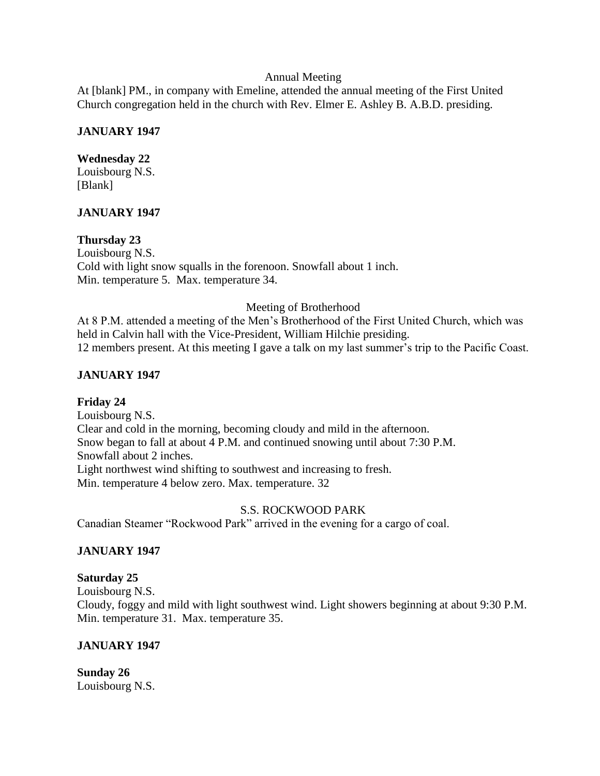### Annual Meeting

At [blank] PM., in company with Emeline, attended the annual meeting of the First United Church congregation held in the church with Rev. Elmer E. Ashley B. A.B.D. presiding.

### **JANUARY 1947**

#### **Wednesday 22**

Louisbourg N.S. [Blank]

### **JANUARY 1947**

### **Thursday 23**

Louisbourg N.S. Cold with light snow squalls in the forenoon. Snowfall about 1 inch. Min. temperature 5. Max. temperature 34.

#### Meeting of Brotherhood

At 8 P.M. attended a meeting of the Men's Brotherhood of the First United Church, which was held in Calvin hall with the Vice-President, William Hilchie presiding. 12 members present. At this meeting I gave a talk on my last summer's trip to the Pacific Coast.

### **JANUARY 1947**

### **Friday 24**

Louisbourg N.S. Clear and cold in the morning, becoming cloudy and mild in the afternoon. Snow began to fall at about 4 P.M. and continued snowing until about 7:30 P.M. Snowfall about 2 inches. Light northwest wind shifting to southwest and increasing to fresh. Min. temperature 4 below zero. Max. temperature. 32

### S.S. ROCKWOOD PARK

Canadian Steamer "Rockwood Park" arrived in the evening for a cargo of coal.

### **JANUARY 1947**

#### **Saturday 25**

Louisbourg N.S. Cloudy, foggy and mild with light southwest wind. Light showers beginning at about 9:30 P.M. Min. temperature 31. Max. temperature 35.

# **JANUARY 1947**

**Sunday 26** Louisbourg N.S.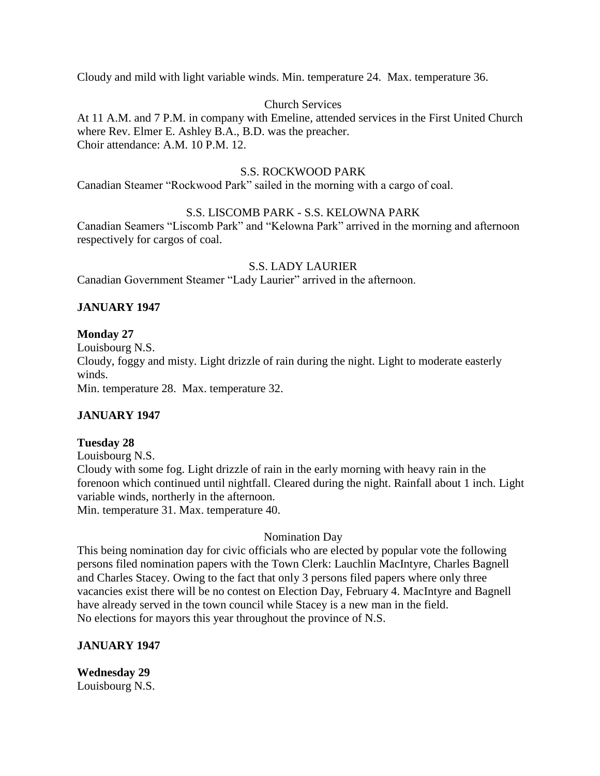Cloudy and mild with light variable winds. Min. temperature 24. Max. temperature 36.

### Church Services

At 11 A.M. and 7 P.M. in company with Emeline, attended services in the First United Church where Rev. Elmer E. Ashley B.A., B.D. was the preacher. Choir attendance: A.M. 10 P.M. 12.

### S.S. ROCKWOOD PARK

Canadian Steamer "Rockwood Park" sailed in the morning with a cargo of coal.

### S.S. LISCOMB PARK - S.S. KELOWNA PARK

Canadian Seamers "Liscomb Park" and "Kelowna Park" arrived in the morning and afternoon respectively for cargos of coal.

### S.S. LADY LAURIER

Canadian Government Steamer "Lady Laurier" arrived in the afternoon.

## **JANUARY 1947**

### **Monday 27**

Louisbourg N.S. Cloudy, foggy and misty. Light drizzle of rain during the night. Light to moderate easterly winds. Min. temperature 28. Max. temperature 32.

# **JANUARY 1947**

### **Tuesday 28**

Louisbourg N.S. Cloudy with some fog. Light drizzle of rain in the early morning with heavy rain in the forenoon which continued until nightfall. Cleared during the night. Rainfall about 1 inch. Light variable winds, northerly in the afternoon. Min. temperature 31. Max. temperature 40.

### Nomination Day

This being nomination day for civic officials who are elected by popular vote the following persons filed nomination papers with the Town Clerk: Lauchlin MacIntyre, Charles Bagnell and Charles Stacey. Owing to the fact that only 3 persons filed papers where only three vacancies exist there will be no contest on Election Day, February 4. MacIntyre and Bagnell have already served in the town council while Stacey is a new man in the field. No elections for mayors this year throughout the province of N.S.

### **JANUARY 1947**

**Wednesday 29** Louisbourg N.S.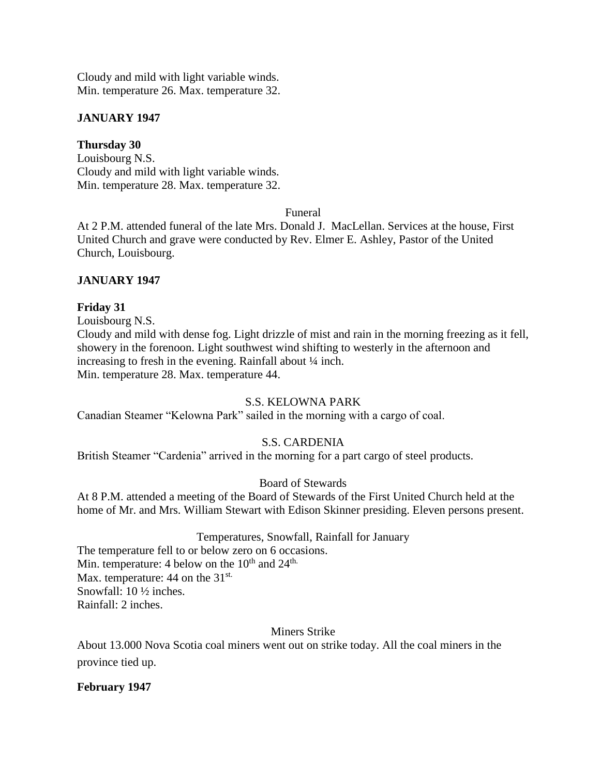Cloudy and mild with light variable winds. Min. temperature 26. Max. temperature 32.

## **JANUARY 1947**

## **Thursday 30**

Louisbourg N.S. Cloudy and mild with light variable winds. Min. temperature 28. Max. temperature 32.

## Funeral

At 2 P.M. attended funeral of the late Mrs. Donald J. MacLellan. Services at the house, First United Church and grave were conducted by Rev. Elmer E. Ashley, Pastor of the United Church, Louisbourg.

## **JANUARY 1947**

## **Friday 31**

Louisbourg N.S.

Cloudy and mild with dense fog. Light drizzle of mist and rain in the morning freezing as it fell, showery in the forenoon. Light southwest wind shifting to westerly in the afternoon and increasing to fresh in the evening. Rainfall about ¼ inch. Min. temperature 28. Max. temperature 44.

# S.S. KELOWNA PARK

Canadian Steamer "Kelowna Park" sailed in the morning with a cargo of coal.

# S.S. CARDENIA

British Steamer "Cardenia" arrived in the morning for a part cargo of steel products.

# Board of Stewards

At 8 P.M. attended a meeting of the Board of Stewards of the First United Church held at the home of Mr. and Mrs. William Stewart with Edison Skinner presiding. Eleven persons present.

### Temperatures, Snowfall, Rainfall for January

The temperature fell to or below zero on 6 occasions. Min. temperature: 4 below on the 10<sup>th</sup> and 24<sup>th.</sup> Max. temperature:  $44$  on the  $31^{st.}$ Snowfall: 10 ½ inches. Rainfall: 2 inches.

### Miners Strike

About 13.000 Nova Scotia coal miners went out on strike today. All the coal miners in the province tied up.

### **February 1947**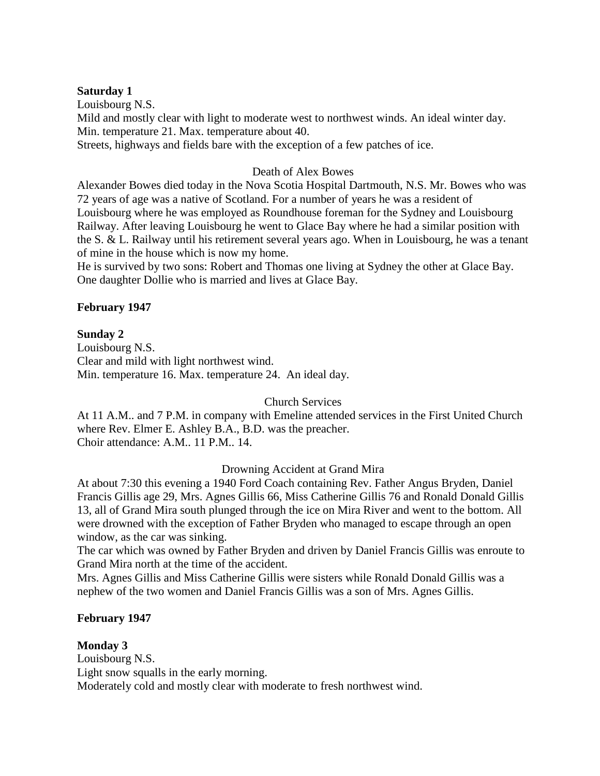### **Saturday 1**

Louisbourg N.S. Mild and mostly clear with light to moderate west to northwest winds. An ideal winter day. Min. temperature 21. Max. temperature about 40. Streets, highways and fields bare with the exception of a few patches of ice.

## Death of Alex Bowes

Alexander Bowes died today in the Nova Scotia Hospital Dartmouth, N.S. Mr. Bowes who was 72 years of age was a native of Scotland. For a number of years he was a resident of Louisbourg where he was employed as Roundhouse foreman for the Sydney and Louisbourg Railway. After leaving Louisbourg he went to Glace Bay where he had a similar position with the S. & L. Railway until his retirement several years ago. When in Louisbourg, he was a tenant of mine in the house which is now my home.

He is survived by two sons: Robert and Thomas one living at Sydney the other at Glace Bay. One daughter Dollie who is married and lives at Glace Bay.

## **February 1947**

### **Sunday 2**

Louisbourg N.S. Clear and mild with light northwest wind. Min. temperature 16. Max. temperature 24. An ideal day.

### Church Services

At 11 A.M.. and 7 P.M. in company with Emeline attended services in the First United Church where Rev. Elmer E. Ashley B.A., B.D. was the preacher. Choir attendance: A.M.. 11 P.M.. 14.

### Drowning Accident at Grand Mira

At about 7:30 this evening a 1940 Ford Coach containing Rev. Father Angus Bryden, Daniel Francis Gillis age 29, Mrs. Agnes Gillis 66, Miss Catherine Gillis 76 and Ronald Donald Gillis 13, all of Grand Mira south plunged through the ice on Mira River and went to the bottom. All were drowned with the exception of Father Bryden who managed to escape through an open window, as the car was sinking.

The car which was owned by Father Bryden and driven by Daniel Francis Gillis was enroute to Grand Mira north at the time of the accident.

Mrs. Agnes Gillis and Miss Catherine Gillis were sisters while Ronald Donald Gillis was a nephew of the two women and Daniel Francis Gillis was a son of Mrs. Agnes Gillis.

### **February 1947**

### **Monday 3**

Louisbourg N.S. Light snow squalls in the early morning. Moderately cold and mostly clear with moderate to fresh northwest wind.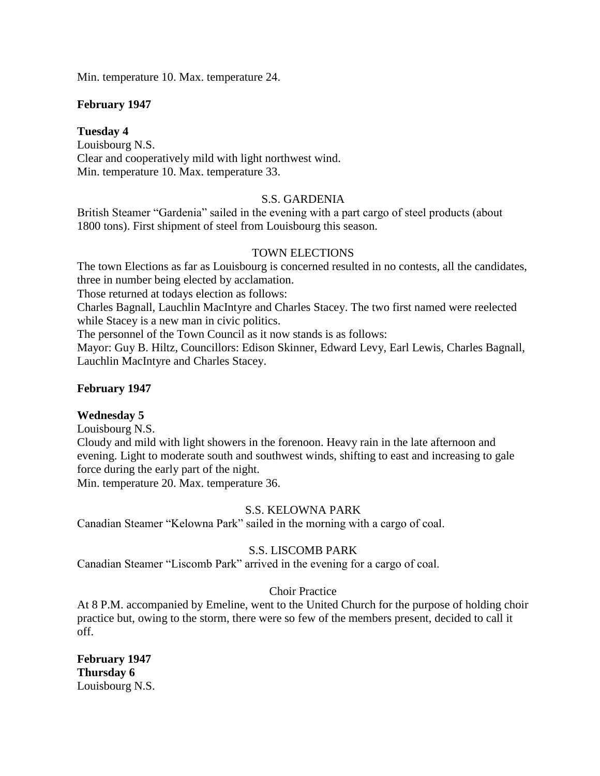Min. temperature 10. Max. temperature 24.

### **February 1947**

### **Tuesday 4**

Louisbourg N.S. Clear and cooperatively mild with light northwest wind. Min. temperature 10. Max. temperature 33.

## S.S. GARDENIA

British Steamer "Gardenia" sailed in the evening with a part cargo of steel products (about 1800 tons). First shipment of steel from Louisbourg this season.

## TOWN ELECTIONS

The town Elections as far as Louisbourg is concerned resulted in no contests, all the candidates, three in number being elected by acclamation.

Those returned at todays election as follows:

Charles Bagnall, Lauchlin MacIntyre and Charles Stacey. The two first named were reelected while Stacey is a new man in civic politics.

The personnel of the Town Council as it now stands is as follows:

Mayor: Guy B. Hiltz, Councillors: Edison Skinner, Edward Levy, Earl Lewis, Charles Bagnall, Lauchlin MacIntyre and Charles Stacey.

### **February 1947**

### **Wednesday 5**

Louisbourg N.S.

Cloudy and mild with light showers in the forenoon. Heavy rain in the late afternoon and evening. Light to moderate south and southwest winds, shifting to east and increasing to gale force during the early part of the night.

Min. temperature 20. Max. temperature 36.

### S.S. KELOWNA PARK

Canadian Steamer "Kelowna Park" sailed in the morning with a cargo of coal.

# S.S. LISCOMB PARK

Canadian Steamer "Liscomb Park" arrived in the evening for a cargo of coal.

### Choir Practice

At 8 P.M. accompanied by Emeline, went to the United Church for the purpose of holding choir practice but, owing to the storm, there were so few of the members present, decided to call it off.

# **February 1947 Thursday 6**

Louisbourg N.S.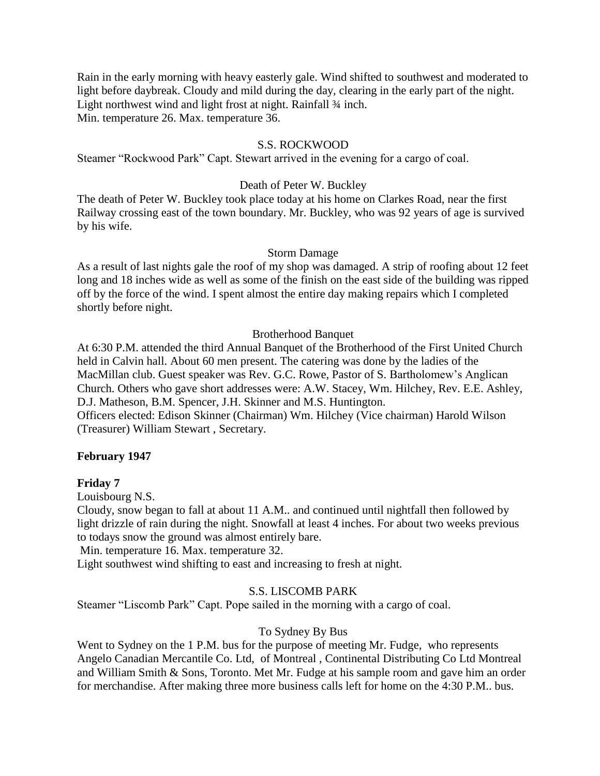Rain in the early morning with heavy easterly gale. Wind shifted to southwest and moderated to light before daybreak. Cloudy and mild during the day, clearing in the early part of the night. Light northwest wind and light frost at night. Rainfall 3/4 inch. Min. temperature 26. Max. temperature 36.

### S.S. ROCKWOOD

Steamer "Rockwood Park" Capt. Stewart arrived in the evening for a cargo of coal.

#### Death of Peter W. Buckley

The death of Peter W. Buckley took place today at his home on Clarkes Road, near the first Railway crossing east of the town boundary. Mr. Buckley, who was 92 years of age is survived by his wife.

#### Storm Damage

As a result of last nights gale the roof of my shop was damaged. A strip of roofing about 12 feet long and 18 inches wide as well as some of the finish on the east side of the building was ripped off by the force of the wind. I spent almost the entire day making repairs which I completed shortly before night.

#### Brotherhood Banquet

At 6:30 P.M. attended the third Annual Banquet of the Brotherhood of the First United Church held in Calvin hall. About 60 men present. The catering was done by the ladies of the MacMillan club. Guest speaker was Rev. G.C. Rowe, Pastor of S. Bartholomew's Anglican Church. Others who gave short addresses were: A.W. Stacey, Wm. Hilchey, Rev. E.E. Ashley, D.J. Matheson, B.M. Spencer, J.H. Skinner and M.S. Huntington. Officers elected: Edison Skinner (Chairman) Wm. Hilchey (Vice chairman) Harold Wilson (Treasurer) William Stewart , Secretary.

## **February 1947**

### **Friday 7**

Louisbourg N.S.

Cloudy, snow began to fall at about 11 A.M.. and continued until nightfall then followed by light drizzle of rain during the night. Snowfall at least 4 inches. For about two weeks previous to todays snow the ground was almost entirely bare.

Min. temperature 16. Max. temperature 32.

Light southwest wind shifting to east and increasing to fresh at night.

#### S.S. LISCOMB PARK

Steamer "Liscomb Park" Capt. Pope sailed in the morning with a cargo of coal.

### To Sydney By Bus

Went to Sydney on the 1 P.M. bus for the purpose of meeting Mr. Fudge, who represents Angelo Canadian Mercantile Co. Ltd, of Montreal , Continental Distributing Co Ltd Montreal and William Smith & Sons, Toronto. Met Mr. Fudge at his sample room and gave him an order for merchandise. After making three more business calls left for home on the 4:30 P.M.. bus.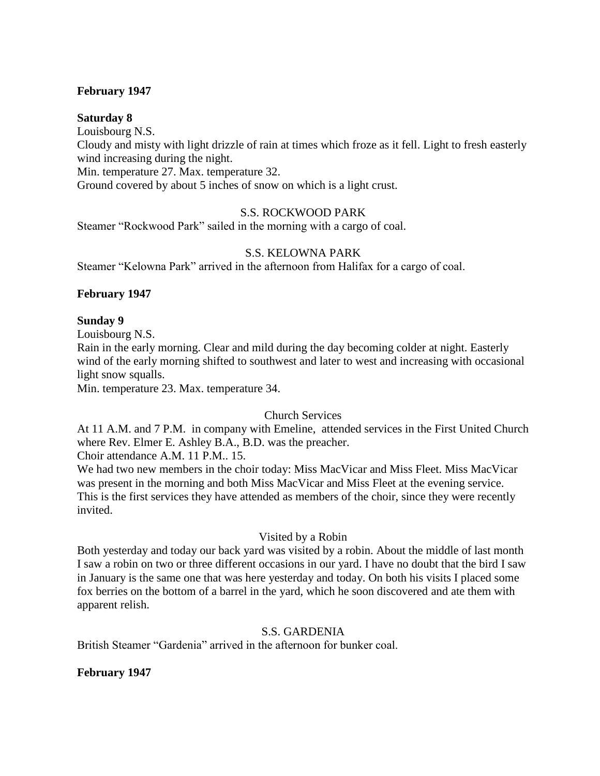### **February 1947**

#### **Saturday 8**

Louisbourg N.S. Cloudy and misty with light drizzle of rain at times which froze as it fell. Light to fresh easterly wind increasing during the night. Min. temperature 27. Max. temperature 32. Ground covered by about 5 inches of snow on which is a light crust.

### S.S. ROCKWOOD PARK

Steamer "Rockwood Park" sailed in the morning with a cargo of coal.

## S.S. KELOWNA PARK

Steamer "Kelowna Park" arrived in the afternoon from Halifax for a cargo of coal.

### **February 1947**

#### **Sunday 9**

Louisbourg N.S.

Rain in the early morning. Clear and mild during the day becoming colder at night. Easterly wind of the early morning shifted to southwest and later to west and increasing with occasional light snow squalls.

Min. temperature 23. Max. temperature 34.

## Church Services

At 11 A.M. and 7 P.M. in company with Emeline, attended services in the First United Church where Rev. Elmer E. Ashley B.A., B.D. was the preacher.

Choir attendance A.M. 11 P.M.. 15.

We had two new members in the choir today: Miss MacVicar and Miss Fleet. Miss MacVicar was present in the morning and both Miss MacVicar and Miss Fleet at the evening service. This is the first services they have attended as members of the choir, since they were recently invited.

### Visited by a Robin

Both yesterday and today our back yard was visited by a robin. About the middle of last month I saw a robin on two or three different occasions in our yard. I have no doubt that the bird I saw in January is the same one that was here yesterday and today. On both his visits I placed some fox berries on the bottom of a barrel in the yard, which he soon discovered and ate them with apparent relish.

### S.S. GARDENIA

British Steamer "Gardenia" arrived in the afternoon for bunker coal.

### **February 1947**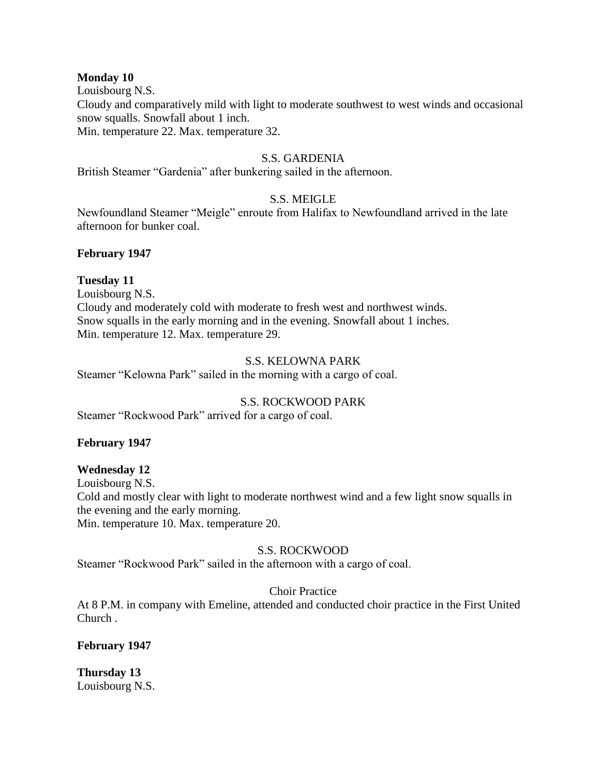#### **Monday 10**

Louisbourg N.S.

Cloudy and comparatively mild with light to moderate southwest to west winds and occasional snow squalls. Snowfall about 1 inch.

Min. temperature 22. Max. temperature 32.

## S.S. GARDENIA

British Steamer "Gardenia" after bunkering sailed in the afternoon.

## S.S. MEIGLE

Newfoundland Steamer "Meigle" enroute from Halifax to Newfoundland arrived in the late afternoon for bunker coal.

### **February 1947**

## **Tuesday 11**

Louisbourg N.S. Cloudy and moderately cold with moderate to fresh west and northwest winds. Snow squalls in the early morning and in the evening. Snowfall about 1 inches. Min. temperature 12. Max. temperature 29.

### S.S. KELOWNA PARK

Steamer "Kelowna Park" sailed in the morning with a cargo of coal.

### S.S. ROCKWOOD PARK

Steamer "Rockwood Park" arrived for a cargo of coal.

### **February 1947**

### **Wednesday 12**

Louisbourg N.S. Cold and mostly clear with light to moderate northwest wind and a few light snow squalls in the evening and the early morning.

Min. temperature 10. Max. temperature 20.

# S.S. ROCKWOOD

Steamer "Rockwood Park" sailed in the afternoon with a cargo of coal.

### Choir Practice

At 8 P.M. in company with Emeline, attended and conducted choir practice in the First United Church .

### **February 1947**

**Thursday 13** Louisbourg N.S.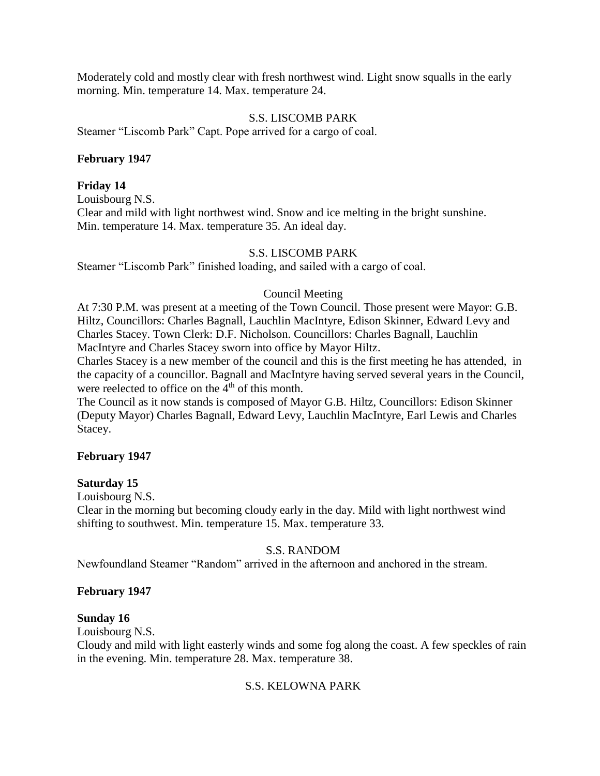Moderately cold and mostly clear with fresh northwest wind. Light snow squalls in the early morning. Min. temperature 14. Max. temperature 24.

### S.S. LISCOMB PARK

Steamer "Liscomb Park" Capt. Pope arrived for a cargo of coal.

## **February 1947**

## **Friday 14**

Louisbourg N.S. Clear and mild with light northwest wind. Snow and ice melting in the bright sunshine. Min. temperature 14. Max. temperature 35. An ideal day.

## S.S. LISCOMB PARK

Steamer "Liscomb Park" finished loading, and sailed with a cargo of coal.

## Council Meeting

At 7:30 P.M. was present at a meeting of the Town Council. Those present were Mayor: G.B. Hiltz, Councillors: Charles Bagnall, Lauchlin MacIntyre, Edison Skinner, Edward Levy and Charles Stacey. Town Clerk: D.F. Nicholson. Councillors: Charles Bagnall, Lauchlin MacIntyre and Charles Stacey sworn into office by Mayor Hiltz.

Charles Stacey is a new member of the council and this is the first meeting he has attended, in the capacity of a councillor. Bagnall and MacIntyre having served several years in the Council, were reelected to office on the  $4<sup>th</sup>$  of this month.

The Council as it now stands is composed of Mayor G.B. Hiltz, Councillors: Edison Skinner (Deputy Mayor) Charles Bagnall, Edward Levy, Lauchlin MacIntyre, Earl Lewis and Charles Stacey.

### **February 1947**

### **Saturday 15**

Louisbourg N.S.

Clear in the morning but becoming cloudy early in the day. Mild with light northwest wind shifting to southwest. Min. temperature 15. Max. temperature 33.

# S.S. RANDOM

Newfoundland Steamer "Random" arrived in the afternoon and anchored in the stream.

### **February 1947**

### **Sunday 16**

Louisbourg N.S.

Cloudy and mild with light easterly winds and some fog along the coast. A few speckles of rain in the evening. Min. temperature 28. Max. temperature 38.

# S.S. KELOWNA PARK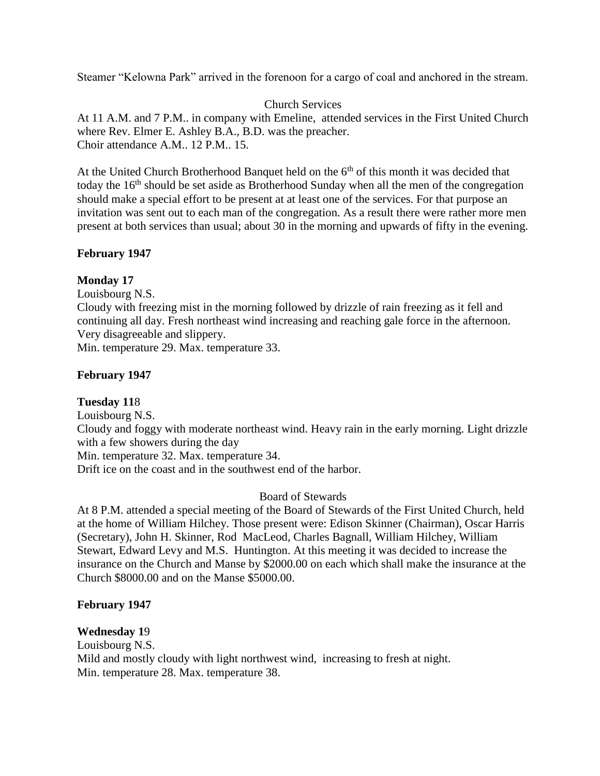Steamer "Kelowna Park" arrived in the forenoon for a cargo of coal and anchored in the stream.

Church Services

At 11 A.M. and 7 P.M.. in company with Emeline, attended services in the First United Church where Rev. Elmer E. Ashley B.A., B.D. was the preacher. Choir attendance A.M.. 12 P.M.. 15.

At the United Church Brotherhood Banquet held on the  $6<sup>th</sup>$  of this month it was decided that today the 16<sup>th</sup> should be set aside as Brotherhood Sunday when all the men of the congregation should make a special effort to be present at at least one of the services. For that purpose an invitation was sent out to each man of the congregation. As a result there were rather more men present at both services than usual; about 30 in the morning and upwards of fifty in the evening.

# **February 1947**

# **Monday 17**

Louisbourg N.S.

Cloudy with freezing mist in the morning followed by drizzle of rain freezing as it fell and continuing all day. Fresh northeast wind increasing and reaching gale force in the afternoon. Very disagreeable and slippery.

Min. temperature 29. Max. temperature 33.

# **February 1947**

# **Tuesday 11**8

Louisbourg N.S. Cloudy and foggy with moderate northeast wind. Heavy rain in the early morning. Light drizzle with a few showers during the day Min. temperature 32. Max. temperature 34. Drift ice on the coast and in the southwest end of the harbor.

# Board of Stewards

At 8 P.M. attended a special meeting of the Board of Stewards of the First United Church, held at the home of William Hilchey. Those present were: Edison Skinner (Chairman), Oscar Harris (Secretary), John H. Skinner, Rod MacLeod, Charles Bagnall, William Hilchey, William Stewart, Edward Levy and M.S. Huntington. At this meeting it was decided to increase the insurance on the Church and Manse by \$2000.00 on each which shall make the insurance at the Church \$8000.00 and on the Manse \$5000.00.

# **February 1947**

# **Wednesday 1**9

Louisbourg N.S. Mild and mostly cloudy with light northwest wind, increasing to fresh at night. Min. temperature 28. Max. temperature 38.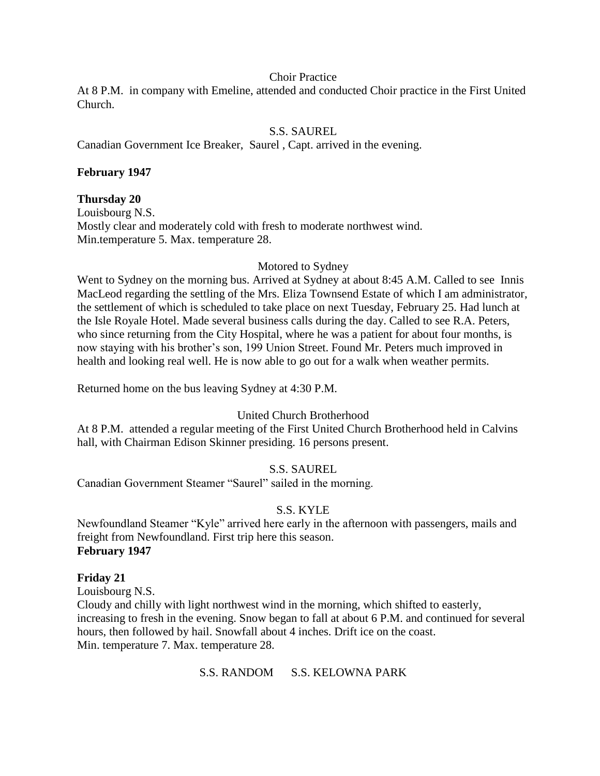#### Choir Practice

At 8 P.M. in company with Emeline, attended and conducted Choir practice in the First United Church.

## S.S. SAUREL

Canadian Government Ice Breaker, Saurel , Capt. arrived in the evening.

### **February 1947**

#### **Thursday 20**

Louisbourg N.S. Mostly clear and moderately cold with fresh to moderate northwest wind. Min.temperature 5. Max. temperature 28.

#### Motored to Sydney

Went to Sydney on the morning bus. Arrived at Sydney at about 8:45 A.M. Called to see Innis MacLeod regarding the settling of the Mrs. Eliza Townsend Estate of which I am administrator, the settlement of which is scheduled to take place on next Tuesday, February 25. Had lunch at the Isle Royale Hotel. Made several business calls during the day. Called to see R.A. Peters, who since returning from the City Hospital, where he was a patient for about four months, is now staying with his brother's son, 199 Union Street. Found Mr. Peters much improved in health and looking real well. He is now able to go out for a walk when weather permits.

Returned home on the bus leaving Sydney at 4:30 P.M.

### United Church Brotherhood

At 8 P.M. attended a regular meeting of the First United Church Brotherhood held in Calvins hall, with Chairman Edison Skinner presiding. 16 persons present.

### S.S. SAUREL

Canadian Government Steamer "Saurel" sailed in the morning.

### S.S. KYLE

Newfoundland Steamer "Kyle" arrived here early in the afternoon with passengers, mails and freight from Newfoundland. First trip here this season. **February 1947**

### **Friday 21**

Louisbourg N.S. Cloudy and chilly with light northwest wind in the morning, which shifted to easterly, increasing to fresh in the evening. Snow began to fall at about 6 P.M. and continued for several hours, then followed by hail. Snowfall about 4 inches. Drift ice on the coast. Min. temperature 7. Max. temperature 28.

S.S. RANDOM S.S. KELOWNA PARK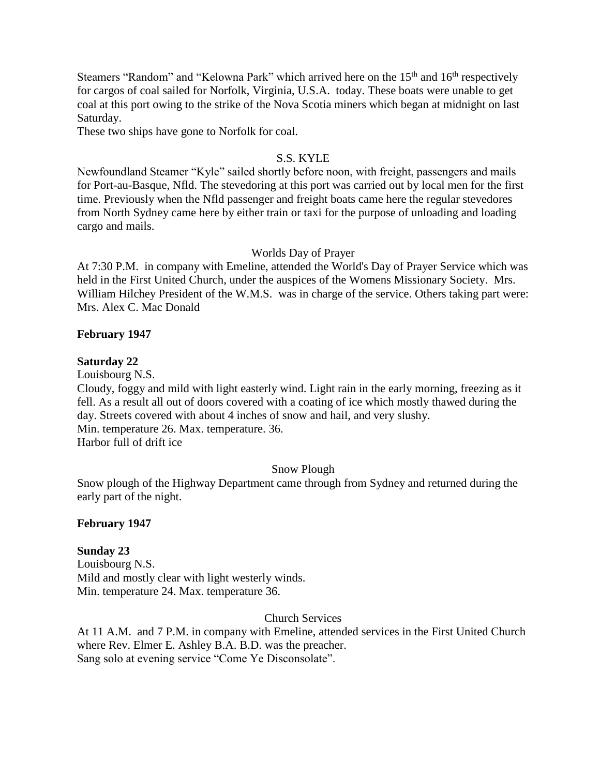Steamers "Random" and "Kelowna Park" which arrived here on the 15<sup>th</sup> and 16<sup>th</sup> respectively for cargos of coal sailed for Norfolk, Virginia, U.S.A. today. These boats were unable to get coal at this port owing to the strike of the Nova Scotia miners which began at midnight on last Saturday.

These two ships have gone to Norfolk for coal.

### S.S. KYLE

Newfoundland Steamer "Kyle" sailed shortly before noon, with freight, passengers and mails for Port-au-Basque, Nfld. The stevedoring at this port was carried out by local men for the first time. Previously when the Nfld passenger and freight boats came here the regular stevedores from North Sydney came here by either train or taxi for the purpose of unloading and loading cargo and mails.

#### Worlds Day of Prayer

At 7:30 P.M. in company with Emeline, attended the World's Day of Prayer Service which was held in the First United Church, under the auspices of the Womens Missionary Society. Mrs. William Hilchey President of the W.M.S. was in charge of the service. Others taking part were: Mrs. Alex C. Mac Donald

#### **February 1947**

#### **Saturday 22**

Louisbourg N.S.

Cloudy, foggy and mild with light easterly wind. Light rain in the early morning, freezing as it fell. As a result all out of doors covered with a coating of ice which mostly thawed during the day. Streets covered with about 4 inches of snow and hail, and very slushy. Min. temperature 26. Max. temperature. 36.

Harbor full of drift ice

### Snow Plough

Snow plough of the Highway Department came through from Sydney and returned during the early part of the night.

### **February 1947**

### **Sunday 23**

Louisbourg N.S. Mild and mostly clear with light westerly winds. Min. temperature 24. Max. temperature 36.

### Church Services

At 11 A.M. and 7 P.M. in company with Emeline, attended services in the First United Church where Rev. Elmer E. Ashley B.A. B.D. was the preacher. Sang solo at evening service "Come Ye Disconsolate".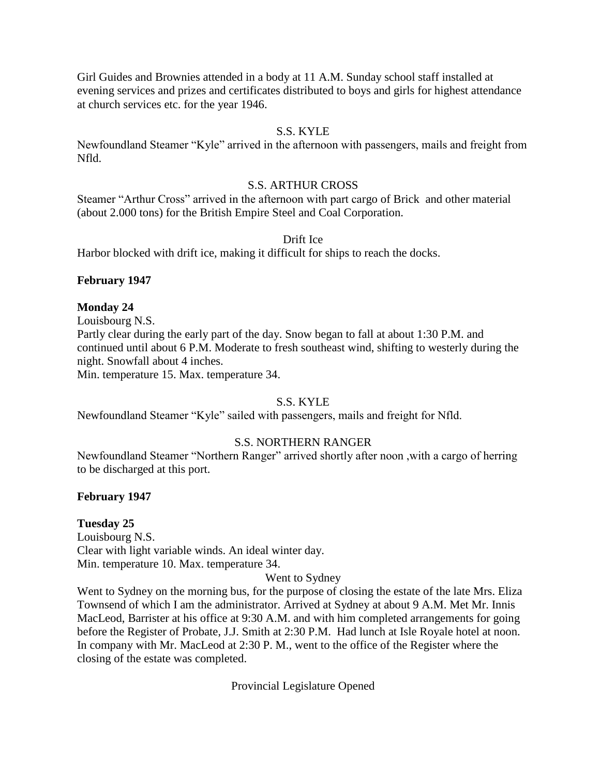Girl Guides and Brownies attended in a body at 11 A.M. Sunday school staff installed at evening services and prizes and certificates distributed to boys and girls for highest attendance at church services etc. for the year 1946.

## S.S. KYLE

Newfoundland Steamer "Kyle" arrived in the afternoon with passengers, mails and freight from Nfld.

### S.S. ARTHUR CROSS

Steamer "Arthur Cross" arrived in the afternoon with part cargo of Brick and other material (about 2.000 tons) for the British Empire Steel and Coal Corporation.

### Drift Ice

Harbor blocked with drift ice, making it difficult for ships to reach the docks.

## **February 1947**

### **Monday 24**

Louisbourg N.S. Partly clear during the early part of the day. Snow began to fall at about 1:30 P.M. and continued until about 6 P.M. Moderate to fresh southeast wind, shifting to westerly during the night. Snowfall about 4 inches.

Min. temperature 15. Max. temperature 34.

# S.S. KYLE

Newfoundland Steamer "Kyle" sailed with passengers, mails and freight for Nfld.

# S.S. NORTHERN RANGER

Newfoundland Steamer "Northern Ranger" arrived shortly after noon ,with a cargo of herring to be discharged at this port.

### **February 1947**

### **Tuesday 25**

Louisbourg N.S. Clear with light variable winds. An ideal winter day. Min. temperature 10. Max. temperature 34.

### Went to Sydney

Went to Sydney on the morning bus, for the purpose of closing the estate of the late Mrs. Eliza Townsend of which I am the administrator. Arrived at Sydney at about 9 A.M. Met Mr. Innis MacLeod, Barrister at his office at 9:30 A.M. and with him completed arrangements for going before the Register of Probate, J.J. Smith at 2:30 P.M. Had lunch at Isle Royale hotel at noon. In company with Mr. MacLeod at 2:30 P. M., went to the office of the Register where the closing of the estate was completed.

Provincial Legislature Opened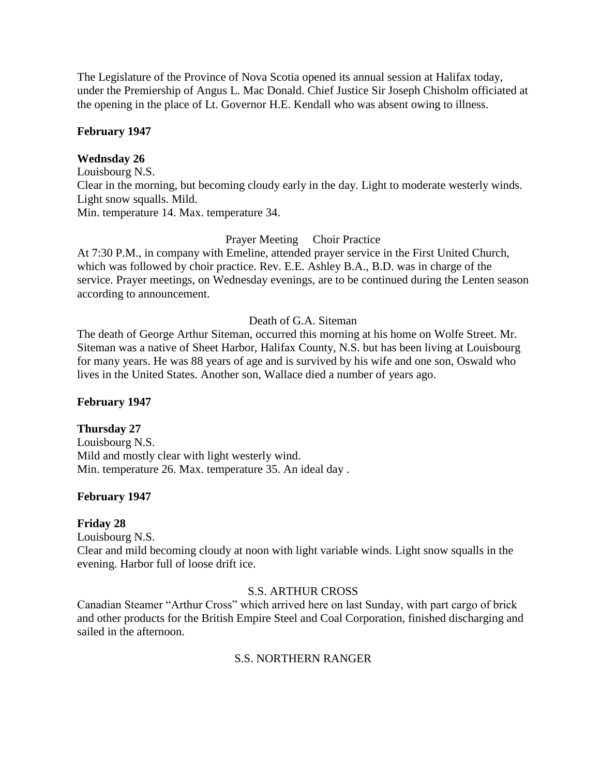The Legislature of the Province of Nova Scotia opened its annual session at Halifax today, under the Premiership of Angus L. Mac Donald. Chief Justice Sir Joseph Chisholm officiated at the opening in the place of Lt. Governor H.E. Kendall who was absent owing to illness.

## **February 1947**

## **Wednsday 26**

Louisbourg N.S. Clear in the morning, but becoming cloudy early in the day. Light to moderate westerly winds. Light snow squalls. Mild. Min. temperature 14. Max. temperature 34.

## Prayer Meeting Choir Practice

At 7:30 P.M., in company with Emeline, attended prayer service in the First United Church, which was followed by choir practice. Rev. E.E. Ashley B.A., B.D. was in charge of the service. Prayer meetings, on Wednesday evenings, are to be continued during the Lenten season according to announcement.

### Death of G.A. Siteman

The death of George Arthur Siteman, occurred this morning at his home on Wolfe Street. Mr. Siteman was a native of Sheet Harbor, Halifax County, N.S. but has been living at Louisbourg for many years. He was 88 years of age and is survived by his wife and one son, Oswald who lives in the United States. Another son, Wallace died a number of years ago.

### **February 1947**

### **Thursday 27**

Louisbourg N.S. Mild and mostly clear with light westerly wind. Min. temperature 26. Max. temperature 35. An ideal day .

# **February 1947**

### **Friday 28**

Louisbourg N.S.

Clear and mild becoming cloudy at noon with light variable winds. Light snow squalls in the evening. Harbor full of loose drift ice.

### S.S. ARTHUR CROSS

Canadian Steamer "Arthur Cross" which arrived here on last Sunday, with part cargo of brick and other products for the British Empire Steel and Coal Corporation, finished discharging and sailed in the afternoon.

# S.S. NORTHERN RANGER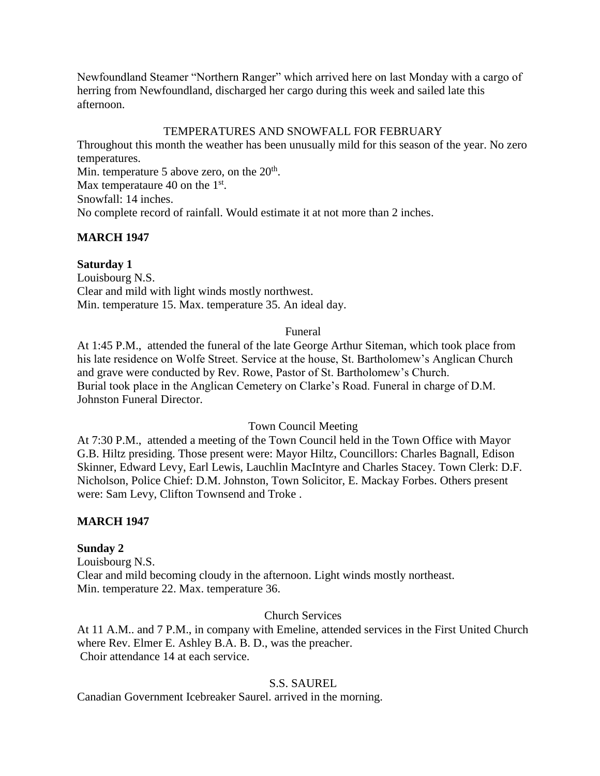Newfoundland Steamer "Northern Ranger" which arrived here on last Monday with a cargo of herring from Newfoundland, discharged her cargo during this week and sailed late this afternoon.

## TEMPERATURES AND SNOWFALL FOR FEBRUARY

Throughout this month the weather has been unusually mild for this season of the year. No zero temperatures.

Min. temperature 5 above zero, on the  $20<sup>th</sup>$ . Max temperataure 40 on the  $1<sup>st</sup>$ .

Snowfall: 14 inches.

No complete record of rainfall. Would estimate it at not more than 2 inches.

# **MARCH 1947**

# **Saturday 1**

Louisbourg N.S. Clear and mild with light winds mostly northwest. Min. temperature 15. Max. temperature 35. An ideal day.

### Funeral

At 1:45 P.M., attended the funeral of the late George Arthur Siteman, which took place from his late residence on Wolfe Street. Service at the house, St. Bartholomew's Anglican Church and grave were conducted by Rev. Rowe, Pastor of St. Bartholomew's Church. Burial took place in the Anglican Cemetery on Clarke's Road. Funeral in charge of D.M. Johnston Funeral Director.

### Town Council Meeting

At 7:30 P.M., attended a meeting of the Town Council held in the Town Office with Mayor G.B. Hiltz presiding. Those present were: Mayor Hiltz, Councillors: Charles Bagnall, Edison Skinner, Edward Levy, Earl Lewis, Lauchlin MacIntyre and Charles Stacey. Town Clerk: D.F. Nicholson, Police Chief: D.M. Johnston, Town Solicitor, E. Mackay Forbes. Others present were: Sam Levy, Clifton Townsend and Troke .

# **MARCH 1947**

# **Sunday 2**

Louisbourg N.S. Clear and mild becoming cloudy in the afternoon. Light winds mostly northeast. Min. temperature 22. Max. temperature 36.

# Church Services

At 11 A.M.. and 7 P.M., in company with Emeline, attended services in the First United Church where Rev. Elmer E. Ashley B.A. B. D., was the preacher. Choir attendance 14 at each service.

# S.S. SAUREL

Canadian Government Icebreaker Saurel. arrived in the morning.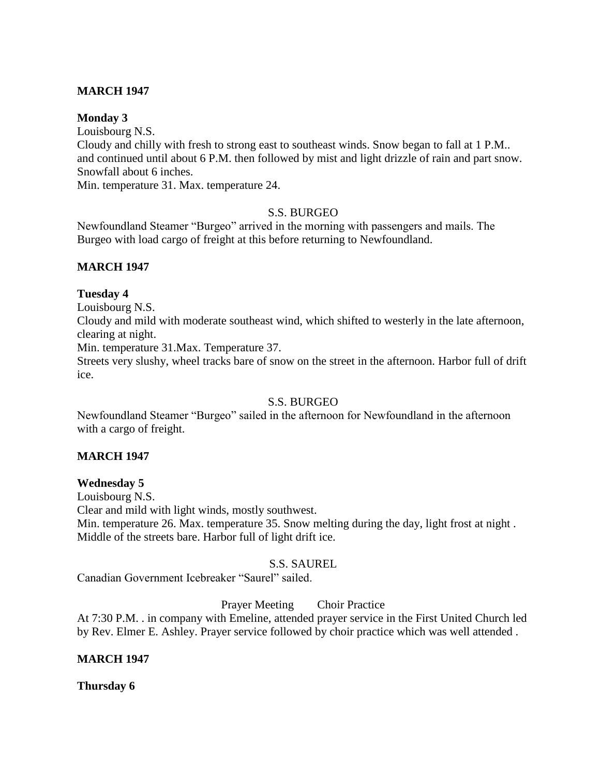## **MARCH 1947**

#### **Monday 3**

Louisbourg N.S.

Cloudy and chilly with fresh to strong east to southeast winds. Snow began to fall at 1 P.M.. and continued until about 6 P.M. then followed by mist and light drizzle of rain and part snow. Snowfall about 6 inches.

Min. temperature 31. Max. temperature 24.

### S.S. BURGEO

Newfoundland Steamer "Burgeo" arrived in the morning with passengers and mails. The Burgeo with load cargo of freight at this before returning to Newfoundland.

### **MARCH 1947**

#### **Tuesday 4**

Louisbourg N.S.

Cloudy and mild with moderate southeast wind, which shifted to westerly in the late afternoon, clearing at night.

Min. temperature 31.Max. Temperature 37.

Streets very slushy, wheel tracks bare of snow on the street in the afternoon. Harbor full of drift ice.

### S.S. BURGEO

Newfoundland Steamer "Burgeo" sailed in the afternoon for Newfoundland in the afternoon with a cargo of freight.

### **MARCH 1947**

**Wednesday 5**

Louisbourg N.S.

Clear and mild with light winds, mostly southwest.

Min. temperature 26. Max. temperature 35. Snow melting during the day, light frost at night. Middle of the streets bare. Harbor full of light drift ice.

### S.S. SAUREL

Canadian Government Icebreaker "Saurel" sailed.

Prayer Meeting Choir Practice

At 7:30 P.M. . in company with Emeline, attended prayer service in the First United Church led by Rev. Elmer E. Ashley. Prayer service followed by choir practice which was well attended .

### **MARCH 1947**

### **Thursday 6**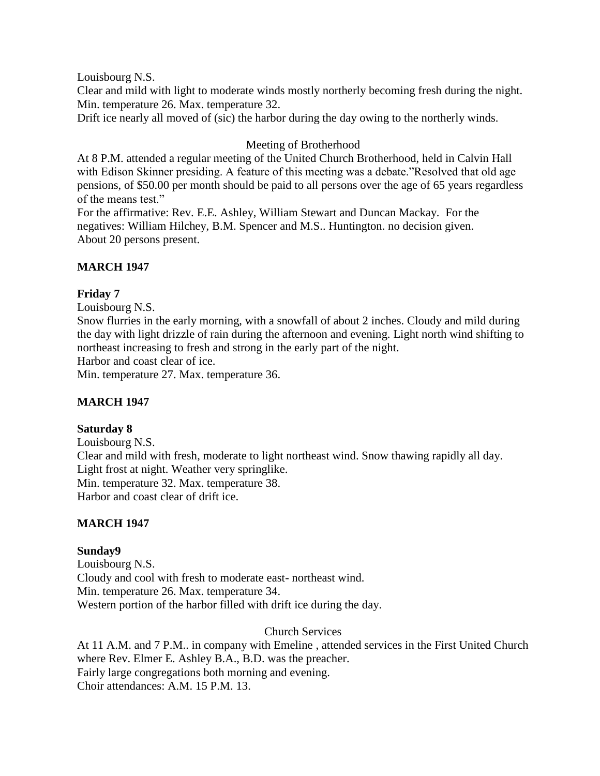Louisbourg N.S.

Clear and mild with light to moderate winds mostly northerly becoming fresh during the night. Min. temperature 26. Max. temperature 32.

Drift ice nearly all moved of (sic) the harbor during the day owing to the northerly winds.

# Meeting of Brotherhood

At 8 P.M. attended a regular meeting of the United Church Brotherhood, held in Calvin Hall with Edison Skinner presiding. A feature of this meeting was a debate."Resolved that old age pensions, of \$50.00 per month should be paid to all persons over the age of 65 years regardless of the means test."

For the affirmative: Rev. E.E. Ashley, William Stewart and Duncan Mackay. For the negatives: William Hilchey, B.M. Spencer and M.S.. Huntington. no decision given. About 20 persons present.

# **MARCH 1947**

# **Friday 7**

Louisbourg N.S.

Snow flurries in the early morning, with a snowfall of about 2 inches. Cloudy and mild during the day with light drizzle of rain during the afternoon and evening. Light north wind shifting to northeast increasing to fresh and strong in the early part of the night.

Harbor and coast clear of ice.

Min. temperature 27. Max. temperature 36.

# **MARCH 1947**

# **Saturday 8**

Louisbourg N.S. Clear and mild with fresh, moderate to light northeast wind. Snow thawing rapidly all day. Light frost at night. Weather very springlike. Min. temperature 32. Max. temperature 38. Harbor and coast clear of drift ice.

# **MARCH 1947**

# **Sunday9**

Louisbourg N.S. Cloudy and cool with fresh to moderate east- northeast wind. Min. temperature 26. Max. temperature 34. Western portion of the harbor filled with drift ice during the day.

# Church Services

At 11 A.M. and 7 P.M.. in company with Emeline , attended services in the First United Church where Rev. Elmer E. Ashley B.A., B.D. was the preacher. Fairly large congregations both morning and evening. Choir attendances: A.M. 15 P.M. 13.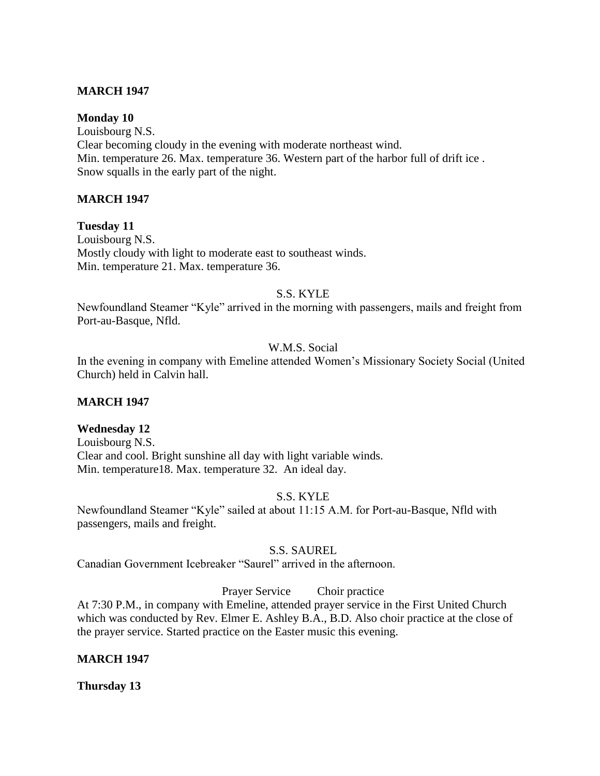### **MARCH 1947**

### **Monday 10**

Louisbourg N.S. Clear becoming cloudy in the evening with moderate northeast wind. Min. temperature 26. Max. temperature 36. Western part of the harbor full of drift ice . Snow squalls in the early part of the night.

### **MARCH 1947**

**Tuesday 11** Louisbourg N.S. Mostly cloudy with light to moderate east to southeast winds. Min. temperature 21. Max. temperature 36.

### S.S. KYLE

Newfoundland Steamer "Kyle" arrived in the morning with passengers, mails and freight from Port-au-Basque, Nfld.

### W.M.S. Social

In the evening in company with Emeline attended Women's Missionary Society Social (United Church) held in Calvin hall.

### **MARCH 1947**

### **Wednesday 12**

Louisbourg N.S. Clear and cool. Bright sunshine all day with light variable winds. Min. temperature18. Max. temperature 32. An ideal day.

### S.S. KYLE

Newfoundland Steamer "Kyle" sailed at about 11:15 A.M. for Port-au-Basque, Nfld with passengers, mails and freight.

### S.S. SAUREL

Canadian Government Icebreaker "Saurel" arrived in the afternoon.

Prayer Service Choir practice

At 7:30 P.M., in company with Emeline, attended prayer service in the First United Church which was conducted by Rev. Elmer E. Ashley B.A., B.D. Also choir practice at the close of the prayer service. Started practice on the Easter music this evening.

### **MARCH 1947**

**Thursday 13**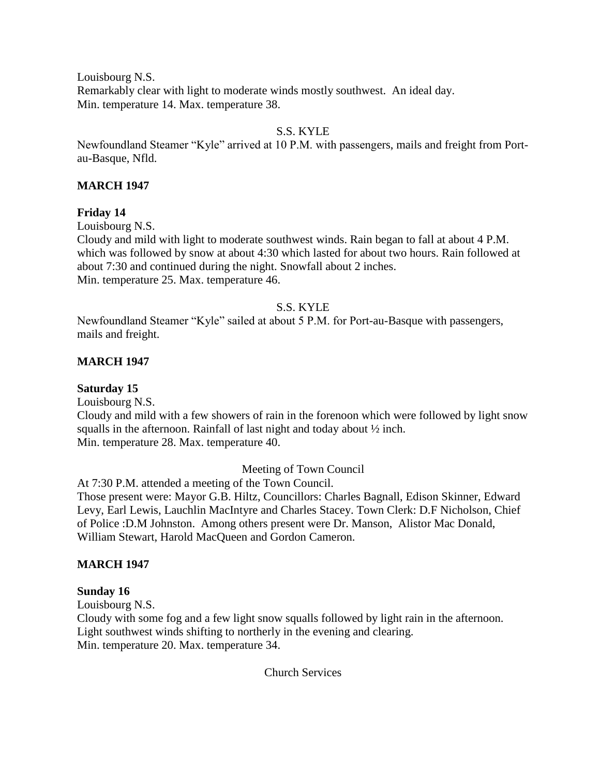Louisbourg N.S. Remarkably clear with light to moderate winds mostly southwest. An ideal day. Min. temperature 14. Max. temperature 38.

# S.S. KYLE

Newfoundland Steamer "Kyle" arrived at 10 P.M. with passengers, mails and freight from Portau-Basque, Nfld.

## **MARCH 1947**

### **Friday 14**

Louisbourg N.S.

Cloudy and mild with light to moderate southwest winds. Rain began to fall at about 4 P.M. which was followed by snow at about 4:30 which lasted for about two hours. Rain followed at about 7:30 and continued during the night. Snowfall about 2 inches. Min. temperature 25. Max. temperature 46.

## S.S. KYLE

Newfoundland Steamer "Kyle" sailed at about 5 P.M. for Port-au-Basque with passengers, mails and freight.

## **MARCH 1947**

### **Saturday 15**

Louisbourg N.S.

Cloudy and mild with a few showers of rain in the forenoon which were followed by light snow squalls in the afternoon. Rainfall of last night and today about ½ inch. Min. temperature 28. Max. temperature 40.

# Meeting of Town Council

At 7:30 P.M. attended a meeting of the Town Council.

Those present were: Mayor G.B. Hiltz, Councillors: Charles Bagnall, Edison Skinner, Edward Levy, Earl Lewis, Lauchlin MacIntyre and Charles Stacey. Town Clerk: D.F Nicholson, Chief of Police :D.M Johnston. Among others present were Dr. Manson, Alistor Mac Donald, William Stewart, Harold MacQueen and Gordon Cameron.

### **MARCH 1947**

### **Sunday 16**

Louisbourg N.S.

Cloudy with some fog and a few light snow squalls followed by light rain in the afternoon. Light southwest winds shifting to northerly in the evening and clearing. Min. temperature 20. Max. temperature 34.

Church Services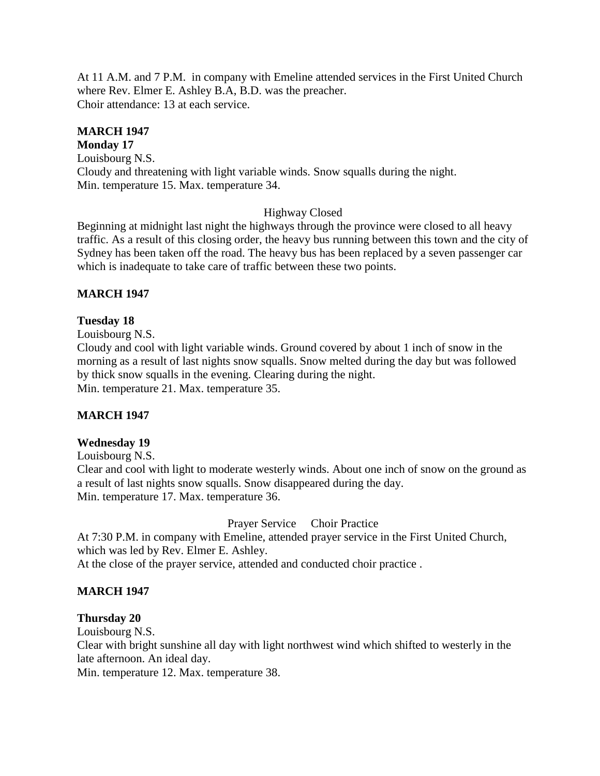At 11 A.M. and 7 P.M. in company with Emeline attended services in the First United Church where Rev. Elmer E. Ashley B.A, B.D. was the preacher. Choir attendance: 13 at each service.

# **MARCH 1947**

**Monday 17** Louisbourg N.S. Cloudy and threatening with light variable winds. Snow squalls during the night. Min. temperature 15. Max. temperature 34.

## Highway Closed

Beginning at midnight last night the highways through the province were closed to all heavy traffic. As a result of this closing order, the heavy bus running between this town and the city of Sydney has been taken off the road. The heavy bus has been replaced by a seven passenger car which is inadequate to take care of traffic between these two points.

### **MARCH 1947**

### **Tuesday 18**

Louisbourg N.S.

Cloudy and cool with light variable winds. Ground covered by about 1 inch of snow in the morning as a result of last nights snow squalls. Snow melted during the day but was followed by thick snow squalls in the evening. Clearing during the night. Min. temperature 21. Max. temperature 35.

### **MARCH 1947**

#### **Wednesday 19**

Louisbourg N.S.

Clear and cool with light to moderate westerly winds. About one inch of snow on the ground as a result of last nights snow squalls. Snow disappeared during the day. Min. temperature 17. Max. temperature 36.

Prayer Service Choir Practice

At 7:30 P.M. in company with Emeline, attended prayer service in the First United Church, which was led by Rev. Elmer E. Ashley.

At the close of the prayer service, attended and conducted choir practice .

### **MARCH 1947**

#### **Thursday 20**

Louisbourg N.S.

Clear with bright sunshine all day with light northwest wind which shifted to westerly in the late afternoon. An ideal day.

Min. temperature 12. Max. temperature 38.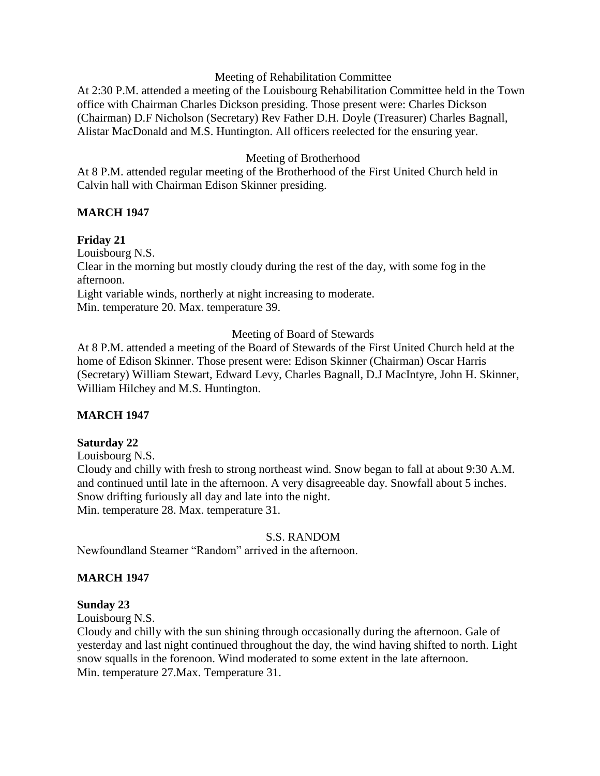### Meeting of Rehabilitation Committee

At 2:30 P.M. attended a meeting of the Louisbourg Rehabilitation Committee held in the Town office with Chairman Charles Dickson presiding. Those present were: Charles Dickson (Chairman) D.F Nicholson (Secretary) Rev Father D.H. Doyle (Treasurer) Charles Bagnall, Alistar MacDonald and M.S. Huntington. All officers reelected for the ensuring year.

### Meeting of Brotherhood

At 8 P.M. attended regular meeting of the Brotherhood of the First United Church held in Calvin hall with Chairman Edison Skinner presiding.

## **MARCH 1947**

## **Friday 21**

Louisbourg N.S.

Clear in the morning but mostly cloudy during the rest of the day, with some fog in the afternoon.

Light variable winds, northerly at night increasing to moderate.

Min. temperature 20. Max. temperature 39.

Meeting of Board of Stewards

At 8 P.M. attended a meeting of the Board of Stewards of the First United Church held at the home of Edison Skinner. Those present were: Edison Skinner (Chairman) Oscar Harris (Secretary) William Stewart, Edward Levy, Charles Bagnall, D.J MacIntyre, John H. Skinner, William Hilchey and M.S. Huntington.

# **MARCH 1947**

### **Saturday 22**

Louisbourg N.S.

Cloudy and chilly with fresh to strong northeast wind. Snow began to fall at about 9:30 A.M. and continued until late in the afternoon. A very disagreeable day. Snowfall about 5 inches. Snow drifting furiously all day and late into the night. Min. temperature 28. Max. temperature 31.

#### S.S. RANDOM

Newfoundland Steamer "Random" arrived in the afternoon.

### **MARCH 1947**

### **Sunday 23**

Louisbourg N.S.

Cloudy and chilly with the sun shining through occasionally during the afternoon. Gale of yesterday and last night continued throughout the day, the wind having shifted to north. Light snow squalls in the forenoon. Wind moderated to some extent in the late afternoon. Min. temperature 27.Max. Temperature 31.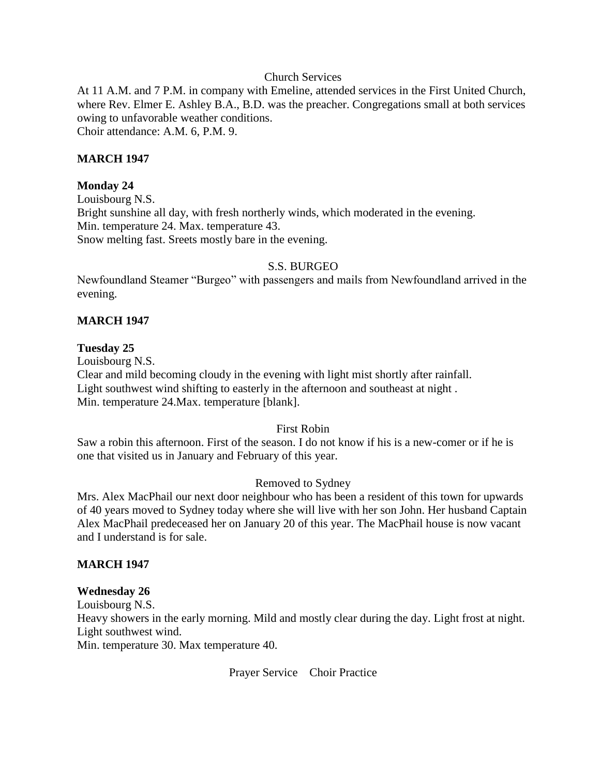### Church Services

At 11 A.M. and 7 P.M. in company with Emeline, attended services in the First United Church, where Rev. Elmer E. Ashley B.A., B.D. was the preacher. Congregations small at both services owing to unfavorable weather conditions. Choir attendance: A.M. 6, P.M. 9.

#### **MARCH 1947**

#### **Monday 24**

Louisbourg N.S. Bright sunshine all day, with fresh northerly winds, which moderated in the evening. Min. temperature 24. Max. temperature 43. Snow melting fast. Sreets mostly bare in the evening.

#### S.S. BURGEO

Newfoundland Steamer "Burgeo" with passengers and mails from Newfoundland arrived in the evening.

#### **MARCH 1947**

#### **Tuesday 25**

Louisbourg N.S. Clear and mild becoming cloudy in the evening with light mist shortly after rainfall. Light southwest wind shifting to easterly in the afternoon and southeast at night . Min. temperature 24.Max. temperature [blank].

#### First Robin

Saw a robin this afternoon. First of the season. I do not know if his is a new-comer or if he is one that visited us in January and February of this year.

#### Removed to Sydney

Mrs. Alex MacPhail our next door neighbour who has been a resident of this town for upwards of 40 years moved to Sydney today where she will live with her son John. Her husband Captain Alex MacPhail predeceased her on January 20 of this year. The MacPhail house is now vacant and I understand is for sale.

#### **MARCH 1947**

#### **Wednesday 26**

Louisbourg N.S.

Heavy showers in the early morning. Mild and mostly clear during the day. Light frost at night. Light southwest wind.

Min. temperature 30. Max temperature 40.

Prayer Service Choir Practice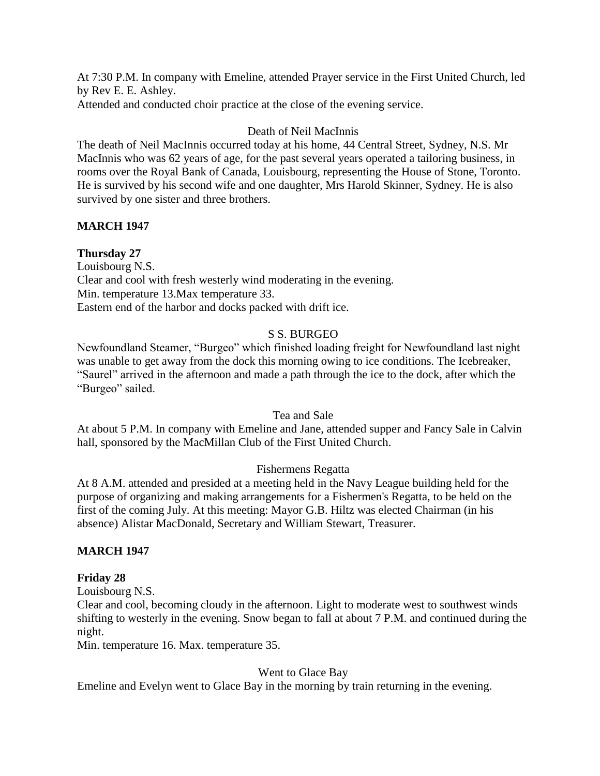At 7:30 P.M. In company with Emeline, attended Prayer service in the First United Church, led by Rev E. E. Ashley.

Attended and conducted choir practice at the close of the evening service.

# Death of Neil MacInnis

The death of Neil MacInnis occurred today at his home, 44 Central Street, Sydney, N.S. Mr MacInnis who was 62 years of age, for the past several years operated a tailoring business, in rooms over the Royal Bank of Canada, Louisbourg, representing the House of Stone, Toronto. He is survived by his second wife and one daughter, Mrs Harold Skinner, Sydney. He is also survived by one sister and three brothers.

# **MARCH 1947**

# **Thursday 27**

Louisbourg N.S. Clear and cool with fresh westerly wind moderating in the evening. Min. temperature 13.Max temperature 33. Eastern end of the harbor and docks packed with drift ice.

# S S. BURGEO

Newfoundland Steamer, "Burgeo" which finished loading freight for Newfoundland last night was unable to get away from the dock this morning owing to ice conditions. The Icebreaker, "Saurel" arrived in the afternoon and made a path through the ice to the dock, after which the "Burgeo" sailed.

# Tea and Sale

At about 5 P.M. In company with Emeline and Jane, attended supper and Fancy Sale in Calvin hall, sponsored by the MacMillan Club of the First United Church.

# Fishermens Regatta

At 8 A.M. attended and presided at a meeting held in the Navy League building held for the purpose of organizing and making arrangements for a Fishermen's Regatta, to be held on the first of the coming July. At this meeting: Mayor G.B. Hiltz was elected Chairman (in his absence) Alistar MacDonald, Secretary and William Stewart, Treasurer.

# **MARCH 1947**

# **Friday 28**

Louisbourg N.S.

Clear and cool, becoming cloudy in the afternoon. Light to moderate west to southwest winds shifting to westerly in the evening. Snow began to fall at about 7 P.M. and continued during the night.

Min. temperature 16. Max. temperature 35.

# Went to Glace Bay

Emeline and Evelyn went to Glace Bay in the morning by train returning in the evening.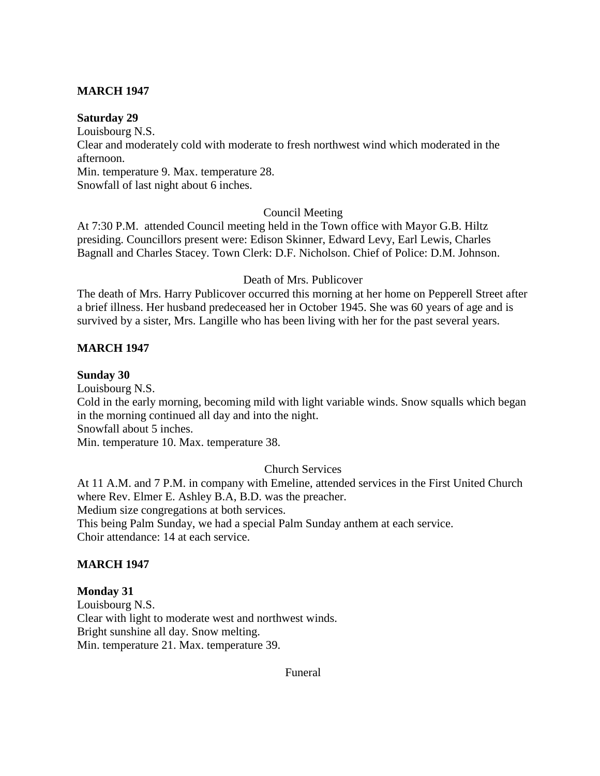## **MARCH 1947**

#### **Saturday 29**

Louisbourg N.S. Clear and moderately cold with moderate to fresh northwest wind which moderated in the afternoon. Min. temperature 9. Max. temperature 28. Snowfall of last night about 6 inches.

### Council Meeting

At 7:30 P.M. attended Council meeting held in the Town office with Mayor G.B. Hiltz presiding. Councillors present were: Edison Skinner, Edward Levy, Earl Lewis, Charles Bagnall and Charles Stacey. Town Clerk: D.F. Nicholson. Chief of Police: D.M. Johnson.

#### Death of Mrs. Publicover

The death of Mrs. Harry Publicover occurred this morning at her home on Pepperell Street after a brief illness. Her husband predeceased her in October 1945. She was 60 years of age and is survived by a sister, Mrs. Langille who has been living with her for the past several years.

### **MARCH 1947**

#### **Sunday 30**

Louisbourg N.S.

Cold in the early morning, becoming mild with light variable winds. Snow squalls which began in the morning continued all day and into the night.

Snowfall about 5 inches.

Min. temperature 10. Max. temperature 38.

## Church Services

At 11 A.M. and 7 P.M. in company with Emeline, attended services in the First United Church where Rev. Elmer E. Ashley B.A, B.D. was the preacher. Medium size congregations at both services.

This being Palm Sunday, we had a special Palm Sunday anthem at each service. Choir attendance: 14 at each service.

### **MARCH 1947**

**Monday 31** Louisbourg N.S. Clear with light to moderate west and northwest winds. Bright sunshine all day. Snow melting. Min. temperature 21. Max. temperature 39.

Funeral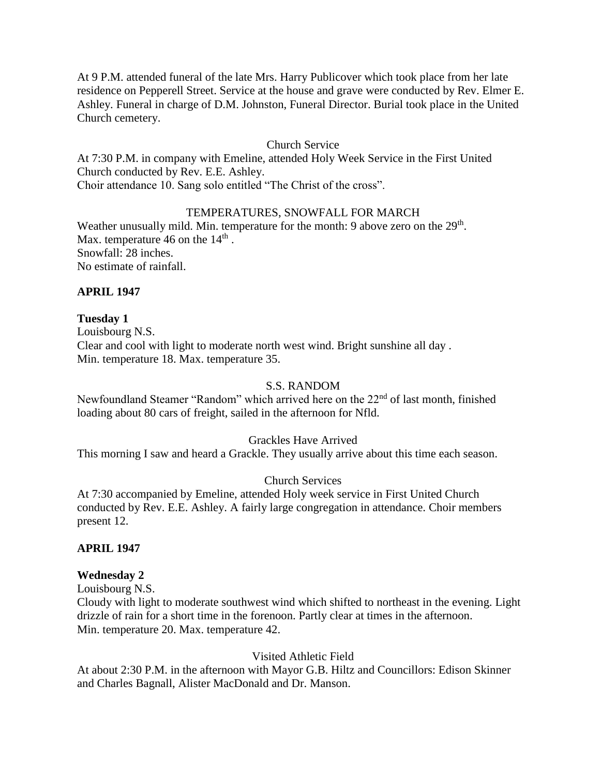At 9 P.M. attended funeral of the late Mrs. Harry Publicover which took place from her late residence on Pepperell Street. Service at the house and grave were conducted by Rev. Elmer E. Ashley. Funeral in charge of D.M. Johnston, Funeral Director. Burial took place in the United Church cemetery.

### Church Service

At 7:30 P.M. in company with Emeline, attended Holy Week Service in the First United Church conducted by Rev. E.E. Ashley.

Choir attendance 10. Sang solo entitled "The Christ of the cross".

### TEMPERATURES, SNOWFALL FOR MARCH

Weather unusually mild. Min. temperature for the month: 9 above zero on the  $29<sup>th</sup>$ . Max. temperature 46 on the  $14<sup>th</sup>$ . Snowfall: 28 inches. No estimate of rainfall.

### **APRIL 1947**

**Tuesday 1** Louisbourg N.S. Clear and cool with light to moderate north west wind. Bright sunshine all day . Min. temperature 18. Max. temperature 35.

### S.S. RANDOM

Newfoundland Steamer "Random" which arrived here on the 22<sup>nd</sup> of last month, finished loading about 80 cars of freight, sailed in the afternoon for Nfld.

### Grackles Have Arrived

This morning I saw and heard a Grackle. They usually arrive about this time each season.

### Church Services

At 7:30 accompanied by Emeline, attended Holy week service in First United Church conducted by Rev. E.E. Ashley. A fairly large congregation in attendance. Choir members present 12.

### **APRIL 1947**

### **Wednesday 2**

Louisbourg N.S.

Cloudy with light to moderate southwest wind which shifted to northeast in the evening. Light drizzle of rain for a short time in the forenoon. Partly clear at times in the afternoon. Min. temperature 20. Max. temperature 42.

### Visited Athletic Field

At about 2:30 P.M. in the afternoon with Mayor G.B. Hiltz and Councillors: Edison Skinner and Charles Bagnall, Alister MacDonald and Dr. Manson.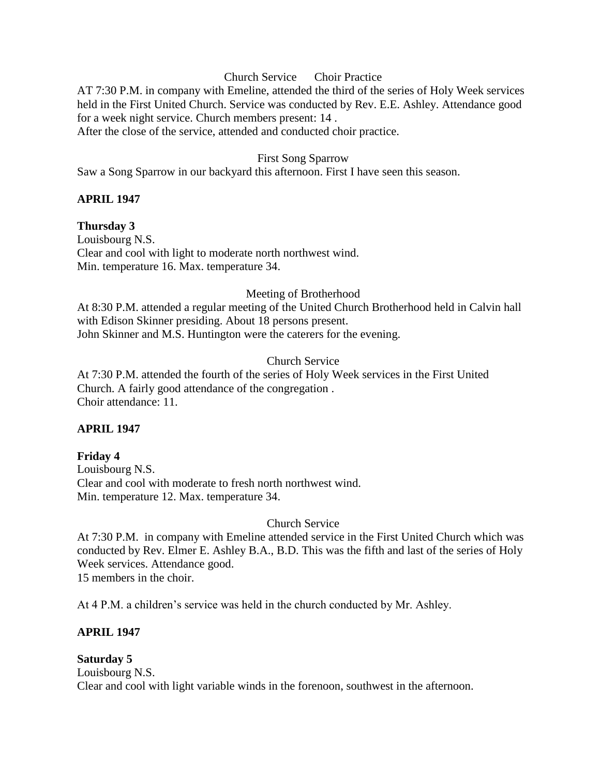### Church Service Choir Practice

AT 7:30 P.M. in company with Emeline, attended the third of the series of Holy Week services held in the First United Church. Service was conducted by Rev. E.E. Ashley. Attendance good for a week night service. Church members present: 14 .

After the close of the service, attended and conducted choir practice.

#### First Song Sparrow

Saw a Song Sparrow in our backyard this afternoon. First I have seen this season.

### **APRIL 1947**

**Thursday 3** Louisbourg N.S. Clear and cool with light to moderate north northwest wind. Min. temperature 16. Max. temperature 34.

#### Meeting of Brotherhood

At 8:30 P.M. attended a regular meeting of the United Church Brotherhood held in Calvin hall with Edison Skinner presiding. About 18 persons present. John Skinner and M.S. Huntington were the caterers for the evening.

### Church Service

At 7:30 P.M. attended the fourth of the series of Holy Week services in the First United Church. A fairly good attendance of the congregation . Choir attendance: 11.

### **APRIL 1947**

### **Friday 4**

Louisbourg N.S. Clear and cool with moderate to fresh north northwest wind. Min. temperature 12. Max. temperature 34.

Church Service

At 7:30 P.M. in company with Emeline attended service in the First United Church which was conducted by Rev. Elmer E. Ashley B.A., B.D. This was the fifth and last of the series of Holy Week services. Attendance good. 15 members in the choir.

At 4 P.M. a children's service was held in the church conducted by Mr. Ashley.

### **APRIL 1947**

### **Saturday 5**

Louisbourg N.S. Clear and cool with light variable winds in the forenoon, southwest in the afternoon.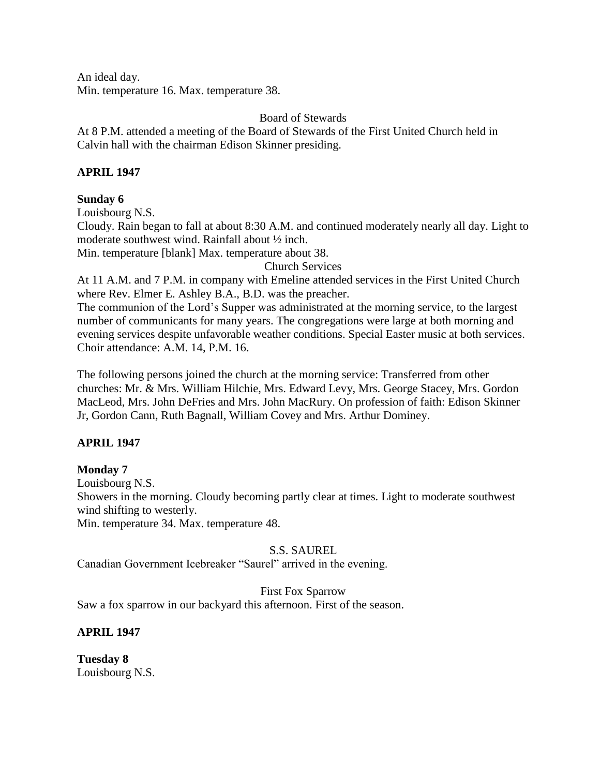An ideal day. Min. temperature 16. Max. temperature 38.

Board of Stewards

At 8 P.M. attended a meeting of the Board of Stewards of the First United Church held in Calvin hall with the chairman Edison Skinner presiding.

# **APRIL 1947**

# **Sunday 6**

Louisbourg N.S.

Cloudy. Rain began to fall at about 8:30 A.M. and continued moderately nearly all day. Light to moderate southwest wind. Rainfall about ½ inch.

Min. temperature [blank] Max. temperature about 38.

Church Services

At 11 A.M. and 7 P.M. in company with Emeline attended services in the First United Church where Rev. Elmer E. Ashley B.A., B.D. was the preacher.

The communion of the Lord's Supper was administrated at the morning service, to the largest number of communicants for many years. The congregations were large at both morning and evening services despite unfavorable weather conditions. Special Easter music at both services. Choir attendance: A.M. 14, P.M. 16.

The following persons joined the church at the morning service: Transferred from other churches: Mr. & Mrs. William Hilchie, Mrs. Edward Levy, Mrs. George Stacey, Mrs. Gordon MacLeod, Mrs. John DeFries and Mrs. John MacRury. On profession of faith: Edison Skinner Jr, Gordon Cann, Ruth Bagnall, William Covey and Mrs. Arthur Dominey.

# **APRIL 1947**

# **Monday 7**

Louisbourg N.S.

Showers in the morning. Cloudy becoming partly clear at times. Light to moderate southwest wind shifting to westerly.

Min. temperature 34. Max. temperature 48.

# S.S. SAUREL

Canadian Government Icebreaker "Saurel" arrived in the evening.

First Fox Sparrow

Saw a fox sparrow in our backyard this afternoon. First of the season.

# **APRIL 1947**

**Tuesday 8** Louisbourg N.S.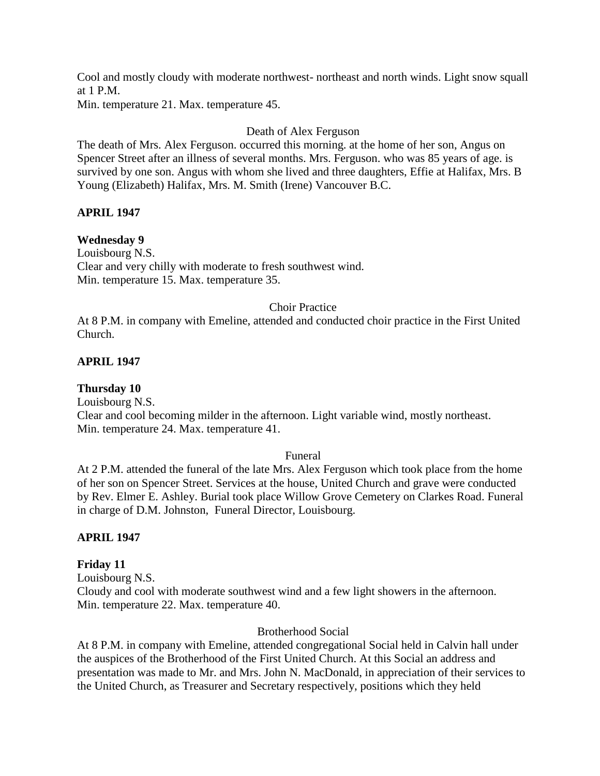Cool and mostly cloudy with moderate northwest- northeast and north winds. Light snow squall at 1 P.M.

Min. temperature 21. Max. temperature 45.

# Death of Alex Ferguson

The death of Mrs. Alex Ferguson. occurred this morning. at the home of her son, Angus on Spencer Street after an illness of several months. Mrs. Ferguson. who was 85 years of age. is survived by one son. Angus with whom she lived and three daughters, Effie at Halifax, Mrs. B Young (Elizabeth) Halifax, Mrs. M. Smith (Irene) Vancouver B.C.

# **APRIL 1947**

# **Wednesday 9**

Louisbourg N.S. Clear and very chilly with moderate to fresh southwest wind. Min. temperature 15. Max. temperature 35.

# Choir Practice

At 8 P.M. in company with Emeline, attended and conducted choir practice in the First United Church.

# **APRIL 1947**

**Thursday 10** Louisbourg N.S. Clear and cool becoming milder in the afternoon. Light variable wind, mostly northeast. Min. temperature 24. Max. temperature 41.

# Funeral

At 2 P.M. attended the funeral of the late Mrs. Alex Ferguson which took place from the home of her son on Spencer Street. Services at the house, United Church and grave were conducted by Rev. Elmer E. Ashley. Burial took place Willow Grove Cemetery on Clarkes Road. Funeral in charge of D.M. Johnston, Funeral Director, Louisbourg.

# **APRIL 1947**

# **Friday 11**

Louisbourg N.S. Cloudy and cool with moderate southwest wind and a few light showers in the afternoon. Min. temperature 22. Max. temperature 40.

# Brotherhood Social

At 8 P.M. in company with Emeline, attended congregational Social held in Calvin hall under the auspices of the Brotherhood of the First United Church. At this Social an address and presentation was made to Mr. and Mrs. John N. MacDonald, in appreciation of their services to the United Church, as Treasurer and Secretary respectively, positions which they held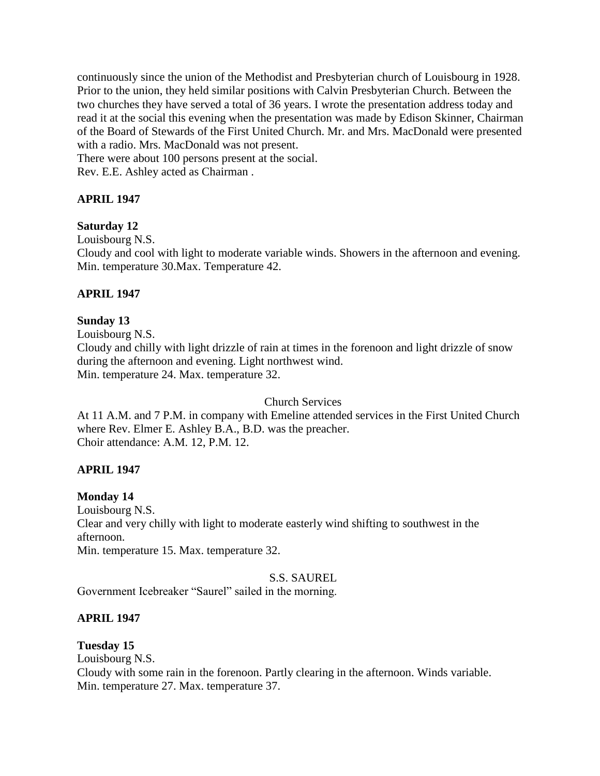continuously since the union of the Methodist and Presbyterian church of Louisbourg in 1928. Prior to the union, they held similar positions with Calvin Presbyterian Church. Between the two churches they have served a total of 36 years. I wrote the presentation address today and read it at the social this evening when the presentation was made by Edison Skinner, Chairman of the Board of Stewards of the First United Church. Mr. and Mrs. MacDonald were presented with a radio. Mrs. MacDonald was not present.

There were about 100 persons present at the social. Rev. E.E. Ashley acted as Chairman .

# **APRIL 1947**

# **Saturday 12**

Louisbourg N.S.

Cloudy and cool with light to moderate variable winds. Showers in the afternoon and evening. Min. temperature 30.Max. Temperature 42.

# **APRIL 1947**

# **Sunday 13**

Louisbourg N.S. Cloudy and chilly with light drizzle of rain at times in the forenoon and light drizzle of snow during the afternoon and evening. Light northwest wind. Min. temperature 24. Max. temperature 32.

Church Services

At 11 A.M. and 7 P.M. in company with Emeline attended services in the First United Church where Rev. Elmer E. Ashley B.A., B.D. was the preacher. Choir attendance: A.M. 12, P.M. 12.

# **APRIL 1947**

# **Monday 14**

Louisbourg N.S. Clear and very chilly with light to moderate easterly wind shifting to southwest in the afternoon. Min. temperature 15. Max. temperature 32.

# S.S. SAUREL

Government Icebreaker "Saurel" sailed in the morning.

# **APRIL 1947**

**Tuesday 15** Louisbourg N.S. Cloudy with some rain in the forenoon. Partly clearing in the afternoon. Winds variable. Min. temperature 27. Max. temperature 37.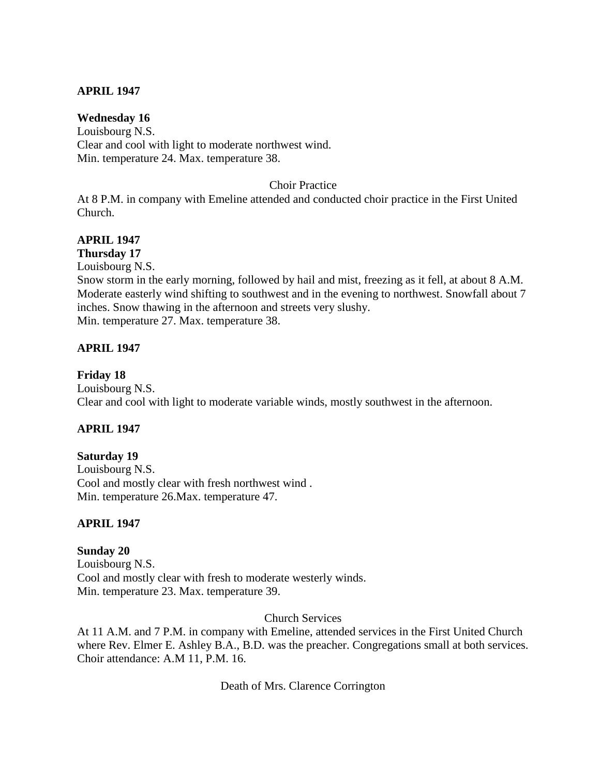## **APRIL 1947**

### **Wednesday 16**

Louisbourg N.S. Clear and cool with light to moderate northwest wind. Min. temperature 24. Max. temperature 38.

#### Choir Practice

At 8 P.M. in company with Emeline attended and conducted choir practice in the First United Church.

## **APRIL 1947**

**Thursday 17**

Louisbourg N.S.

Snow storm in the early morning, followed by hail and mist, freezing as it fell, at about 8 A.M. Moderate easterly wind shifting to southwest and in the evening to northwest. Snowfall about 7 inches. Snow thawing in the afternoon and streets very slushy. Min. temperature 27. Max. temperature 38.

### **APRIL 1947**

#### **Friday 18**

Louisbourg N.S. Clear and cool with light to moderate variable winds, mostly southwest in the afternoon.

### **APRIL 1947**

### **Saturday 19**

Louisbourg N.S. Cool and mostly clear with fresh northwest wind . Min. temperature 26.Max. temperature 47.

### **APRIL 1947**

**Sunday 20** Louisbourg N.S. Cool and mostly clear with fresh to moderate westerly winds. Min. temperature 23. Max. temperature 39.

Church Services

At 11 A.M. and 7 P.M. in company with Emeline, attended services in the First United Church where Rev. Elmer E. Ashley B.A., B.D. was the preacher. Congregations small at both services. Choir attendance: A.M 11, P.M. 16.

Death of Mrs. Clarence Corrington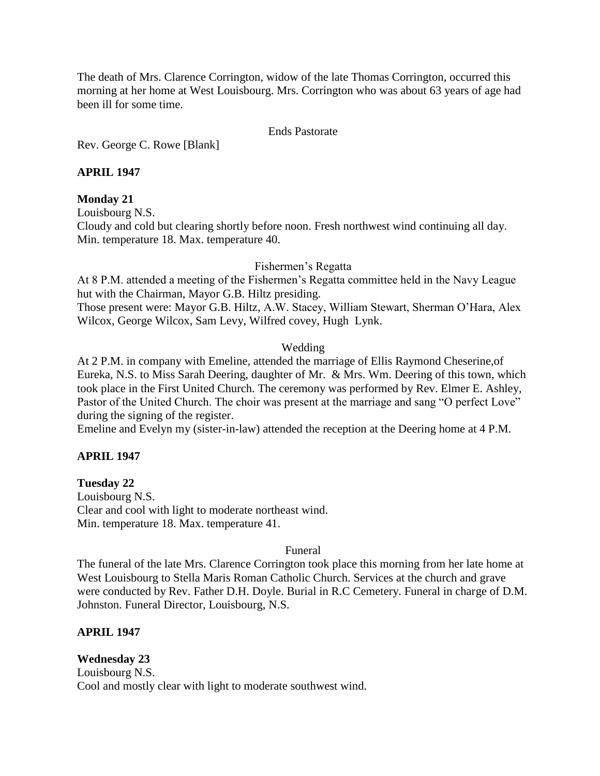The death of Mrs. Clarence Corrington, widow of the late Thomas Corrington, occurred this morning at her home at West Louisbourg. Mrs. Corrington who was about 63 years of age had been ill for some time.

#### Ends Pastorate

Rev. George C. Rowe [Blank]

## **APRIL 1947**

## **Monday 21**

Louisbourg N.S.

Cloudy and cold but clearing shortly before noon. Fresh northwest wind continuing all day. Min. temperature 18. Max. temperature 40.

Fishermen's Regatta

At 8 P.M. attended a meeting of the Fishermen's Regatta committee held in the Navy League hut with the Chairman, Mayor G.B. Hiltz presiding.

Those present were: Mayor G.B. Hiltz, A.W. Stacey, William Stewart, Sherman O'Hara, Alex Wilcox, George Wilcox, Sam Levy, Wilfred covey, Hugh Lynk.

## Wedding

At 2 P.M. in company with Emeline, attended the marriage of Ellis Raymond Cheserine,of Eureka, N.S. to Miss Sarah Deering, daughter of Mr. & Mrs. Wm. Deering of this town, which took place in the First United Church. The ceremony was performed by Rev. Elmer E. Ashley, Pastor of the United Church. The choir was present at the marriage and sang "O perfect Love" during the signing of the register.

Emeline and Evelyn my (sister-in-law) attended the reception at the Deering home at 4 P.M.

## **APRIL 1947**

**Tuesday 22** Louisbourg N.S. Clear and cool with light to moderate northeast wind. Min. temperature 18. Max. temperature 41.

## Funeral

The funeral of the late Mrs. Clarence Corrington took place this morning from her late home at West Louisbourg to Stella Maris Roman Catholic Church. Services at the church and grave were conducted by Rev. Father D.H. Doyle. Burial in R.C Cemetery. Funeral in charge of D.M. Johnston. Funeral Director, Louisbourg, N.S.

# **APRIL 1947**

**Wednesday 23**

Louisbourg N.S. Cool and mostly clear with light to moderate southwest wind.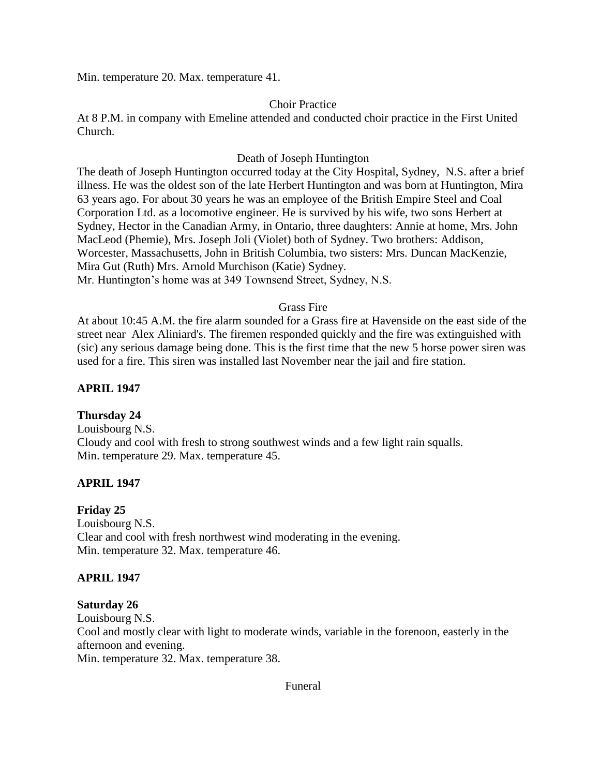Min. temperature 20. Max. temperature 41.

## Choir Practice

At 8 P.M. in company with Emeline attended and conducted choir practice in the First United Church.

## Death of Joseph Huntington

The death of Joseph Huntington occurred today at the City Hospital, Sydney, N.S. after a brief illness. He was the oldest son of the late Herbert Huntington and was born at Huntington, Mira 63 years ago. For about 30 years he was an employee of the British Empire Steel and Coal Corporation Ltd. as a locomotive engineer. He is survived by his wife, two sons Herbert at Sydney, Hector in the Canadian Army, in Ontario, three daughters: Annie at home, Mrs. John MacLeod (Phemie), Mrs. Joseph Joli (Violet) both of Sydney. Two brothers: Addison, Worcester, Massachusetts, John in British Columbia, two sisters: Mrs. Duncan MacKenzie, Mira Gut (Ruth) Mrs. Arnold Murchison (Katie) Sydney. Mr. Huntington's home was at 349 Townsend Street, Sydney, N.S.

## Grass Fire

At about 10:45 A.M. the fire alarm sounded for a Grass fire at Havenside on the east side of the street near Alex Aliniard's. The firemen responded quickly and the fire was extinguished with (sic) any serious damage being done. This is the first time that the new 5 horse power siren was used for a fire. This siren was installed last November near the jail and fire station.

## **APRIL 1947**

# **Thursday 24**

Louisbourg N.S. Cloudy and cool with fresh to strong southwest winds and a few light rain squalls. Min. temperature 29. Max. temperature 45.

# **APRIL 1947**

## **Friday 25**

Louisbourg N.S. Clear and cool with fresh northwest wind moderating in the evening. Min. temperature 32. Max. temperature 46.

## **APRIL 1947**

## **Saturday 26**

Louisbourg N.S.

Cool and mostly clear with light to moderate winds, variable in the forenoon, easterly in the afternoon and evening.

Min. temperature 32. Max. temperature 38.

#### Funeral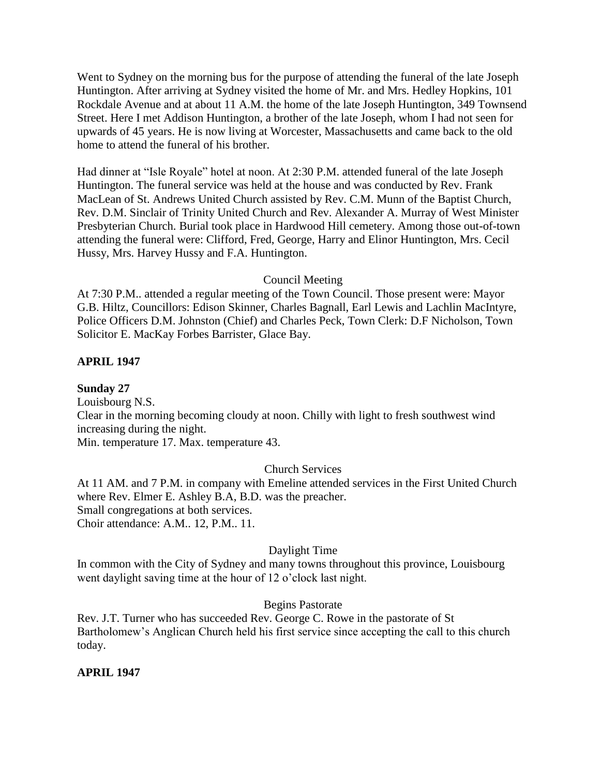Went to Sydney on the morning bus for the purpose of attending the funeral of the late Joseph Huntington. After arriving at Sydney visited the home of Mr. and Mrs. Hedley Hopkins, 101 Rockdale Avenue and at about 11 A.M. the home of the late Joseph Huntington, 349 Townsend Street. Here I met Addison Huntington, a brother of the late Joseph, whom I had not seen for upwards of 45 years. He is now living at Worcester, Massachusetts and came back to the old home to attend the funeral of his brother.

Had dinner at "Isle Royale" hotel at noon. At 2:30 P.M. attended funeral of the late Joseph Huntington. The funeral service was held at the house and was conducted by Rev. Frank MacLean of St. Andrews United Church assisted by Rev. C.M. Munn of the Baptist Church, Rev. D.M. Sinclair of Trinity United Church and Rev. Alexander A. Murray of West Minister Presbyterian Church. Burial took place in Hardwood Hill cemetery. Among those out-of-town attending the funeral were: Clifford, Fred, George, Harry and Elinor Huntington, Mrs. Cecil Hussy, Mrs. Harvey Hussy and F.A. Huntington.

## Council Meeting

At 7:30 P.M.. attended a regular meeting of the Town Council. Those present were: Mayor G.B. Hiltz, Councillors: Edison Skinner, Charles Bagnall, Earl Lewis and Lachlin MacIntyre, Police Officers D.M. Johnston (Chief) and Charles Peck, Town Clerk: D.F Nicholson, Town Solicitor E. MacKay Forbes Barrister, Glace Bay.

## **APRIL 1947**

**Sunday 27**

Louisbourg N.S.

Clear in the morning becoming cloudy at noon. Chilly with light to fresh southwest wind increasing during the night.

Min. temperature 17. Max. temperature 43.

# Church Services

At 11 AM. and 7 P.M. in company with Emeline attended services in the First United Church where Rev. Elmer E. Ashley B.A, B.D. was the preacher. Small congregations at both services. Choir attendance: A.M.. 12, P.M.. 11.

# Daylight Time

In common with the City of Sydney and many towns throughout this province, Louisbourg went daylight saving time at the hour of 12 o'clock last night.

## Begins Pastorate

Rev. J.T. Turner who has succeeded Rev. George C. Rowe in the pastorate of St Bartholomew's Anglican Church held his first service since accepting the call to this church today.

# **APRIL 1947**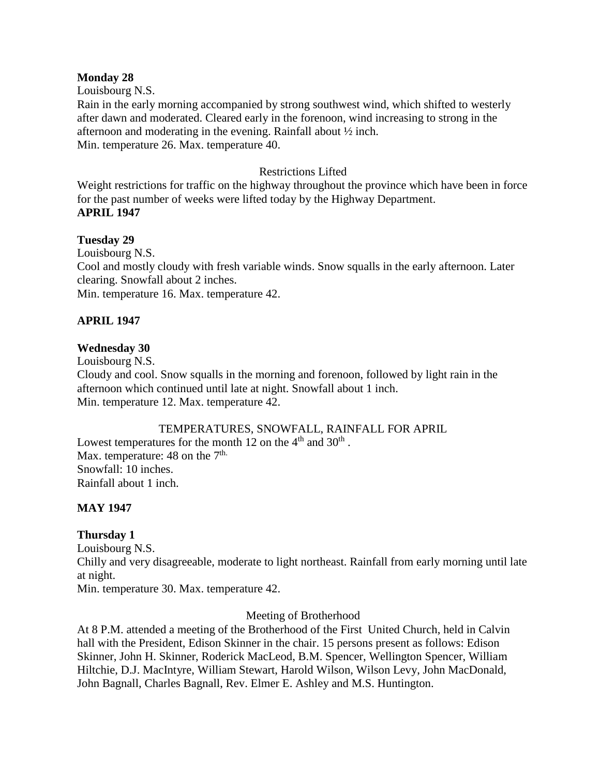#### **Monday 28**

Louisbourg N.S.

Rain in the early morning accompanied by strong southwest wind, which shifted to westerly after dawn and moderated. Cleared early in the forenoon, wind increasing to strong in the afternoon and moderating in the evening. Rainfall about ½ inch. Min. temperature 26. Max. temperature 40.

## Restrictions Lifted

Weight restrictions for traffic on the highway throughout the province which have been in force for the past number of weeks were lifted today by the Highway Department. **APRIL 1947**

## **Tuesday 29**

Louisbourg N.S. Cool and mostly cloudy with fresh variable winds. Snow squalls in the early afternoon. Later clearing. Snowfall about 2 inches. Min. temperature 16. Max. temperature 42.

# **APRIL 1947**

## **Wednesday 30**

Louisbourg N.S.

Cloudy and cool. Snow squalls in the morning and forenoon, followed by light rain in the afternoon which continued until late at night. Snowfall about 1 inch. Min. temperature 12. Max. temperature 42.

## TEMPERATURES, SNOWFALL, RAINFALL FOR APRIL

Lowest temperatures for the month 12 on the  $4<sup>th</sup>$  and  $30<sup>th</sup>$ . Max. temperature: 48 on the  $7<sup>th</sup>$ . Snowfall: 10 inches. Rainfall about 1 inch.

## **MAY 1947**

## **Thursday 1**

Louisbourg N.S.

Chilly and very disagreeable, moderate to light northeast. Rainfall from early morning until late at night.

Min. temperature 30. Max. temperature 42.

## Meeting of Brotherhood

At 8 P.M. attended a meeting of the Brotherhood of the First United Church, held in Calvin hall with the President, Edison Skinner in the chair. 15 persons present as follows: Edison Skinner, John H. Skinner, Roderick MacLeod, B.M. Spencer, Wellington Spencer, William Hiltchie, D.J. MacIntyre, William Stewart, Harold Wilson, Wilson Levy, John MacDonald, John Bagnall, Charles Bagnall, Rev. Elmer E. Ashley and M.S. Huntington.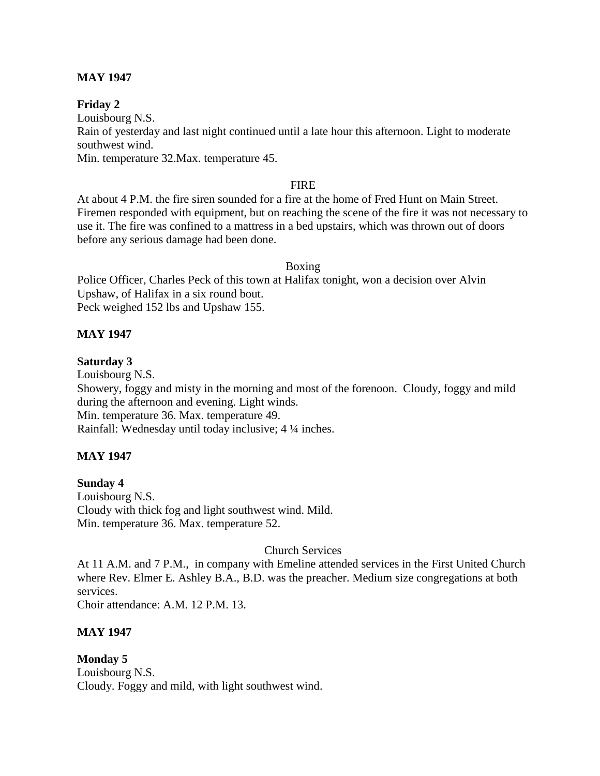## **MAY 1947**

## **Friday 2**

Louisbourg N.S.

Rain of yesterday and last night continued until a late hour this afternoon. Light to moderate southwest wind.

Min. temperature 32.Max. temperature 45.

#### FIRE

At about 4 P.M. the fire siren sounded for a fire at the home of Fred Hunt on Main Street. Firemen responded with equipment, but on reaching the scene of the fire it was not necessary to use it. The fire was confined to a mattress in a bed upstairs, which was thrown out of doors before any serious damage had been done.

## Boxing

Police Officer, Charles Peck of this town at Halifax tonight, won a decision over Alvin Upshaw, of Halifax in a six round bout. Peck weighed 152 lbs and Upshaw 155.

## **MAY 1947**

## **Saturday 3**

Louisbourg N.S. Showery, foggy and misty in the morning and most of the forenoon. Cloudy, foggy and mild during the afternoon and evening. Light winds. Min. temperature 36. Max. temperature 49. Rainfall: Wednesday until today inclusive; 4 ¼ inches.

## **MAY 1947**

## **Sunday 4**

Louisbourg N.S. Cloudy with thick fog and light southwest wind. Mild. Min. temperature 36. Max. temperature 52.

## Church Services

At 11 A.M. and 7 P.M., in company with Emeline attended services in the First United Church where Rev. Elmer E. Ashley B.A., B.D. was the preacher. Medium size congregations at both services.

Choir attendance: A.M. 12 P.M. 13.

## **MAY 1947**

**Monday 5** Louisbourg N.S. Cloudy. Foggy and mild, with light southwest wind.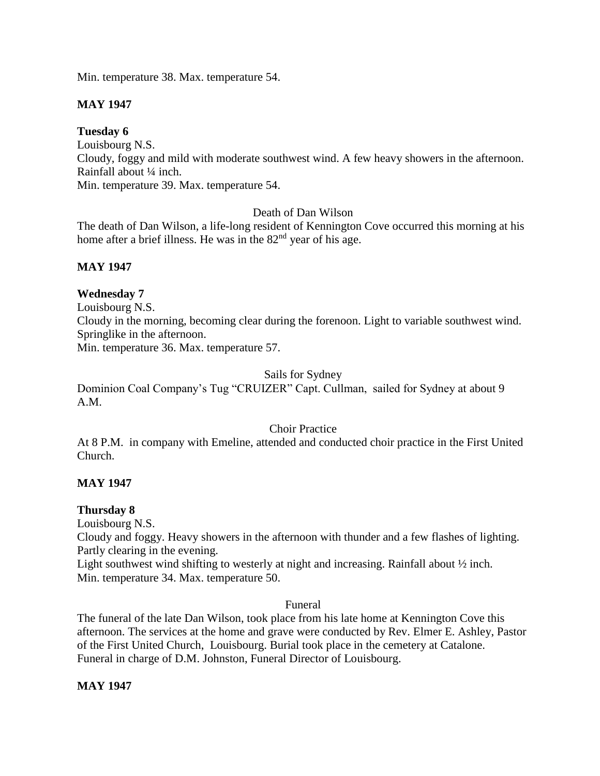Min. temperature 38. Max. temperature 54.

# **MAY 1947**

## **Tuesday 6**

Louisbourg N.S. Cloudy, foggy and mild with moderate southwest wind. A few heavy showers in the afternoon. Rainfall about ¼ inch.

Min. temperature 39. Max. temperature 54.

## Death of Dan Wilson

The death of Dan Wilson, a life-long resident of Kennington Cove occurred this morning at his home after a brief illness. He was in the 82<sup>nd</sup> year of his age.

## **MAY 1947**

## **Wednesday 7**

Louisbourg N.S.

Cloudy in the morning, becoming clear during the forenoon. Light to variable southwest wind. Springlike in the afternoon.

Min. temperature 36. Max. temperature 57.

## Sails for Sydney

Dominion Coal Company's Tug "CRUIZER" Capt. Cullman, sailed for Sydney at about 9 A.M.

## Choir Practice

At 8 P.M. in company with Emeline, attended and conducted choir practice in the First United Church.

# **MAY 1947**

# **Thursday 8**

Louisbourg N.S.

Cloudy and foggy. Heavy showers in the afternoon with thunder and a few flashes of lighting. Partly clearing in the evening.

Light southwest wind shifting to westerly at night and increasing. Rainfall about ½ inch. Min. temperature 34. Max. temperature 50.

## Funeral

The funeral of the late Dan Wilson, took place from his late home at Kennington Cove this afternoon. The services at the home and grave were conducted by Rev. Elmer E. Ashley, Pastor of the First United Church, Louisbourg. Burial took place in the cemetery at Catalone. Funeral in charge of D.M. Johnston, Funeral Director of Louisbourg.

## **MAY 1947**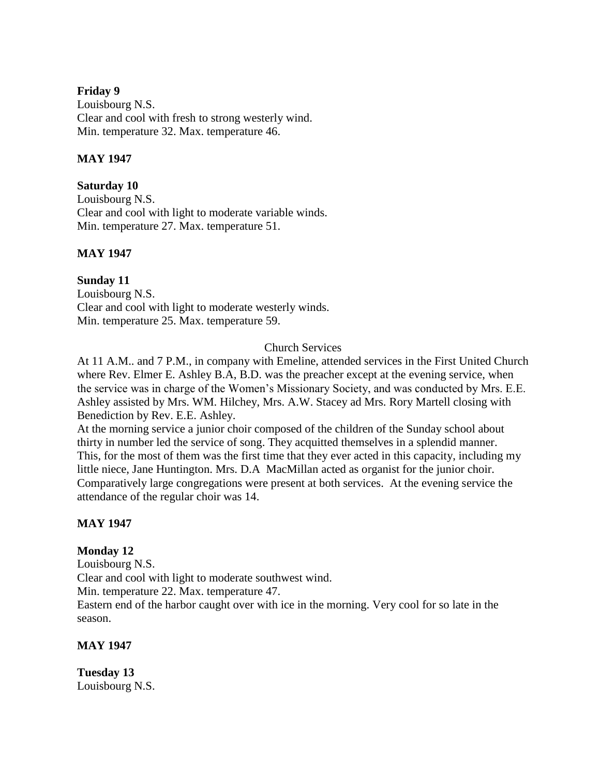## **Friday 9**

Louisbourg N.S. Clear and cool with fresh to strong westerly wind. Min. temperature 32. Max. temperature 46.

## **MAY 1947**

## **Saturday 10**

Louisbourg N.S. Clear and cool with light to moderate variable winds. Min. temperature 27. Max. temperature 51.

## **MAY 1947**

**Sunday 11** Louisbourg N.S. Clear and cool with light to moderate westerly winds. Min. temperature 25. Max. temperature 59.

## Church Services

At 11 A.M.. and 7 P.M., in company with Emeline, attended services in the First United Church where Rev. Elmer E. Ashley B.A, B.D. was the preacher except at the evening service, when the service was in charge of the Women's Missionary Society, and was conducted by Mrs. E.E. Ashley assisted by Mrs. WM. Hilchey, Mrs. A.W. Stacey ad Mrs. Rory Martell closing with Benediction by Rev. E.E. Ashley.

At the morning service a junior choir composed of the children of the Sunday school about thirty in number led the service of song. They acquitted themselves in a splendid manner. This, for the most of them was the first time that they ever acted in this capacity, including my little niece, Jane Huntington. Mrs. D.A MacMillan acted as organist for the junior choir. Comparatively large congregations were present at both services. At the evening service the attendance of the regular choir was 14.

# **MAY 1947**

# **Monday 12**

Louisbourg N.S. Clear and cool with light to moderate southwest wind. Min. temperature 22. Max. temperature 47. Eastern end of the harbor caught over with ice in the morning. Very cool for so late in the season.

## **MAY 1947**

**Tuesday 13** Louisbourg N.S.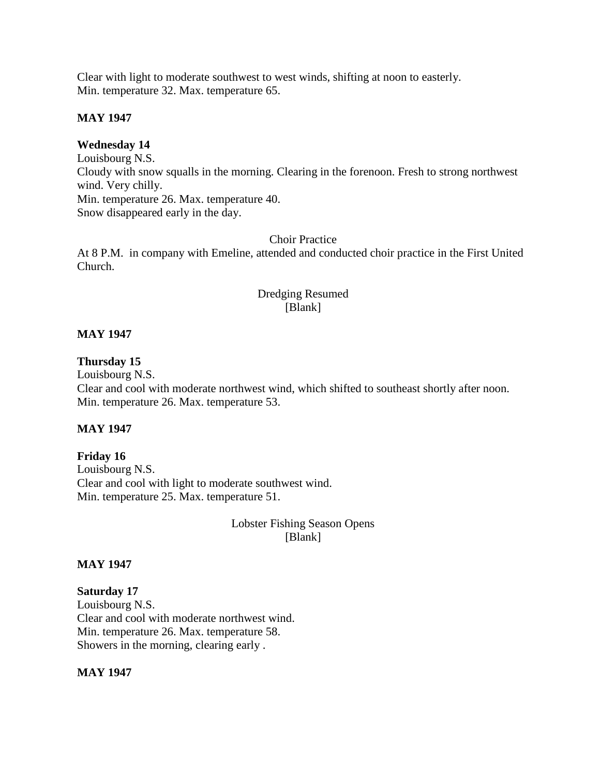Clear with light to moderate southwest to west winds, shifting at noon to easterly. Min. temperature 32. Max. temperature 65.

## **MAY 1947**

## **Wednesday 14**

Louisbourg N.S. Cloudy with snow squalls in the morning. Clearing in the forenoon. Fresh to strong northwest wind. Very chilly. Min. temperature 26. Max. temperature 40. Snow disappeared early in the day.

## Choir Practice

At 8 P.M. in company with Emeline, attended and conducted choir practice in the First United Church.

## Dredging Resumed [Blank]

## **MAY 1947**

## **Thursday 15**

Louisbourg N.S.

Clear and cool with moderate northwest wind, which shifted to southeast shortly after noon. Min. temperature 26. Max. temperature 53.

## **MAY 1947**

## **Friday 16**

Louisbourg N.S. Clear and cool with light to moderate southwest wind. Min. temperature 25. Max. temperature 51.

## Lobster Fishing Season Opens [Blank]

## **MAY 1947**

## **Saturday 17** Louisbourg N.S. Clear and cool with moderate northwest wind. Min. temperature 26. Max. temperature 58. Showers in the morning, clearing early .

## **MAY 1947**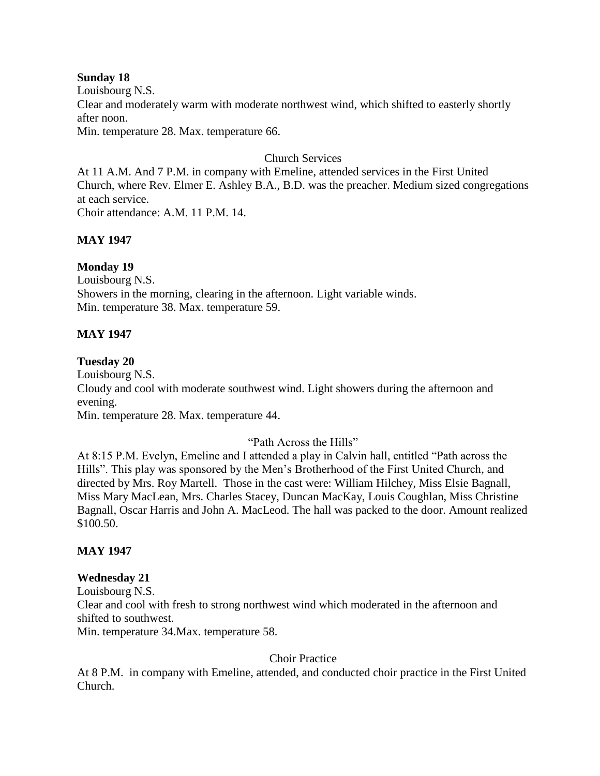## **Sunday 18**

Louisbourg N.S. Clear and moderately warm with moderate northwest wind, which shifted to easterly shortly after noon.

Min. temperature 28. Max. temperature 66.

## Church Services

At 11 A.M. And 7 P.M. in company with Emeline, attended services in the First United Church, where Rev. Elmer E. Ashley B.A., B.D. was the preacher. Medium sized congregations at each service. Choir attendance: A.M. 11 P.M. 14.

**MAY 1947**

## **Monday 19**

Louisbourg N.S. Showers in the morning, clearing in the afternoon. Light variable winds. Min. temperature 38. Max. temperature 59.

## **MAY 1947**

## **Tuesday 20**

Louisbourg N.S. Cloudy and cool with moderate southwest wind. Light showers during the afternoon and evening.

Min. temperature 28. Max. temperature 44.

# "Path Across the Hills"

At 8:15 P.M. Evelyn, Emeline and I attended a play in Calvin hall, entitled "Path across the Hills". This play was sponsored by the Men's Brotherhood of the First United Church, and directed by Mrs. Roy Martell. Those in the cast were: William Hilchey, Miss Elsie Bagnall, Miss Mary MacLean, Mrs. Charles Stacey, Duncan MacKay, Louis Coughlan, Miss Christine Bagnall, Oscar Harris and John A. MacLeod. The hall was packed to the door. Amount realized \$100.50.

## **MAY 1947**

#### **Wednesday 21**

Louisbourg N.S. Clear and cool with fresh to strong northwest wind which moderated in the afternoon and shifted to southwest. Min. temperature 34.Max. temperature 58.

Choir Practice

At 8 P.M. in company with Emeline, attended, and conducted choir practice in the First United Church.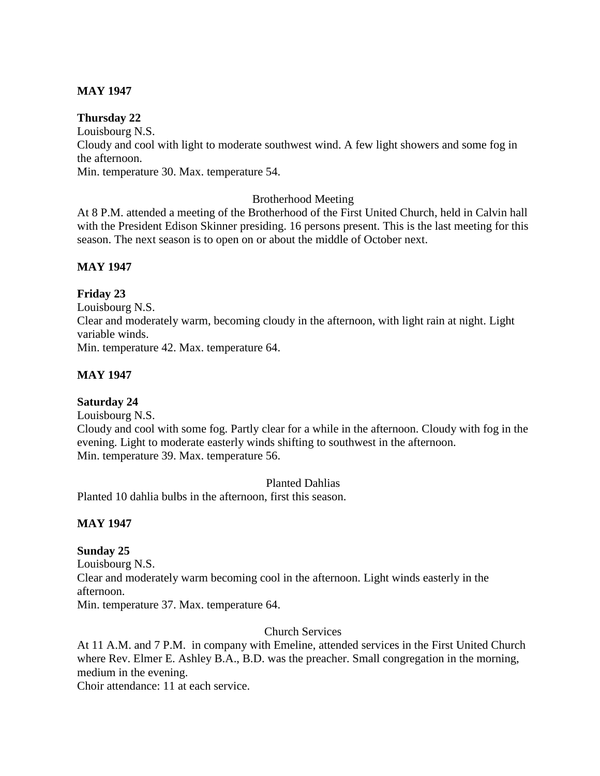## **MAY 1947**

## **Thursday 22**

Louisbourg N.S. Cloudy and cool with light to moderate southwest wind. A few light showers and some fog in the afternoon.

Min. temperature 30. Max. temperature 54.

## Brotherhood Meeting

At 8 P.M. attended a meeting of the Brotherhood of the First United Church, held in Calvin hall with the President Edison Skinner presiding. 16 persons present. This is the last meeting for this season. The next season is to open on or about the middle of October next.

## **MAY 1947**

## **Friday 23**

Louisbourg N.S. Clear and moderately warm, becoming cloudy in the afternoon, with light rain at night. Light variable winds. Min. temperature 42. Max. temperature 64.

## **MAY 1947**

## **Saturday 24**

Louisbourg N.S. Cloudy and cool with some fog. Partly clear for a while in the afternoon. Cloudy with fog in the evening. Light to moderate easterly winds shifting to southwest in the afternoon. Min. temperature 39. Max. temperature 56.

Planted Dahlias

Planted 10 dahlia bulbs in the afternoon, first this season.

## **MAY 1947**

# **Sunday 25**

Louisbourg N.S. Clear and moderately warm becoming cool in the afternoon. Light winds easterly in the afternoon. Min. temperature 37. Max. temperature 64.

Church Services

At 11 A.M. and 7 P.M. in company with Emeline, attended services in the First United Church where Rev. Elmer E. Ashley B.A., B.D. was the preacher. Small congregation in the morning, medium in the evening.

Choir attendance: 11 at each service.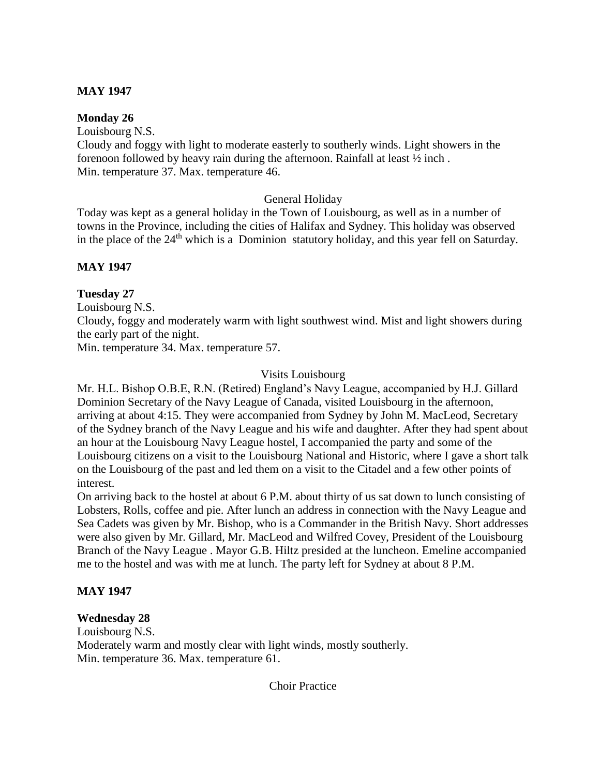## **MAY 1947**

## **Monday 26**

Louisbourg N.S.

Cloudy and foggy with light to moderate easterly to southerly winds. Light showers in the forenoon followed by heavy rain during the afternoon. Rainfall at least ½ inch . Min. temperature 37. Max. temperature 46.

## General Holiday

Today was kept as a general holiday in the Town of Louisbourg, as well as in a number of towns in the Province, including the cities of Halifax and Sydney. This holiday was observed in the place of the 24<sup>th</sup> which is a Dominion statutory holiday, and this year fell on Saturday.

## **MAY 1947**

## **Tuesday 27**

Louisbourg N.S.

Cloudy, foggy and moderately warm with light southwest wind. Mist and light showers during the early part of the night.

Min. temperature 34. Max. temperature 57.

## Visits Louisbourg

Mr. H.L. Bishop O.B.E, R.N. (Retired) England's Navy League, accompanied by H.J. Gillard Dominion Secretary of the Navy League of Canada, visited Louisbourg in the afternoon, arriving at about 4:15. They were accompanied from Sydney by John M. MacLeod, Secretary of the Sydney branch of the Navy League and his wife and daughter. After they had spent about an hour at the Louisbourg Navy League hostel, I accompanied the party and some of the Louisbourg citizens on a visit to the Louisbourg National and Historic, where I gave a short talk on the Louisbourg of the past and led them on a visit to the Citadel and a few other points of interest.

On arriving back to the hostel at about 6 P.M. about thirty of us sat down to lunch consisting of Lobsters, Rolls, coffee and pie. After lunch an address in connection with the Navy League and Sea Cadets was given by Mr. Bishop, who is a Commander in the British Navy. Short addresses were also given by Mr. Gillard, Mr. MacLeod and Wilfred Covey, President of the Louisbourg Branch of the Navy League . Mayor G.B. Hiltz presided at the luncheon. Emeline accompanied me to the hostel and was with me at lunch. The party left for Sydney at about 8 P.M.

## **MAY 1947**

## **Wednesday 28**

Louisbourg N.S. Moderately warm and mostly clear with light winds, mostly southerly. Min. temperature 36. Max. temperature 61.

Choir Practice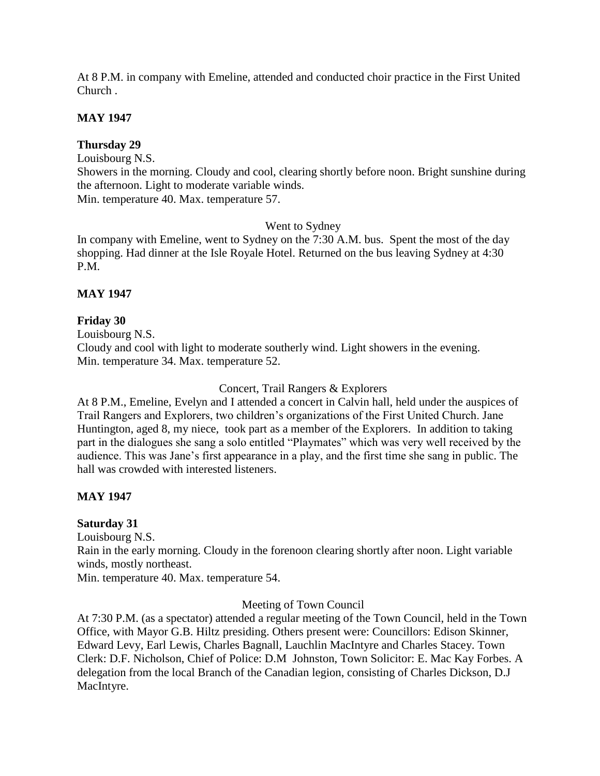At 8 P.M. in company with Emeline, attended and conducted choir practice in the First United Church .

## **MAY 1947**

## **Thursday 29**

Louisbourg N.S.

Showers in the morning. Cloudy and cool, clearing shortly before noon. Bright sunshine during the afternoon. Light to moderate variable winds.

Min. temperature 40. Max. temperature 57.

## Went to Sydney

In company with Emeline, went to Sydney on the 7:30 A.M. bus. Spent the most of the day shopping. Had dinner at the Isle Royale Hotel. Returned on the bus leaving Sydney at 4:30 P.M.

## **MAY 1947**

# **Friday 30**

Louisbourg N.S. Cloudy and cool with light to moderate southerly wind. Light showers in the evening. Min. temperature 34. Max. temperature 52.

## Concert, Trail Rangers & Explorers

At 8 P.M., Emeline, Evelyn and I attended a concert in Calvin hall, held under the auspices of Trail Rangers and Explorers, two children's organizations of the First United Church. Jane Huntington, aged 8, my niece, took part as a member of the Explorers. In addition to taking part in the dialogues she sang a solo entitled "Playmates" which was very well received by the audience. This was Jane's first appearance in a play, and the first time she sang in public. The hall was crowded with interested listeners.

# **MAY 1947**

# **Saturday 31**

Louisbourg N.S. Rain in the early morning. Cloudy in the forenoon clearing shortly after noon. Light variable winds, mostly northeast.

Min. temperature 40. Max. temperature 54.

# Meeting of Town Council

At 7:30 P.M. (as a spectator) attended a regular meeting of the Town Council, held in the Town Office, with Mayor G.B. Hiltz presiding. Others present were: Councillors: Edison Skinner, Edward Levy, Earl Lewis, Charles Bagnall, Lauchlin MacIntyre and Charles Stacey. Town Clerk: D.F. Nicholson, Chief of Police: D.M Johnston, Town Solicitor: E. Mac Kay Forbes. A delegation from the local Branch of the Canadian legion, consisting of Charles Dickson, D.J MacIntyre.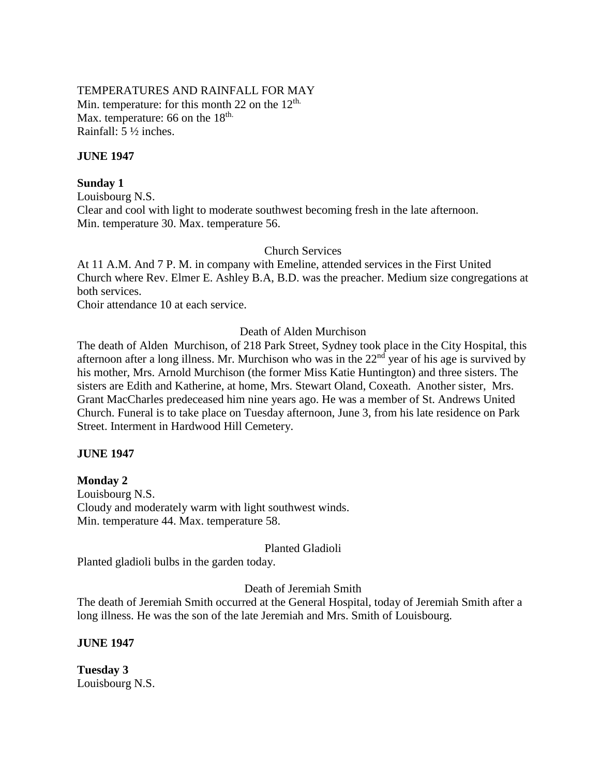## TEMPERATURES AND RAINFALL FOR MAY Min. temperature: for this month 22 on the  $12<sup>th</sup>$ . Max. temperature: 66 on the 18<sup>th.</sup> Rainfall: 5 ½ inches.

## **JUNE 1947**

## **Sunday 1**

Louisbourg N.S. Clear and cool with light to moderate southwest becoming fresh in the late afternoon. Min. temperature 30. Max. temperature 56.

Church Services

At 11 A.M. And 7 P. M. in company with Emeline, attended services in the First United Church where Rev. Elmer E. Ashley B.A, B.D. was the preacher. Medium size congregations at both services.

Choir attendance 10 at each service.

#### Death of Alden Murchison

The death of Alden Murchison, of 218 Park Street, Sydney took place in the City Hospital, this afternoon after a long illness. Mr. Murchison who was in the  $22<sup>nd</sup>$  year of his age is survived by his mother, Mrs. Arnold Murchison (the former Miss Katie Huntington) and three sisters. The sisters are Edith and Katherine, at home, Mrs. Stewart Oland, Coxeath. Another sister, Mrs. Grant MacCharles predeceased him nine years ago. He was a member of St. Andrews United Church. Funeral is to take place on Tuesday afternoon, June 3, from his late residence on Park Street. Interment in Hardwood Hill Cemetery.

## **JUNE 1947**

## **Monday 2**

Louisbourg N.S. Cloudy and moderately warm with light southwest winds. Min. temperature 44. Max. temperature 58.

## Planted Gladioli

Planted gladioli bulbs in the garden today.

#### Death of Jeremiah Smith

The death of Jeremiah Smith occurred at the General Hospital, today of Jeremiah Smith after a long illness. He was the son of the late Jeremiah and Mrs. Smith of Louisbourg.

**JUNE 1947**

**Tuesday 3** Louisbourg N.S.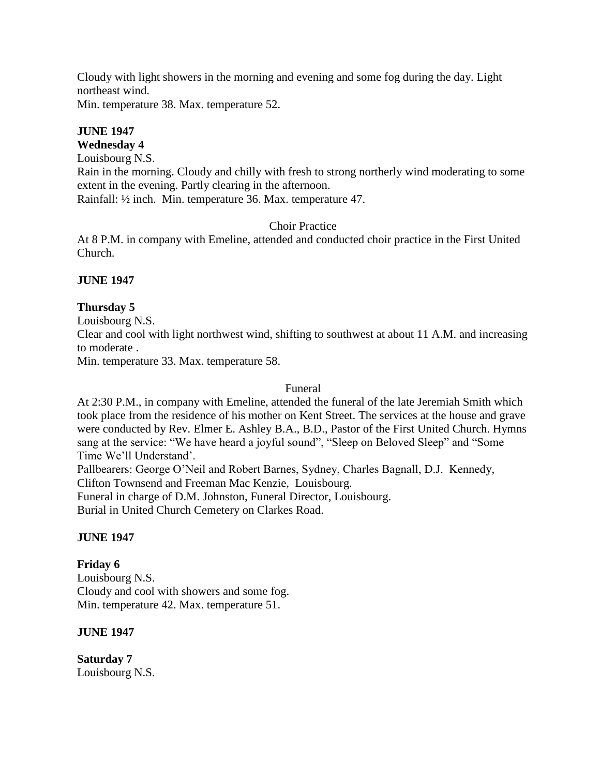Cloudy with light showers in the morning and evening and some fog during the day. Light northeast wind.

Min. temperature 38. Max. temperature 52.

# **JUNE 1947**

**Wednesday 4**

Louisbourg N.S.

Rain in the morning. Cloudy and chilly with fresh to strong northerly wind moderating to some extent in the evening. Partly clearing in the afternoon.

Rainfall: ½ inch. Min. temperature 36. Max. temperature 47.

# Choir Practice

At 8 P.M. in company with Emeline, attended and conducted choir practice in the First United Church.

# **JUNE 1947**

# **Thursday 5**

Louisbourg N.S.

Clear and cool with light northwest wind, shifting to southwest at about 11 A.M. and increasing to moderate .

Min. temperature 33. Max. temperature 58.

## Funeral

At 2:30 P.M., in company with Emeline, attended the funeral of the late Jeremiah Smith which took place from the residence of his mother on Kent Street. The services at the house and grave were conducted by Rev. Elmer E. Ashley B.A., B.D., Pastor of the First United Church. Hymns sang at the service: "We have heard a joyful sound", "Sleep on Beloved Sleep" and "Some Time We'll Understand'.

Pallbearers: George O'Neil and Robert Barnes, Sydney, Charles Bagnall, D.J. Kennedy, Clifton Townsend and Freeman Mac Kenzie, Louisbourg. Funeral in charge of D.M. Johnston, Funeral Director, Louisbourg.

Burial in United Church Cemetery on Clarkes Road.

# **JUNE 1947**

# **Friday 6**

Louisbourg N.S. Cloudy and cool with showers and some fog. Min. temperature 42. Max. temperature 51.

# **JUNE 1947**

**Saturday 7** Louisbourg N.S.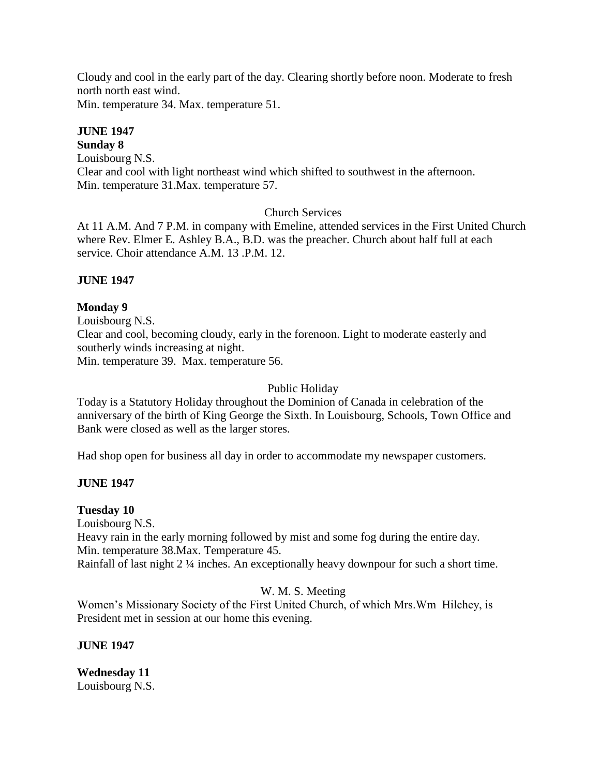Cloudy and cool in the early part of the day. Clearing shortly before noon. Moderate to fresh north north east wind.

Min. temperature 34. Max. temperature 51.

# **JUNE 1947**

**Sunday 8** Louisbourg N.S. Clear and cool with light northeast wind which shifted to southwest in the afternoon. Min. temperature 31.Max. temperature 57.

# Church Services

At 11 A.M. And 7 P.M. in company with Emeline, attended services in the First United Church where Rev. Elmer E. Ashley B.A., B.D. was the preacher. Church about half full at each service. Choir attendance A.M. 13 .P.M. 12.

# **JUNE 1947**

# **Monday 9**

Louisbourg N.S. Clear and cool, becoming cloudy, early in the forenoon. Light to moderate easterly and southerly winds increasing at night. Min. temperature 39. Max. temperature 56.

# Public Holiday

Today is a Statutory Holiday throughout the Dominion of Canada in celebration of the anniversary of the birth of King George the Sixth. In Louisbourg, Schools, Town Office and Bank were closed as well as the larger stores.

Had shop open for business all day in order to accommodate my newspaper customers.

# **JUNE 1947**

# **Tuesday 10**

Louisbourg N.S.

Heavy rain in the early morning followed by mist and some fog during the entire day. Min. temperature 38.Max. Temperature 45.

Rainfall of last night 2 ¼ inches. An exceptionally heavy downpour for such a short time.

# W. M. S. Meeting

Women's Missionary Society of the First United Church, of which Mrs.Wm Hilchey, is President met in session at our home this evening.

**JUNE 1947**

**Wednesday 11** Louisbourg N.S.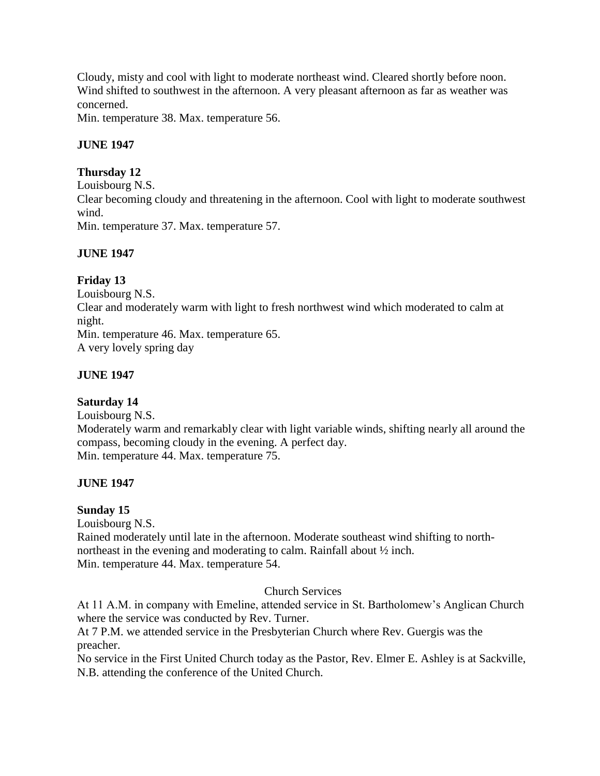Cloudy, misty and cool with light to moderate northeast wind. Cleared shortly before noon. Wind shifted to southwest in the afternoon. A very pleasant afternoon as far as weather was concerned.

Min. temperature 38. Max. temperature 56.

# **JUNE 1947**

# **Thursday 12**

Louisbourg N.S. Clear becoming cloudy and threatening in the afternoon. Cool with light to moderate southwest wind.

Min. temperature 37. Max. temperature 57.

# **JUNE 1947**

# **Friday 13**

Louisbourg N.S. Clear and moderately warm with light to fresh northwest wind which moderated to calm at night. Min. temperature 46. Max. temperature 65. A very lovely spring day

# **JUNE 1947**

# **Saturday 14**

Louisbourg N.S. Moderately warm and remarkably clear with light variable winds, shifting nearly all around the compass, becoming cloudy in the evening. A perfect day. Min. temperature 44. Max. temperature 75.

# **JUNE 1947**

# **Sunday 15**

Louisbourg N.S. Rained moderately until late in the afternoon. Moderate southeast wind shifting to northnortheast in the evening and moderating to calm. Rainfall about ½ inch. Min. temperature 44. Max. temperature 54.

# Church Services

At 11 A.M. in company with Emeline, attended service in St. Bartholomew's Anglican Church where the service was conducted by Rev. Turner.

At 7 P.M. we attended service in the Presbyterian Church where Rev. Guergis was the preacher.

No service in the First United Church today as the Pastor, Rev. Elmer E. Ashley is at Sackville, N.B. attending the conference of the United Church.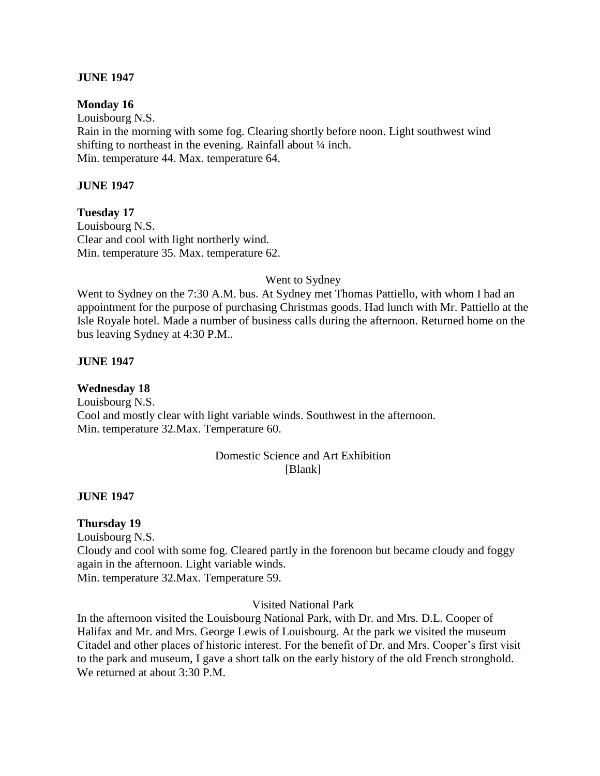## **JUNE 1947**

#### **Monday 16**

Louisbourg N.S. Rain in the morning with some fog. Clearing shortly before noon. Light southwest wind shifting to northeast in the evening. Rainfall about ¼ inch. Min. temperature 44. Max. temperature 64.

#### **JUNE 1947**

**Tuesday 17** Louisbourg N.S. Clear and cool with light northerly wind. Min. temperature 35. Max. temperature 62.

#### Went to Sydney

Went to Sydney on the 7:30 A.M. bus. At Sydney met Thomas Pattiello, with whom I had an appointment for the purpose of purchasing Christmas goods. Had lunch with Mr. Pattiello at the Isle Royale hotel. Made a number of business calls during the afternoon. Returned home on the bus leaving Sydney at 4:30 P.M..

#### **JUNE 1947**

## **Wednesday 18**

Louisbourg N.S. Cool and mostly clear with light variable winds. Southwest in the afternoon. Min. temperature 32.Max. Temperature 60.

#### Domestic Science and Art Exhibition [Blank]

#### **JUNE 1947**

#### **Thursday 19**

Louisbourg N.S. Cloudy and cool with some fog. Cleared partly in the forenoon but became cloudy and foggy again in the afternoon. Light variable winds. Min. temperature 32.Max. Temperature 59.

Visited National Park

In the afternoon visited the Louisbourg National Park, with Dr. and Mrs. D.L. Cooper of Halifax and Mr. and Mrs. George Lewis of Louisbourg. At the park we visited the museum Citadel and other places of historic interest. For the benefit of Dr. and Mrs. Cooper's first visit to the park and museum, I gave a short talk on the early history of the old French stronghold. We returned at about 3:30 P.M.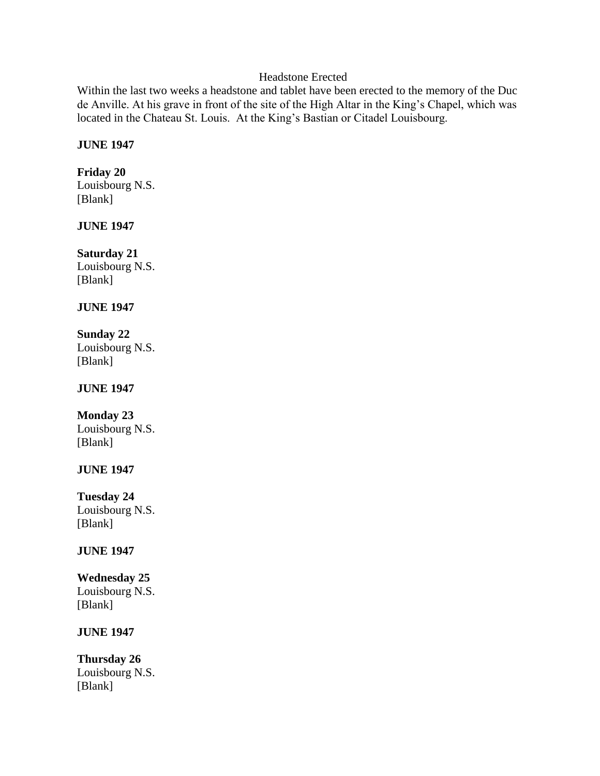# Headstone Erected

Within the last two weeks a headstone and tablet have been erected to the memory of the Duc de Anville. At his grave in front of the site of the High Altar in the King's Chapel, which was located in the Chateau St. Louis. At the King's Bastian or Citadel Louisbourg.

## **JUNE 1947**

## **Friday 20**

Louisbourg N.S. [Blank]

# **JUNE 1947**

**Saturday 21** Louisbourg N.S. [Blank]

## **JUNE 1947**

# **Sunday 22**

Louisbourg N.S. [Blank]

# **JUNE 1947**

# **Monday 23**

Louisbourg N.S. [Blank]

# **JUNE 1947**

# **Tuesday 24**

Louisbourg N.S. [Blank]

# **JUNE 1947**

## **Wednesday 25** Louisbourg N.S. [Blank]

# **JUNE 1947**

**Thursday 26** Louisbourg N.S. [Blank]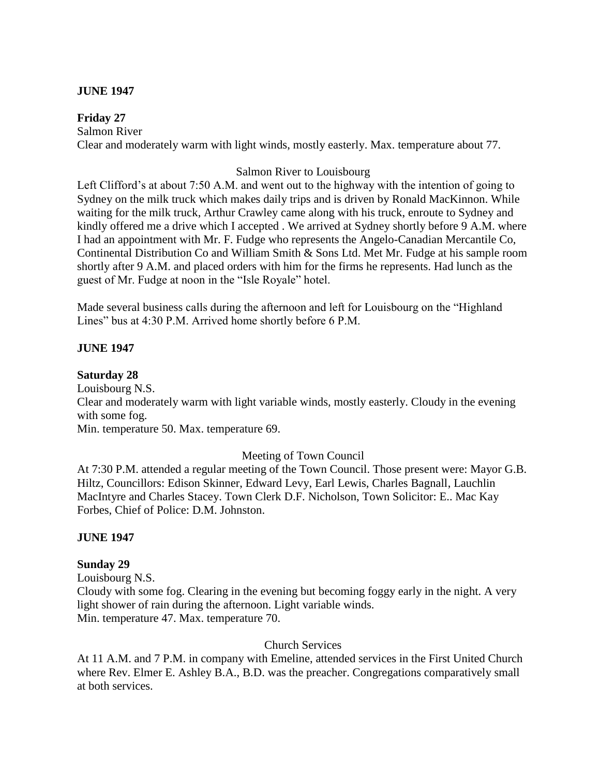## **JUNE 1947**

**Friday 27** Salmon River Clear and moderately warm with light winds, mostly easterly. Max. temperature about 77.

## Salmon River to Louisbourg

Left Clifford's at about 7:50 A.M. and went out to the highway with the intention of going to Sydney on the milk truck which makes daily trips and is driven by Ronald MacKinnon. While waiting for the milk truck, Arthur Crawley came along with his truck, enroute to Sydney and kindly offered me a drive which I accepted . We arrived at Sydney shortly before 9 A.M. where I had an appointment with Mr. F. Fudge who represents the Angelo-Canadian Mercantile Co, Continental Distribution Co and William Smith & Sons Ltd. Met Mr. Fudge at his sample room shortly after 9 A.M. and placed orders with him for the firms he represents. Had lunch as the guest of Mr. Fudge at noon in the "Isle Royale" hotel.

Made several business calls during the afternoon and left for Louisbourg on the "Highland Lines" bus at 4:30 P.M. Arrived home shortly before 6 P.M.

## **JUNE 1947**

## **Saturday 28**

Louisbourg N.S.

Clear and moderately warm with light variable winds, mostly easterly. Cloudy in the evening with some fog.

Min. temperature 50. Max. temperature 69.

## Meeting of Town Council

At 7:30 P.M. attended a regular meeting of the Town Council. Those present were: Mayor G.B. Hiltz, Councillors: Edison Skinner, Edward Levy, Earl Lewis, Charles Bagnall, Lauchlin MacIntyre and Charles Stacey. Town Clerk D.F. Nicholson, Town Solicitor: E.. Mac Kay Forbes, Chief of Police: D.M. Johnston.

## **JUNE 1947**

#### **Sunday 29**

Louisbourg N.S. Cloudy with some fog. Clearing in the evening but becoming foggy early in the night. A very light shower of rain during the afternoon. Light variable winds. Min. temperature 47. Max. temperature 70.

## Church Services

At 11 A.M. and 7 P.M. in company with Emeline, attended services in the First United Church where Rev. Elmer E. Ashley B.A., B.D. was the preacher. Congregations comparatively small at both services.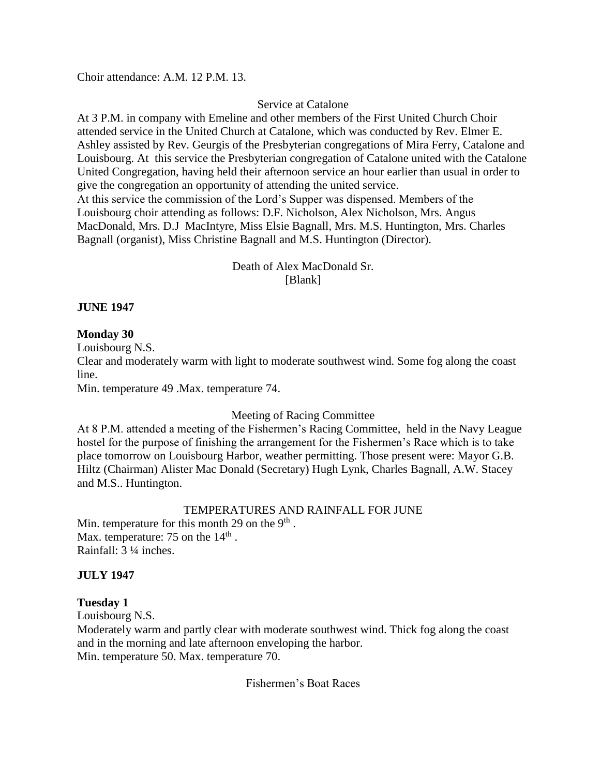Choir attendance: A.M. 12 P.M. 13.

## Service at Catalone

At 3 P.M. in company with Emeline and other members of the First United Church Choir attended service in the United Church at Catalone, which was conducted by Rev. Elmer E. Ashley assisted by Rev. Geurgis of the Presbyterian congregations of Mira Ferry, Catalone and Louisbourg. At this service the Presbyterian congregation of Catalone united with the Catalone United Congregation, having held their afternoon service an hour earlier than usual in order to give the congregation an opportunity of attending the united service. At this service the commission of the Lord's Supper was dispensed. Members of the Louisbourg choir attending as follows: D.F. Nicholson, Alex Nicholson, Mrs. Angus

MacDonald, Mrs. D.J MacIntyre, Miss Elsie Bagnall, Mrs. M.S. Huntington, Mrs. Charles Bagnall (organist), Miss Christine Bagnall and M.S. Huntington (Director).

> Death of Alex MacDonald Sr. [Blank]

## **JUNE 1947**

## **Monday 30**

Louisbourg N.S.

Clear and moderately warm with light to moderate southwest wind. Some fog along the coast line.

Min. temperature 49 .Max. temperature 74.

# Meeting of Racing Committee

At 8 P.M. attended a meeting of the Fishermen's Racing Committee, held in the Navy League hostel for the purpose of finishing the arrangement for the Fishermen's Race which is to take place tomorrow on Louisbourg Harbor, weather permitting. Those present were: Mayor G.B. Hiltz (Chairman) Alister Mac Donald (Secretary) Hugh Lynk, Charles Bagnall, A.W. Stacey and M.S.. Huntington.

## TEMPERATURES AND RAINFALL FOR JUNE

Min. temperature for this month 29 on the  $9<sup>th</sup>$ . Max. temperature: 75 on the  $14<sup>th</sup>$ . Rainfall: 3 ¼ inches.

## **JULY 1947**

## **Tuesday 1**

Louisbourg N.S.

Moderately warm and partly clear with moderate southwest wind. Thick fog along the coast and in the morning and late afternoon enveloping the harbor. Min. temperature 50. Max. temperature 70.

Fishermen's Boat Races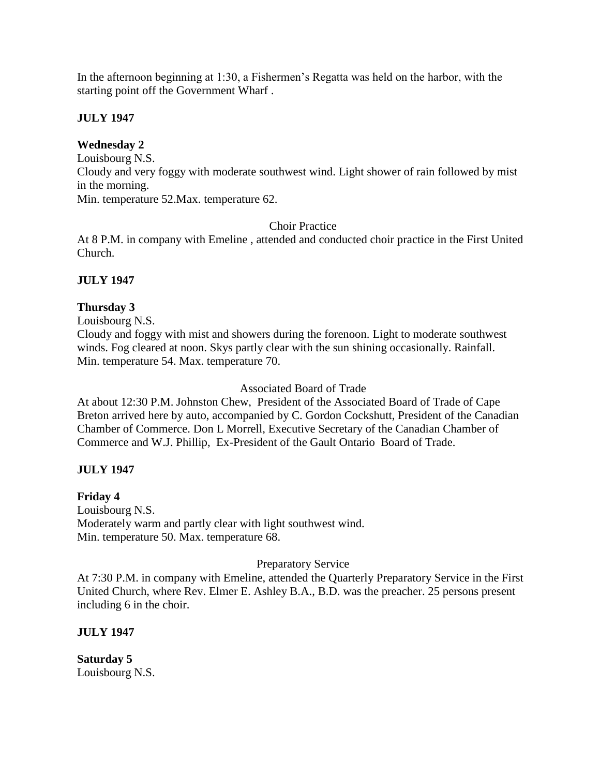In the afternoon beginning at 1:30, a Fishermen's Regatta was held on the harbor, with the starting point off the Government Wharf .

# **JULY 1947**

# **Wednesday 2**

Louisbourg N.S. Cloudy and very foggy with moderate southwest wind. Light shower of rain followed by mist in the morning. Min. temperature 52.Max. temperature 62.

Choir Practice

At 8 P.M. in company with Emeline , attended and conducted choir practice in the First United Church.

# **JULY 1947**

# **Thursday 3**

Louisbourg N.S.

Cloudy and foggy with mist and showers during the forenoon. Light to moderate southwest winds. Fog cleared at noon. Skys partly clear with the sun shining occasionally. Rainfall. Min. temperature 54. Max. temperature 70.

## Associated Board of Trade

At about 12:30 P.M. Johnston Chew, President of the Associated Board of Trade of Cape Breton arrived here by auto, accompanied by C. Gordon Cockshutt, President of the Canadian Chamber of Commerce. Don L Morrell, Executive Secretary of the Canadian Chamber of Commerce and W.J. Phillip, Ex-President of the Gault Ontario Board of Trade.

# **JULY 1947**

# **Friday 4**

Louisbourg N.S. Moderately warm and partly clear with light southwest wind. Min. temperature 50. Max. temperature 68.

## Preparatory Service

At 7:30 P.M. in company with Emeline, attended the Quarterly Preparatory Service in the First United Church, where Rev. Elmer E. Ashley B.A., B.D. was the preacher. 25 persons present including 6 in the choir.

# **JULY 1947**

**Saturday 5** Louisbourg N.S.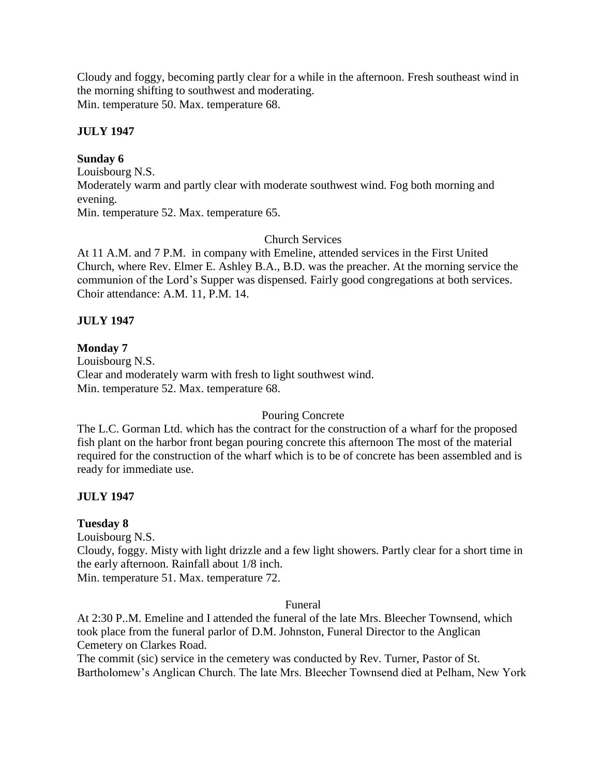Cloudy and foggy, becoming partly clear for a while in the afternoon. Fresh southeast wind in the morning shifting to southwest and moderating. Min. temperature 50. Max. temperature 68.

## **JULY 1947**

## **Sunday 6**

Louisbourg N.S. Moderately warm and partly clear with moderate southwest wind. Fog both morning and evening. Min. temperature 52. Max. temperature 65.

## Church Services

At 11 A.M. and 7 P.M. in company with Emeline, attended services in the First United Church, where Rev. Elmer E. Ashley B.A., B.D. was the preacher. At the morning service the communion of the Lord's Supper was dispensed. Fairly good congregations at both services. Choir attendance: A.M. 11, P.M. 14.

## **JULY 1947**

## **Monday 7**

Louisbourg N.S. Clear and moderately warm with fresh to light southwest wind. Min. temperature 52. Max. temperature 68.

## Pouring Concrete

The L.C. Gorman Ltd. which has the contract for the construction of a wharf for the proposed fish plant on the harbor front began pouring concrete this afternoon The most of the material required for the construction of the wharf which is to be of concrete has been assembled and is ready for immediate use.

## **JULY 1947**

## **Tuesday 8**

Louisbourg N.S. Cloudy, foggy. Misty with light drizzle and a few light showers. Partly clear for a short time in the early afternoon. Rainfall about 1/8 inch. Min. temperature 51. Max. temperature 72.

#### Funeral

At 2:30 P..M. Emeline and I attended the funeral of the late Mrs. Bleecher Townsend, which took place from the funeral parlor of D.M. Johnston, Funeral Director to the Anglican Cemetery on Clarkes Road.

The commit (sic) service in the cemetery was conducted by Rev. Turner, Pastor of St. Bartholomew's Anglican Church. The late Mrs. Bleecher Townsend died at Pelham, New York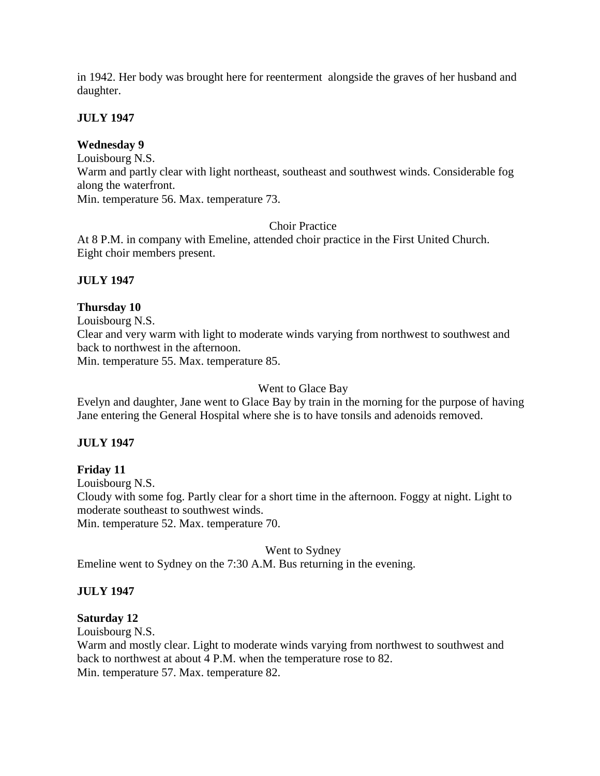in 1942. Her body was brought here for reenterment alongside the graves of her husband and daughter.

## **JULY 1947**

## **Wednesday 9**

Louisbourg N.S.

Warm and partly clear with light northeast, southeast and southwest winds. Considerable fog along the waterfront.

Min. temperature 56. Max. temperature 73.

## Choir Practice

At 8 P.M. in company with Emeline, attended choir practice in the First United Church. Eight choir members present.

## **JULY 1947**

## **Thursday 10**

Louisbourg N.S.

Clear and very warm with light to moderate winds varying from northwest to southwest and back to northwest in the afternoon.

Min. temperature 55. Max. temperature 85.

## Went to Glace Bay

Evelyn and daughter, Jane went to Glace Bay by train in the morning for the purpose of having Jane entering the General Hospital where she is to have tonsils and adenoids removed.

## **JULY 1947**

**Friday 11** Louisbourg N.S. Cloudy with some fog. Partly clear for a short time in the afternoon. Foggy at night. Light to moderate southeast to southwest winds.

Min. temperature 52. Max. temperature 70.

## Went to Sydney

Emeline went to Sydney on the 7:30 A.M. Bus returning in the evening.

## **JULY 1947**

## **Saturday 12**

Louisbourg N.S.

Warm and mostly clear. Light to moderate winds varying from northwest to southwest and back to northwest at about 4 P.M. when the temperature rose to 82. Min. temperature 57. Max. temperature 82.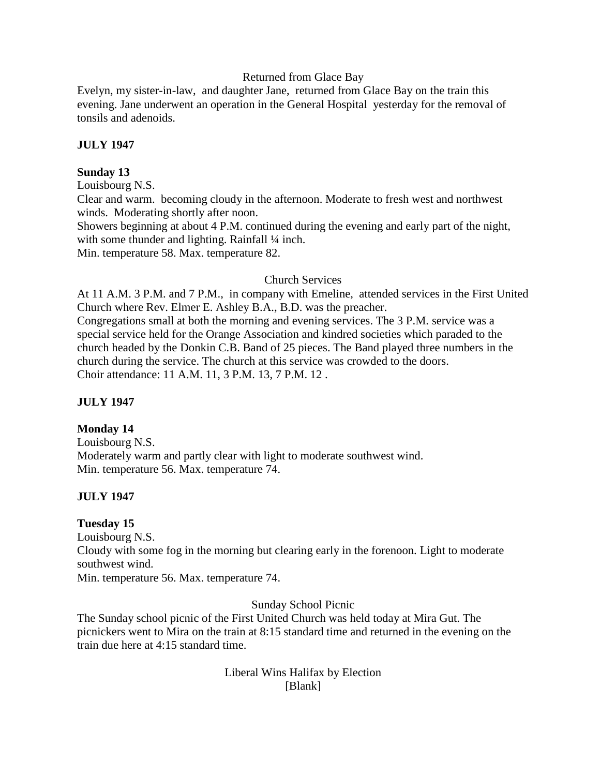## Returned from Glace Bay

Evelyn, my sister-in-law, and daughter Jane, returned from Glace Bay on the train this evening. Jane underwent an operation in the General Hospital yesterday for the removal of tonsils and adenoids.

## **JULY 1947**

## **Sunday 13**

Louisbourg N.S.

Clear and warm. becoming cloudy in the afternoon. Moderate to fresh west and northwest winds. Moderating shortly after noon.

Showers beginning at about 4 P.M. continued during the evening and early part of the night, with some thunder and lighting. Rainfall 1/4 inch.

Min. temperature 58. Max. temperature 82.

## Church Services

At 11 A.M. 3 P.M. and 7 P.M., in company with Emeline, attended services in the First United Church where Rev. Elmer E. Ashley B.A., B.D. was the preacher.

Congregations small at both the morning and evening services. The 3 P.M. service was a special service held for the Orange Association and kindred societies which paraded to the church headed by the Donkin C.B. Band of 25 pieces. The Band played three numbers in the church during the service. The church at this service was crowded to the doors. Choir attendance: 11 A.M. 11, 3 P.M. 13, 7 P.M. 12 .

# **JULY 1947**

## **Monday 14**

Louisbourg N.S. Moderately warm and partly clear with light to moderate southwest wind. Min. temperature 56. Max. temperature 74.

# **JULY 1947**

## **Tuesday 15**

Louisbourg N.S. Cloudy with some fog in the morning but clearing early in the forenoon. Light to moderate southwest wind. Min. temperature 56. Max. temperature 74.

Sunday School Picnic

The Sunday school picnic of the First United Church was held today at Mira Gut. The picnickers went to Mira on the train at 8:15 standard time and returned in the evening on the train due here at 4:15 standard time.

> Liberal Wins Halifax by Election [Blank]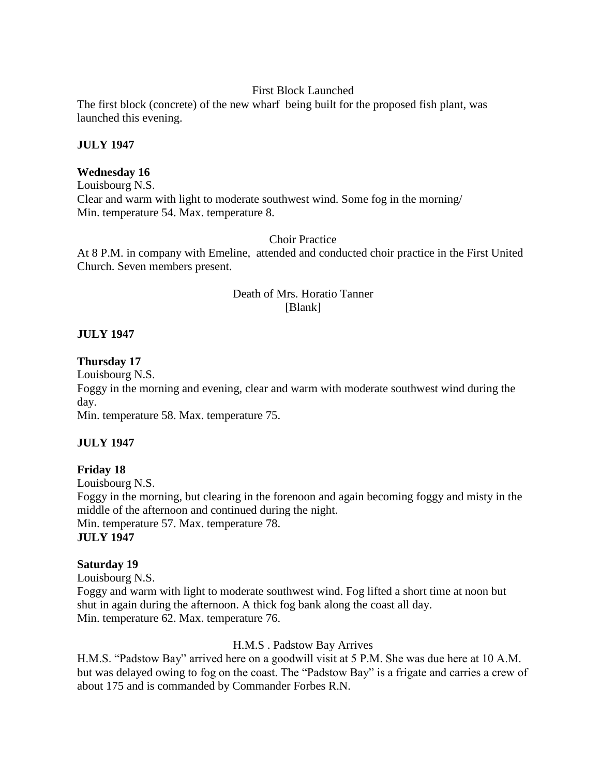## First Block Launched

The first block (concrete) of the new wharf being built for the proposed fish plant, was launched this evening.

## **JULY 1947**

#### **Wednesday 16**

Louisbourg N.S. Clear and warm with light to moderate southwest wind. Some fog in the morning/ Min. temperature 54. Max. temperature 8.

#### Choir Practice

At 8 P.M. in company with Emeline, attended and conducted choir practice in the First United Church. Seven members present.

## Death of Mrs. Horatio Tanner [Blank]

## **JULY 1947**

#### **Thursday 17**

Louisbourg N.S.

Foggy in the morning and evening, clear and warm with moderate southwest wind during the day.

Min. temperature 58. Max. temperature 75.

## **JULY 1947**

**Friday 18** Louisbourg N.S. Foggy in the morning, but clearing in the forenoon and again becoming foggy and misty in the middle of the afternoon and continued during the night. Min. temperature 57. Max. temperature 78. **JULY 1947** 

#### **Saturday 19**

Louisbourg N.S. Foggy and warm with light to moderate southwest wind. Fog lifted a short time at noon but shut in again during the afternoon. A thick fog bank along the coast all day. Min. temperature 62. Max. temperature 76.

## H.M.S . Padstow Bay Arrives

H.M.S. "Padstow Bay" arrived here on a goodwill visit at 5 P.M. She was due here at 10 A.M. but was delayed owing to fog on the coast. The "Padstow Bay" is a frigate and carries a crew of about 175 and is commanded by Commander Forbes R.N.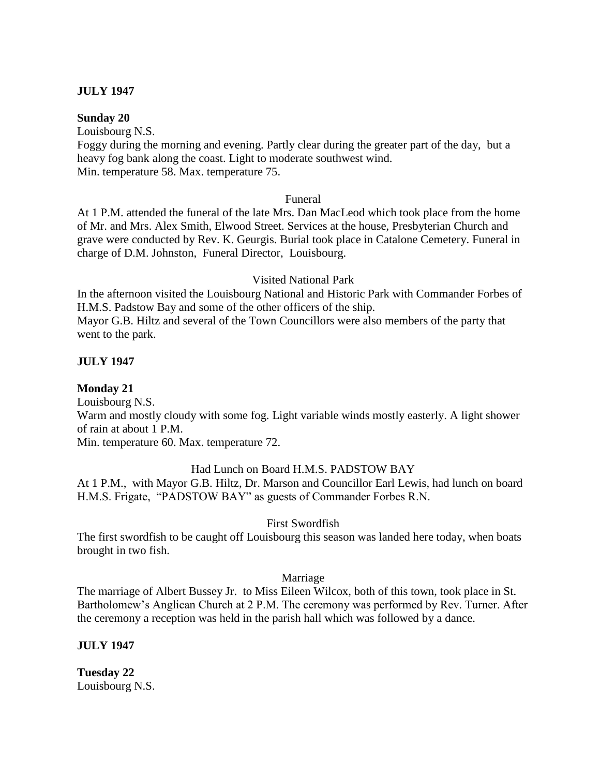## **JULY 1947**

## **Sunday 20**

Louisbourg N.S.

Foggy during the morning and evening. Partly clear during the greater part of the day, but a heavy fog bank along the coast. Light to moderate southwest wind. Min. temperature 58. Max. temperature 75.

## Funeral

At 1 P.M. attended the funeral of the late Mrs. Dan MacLeod which took place from the home of Mr. and Mrs. Alex Smith, Elwood Street. Services at the house, Presbyterian Church and grave were conducted by Rev. K. Geurgis. Burial took place in Catalone Cemetery. Funeral in charge of D.M. Johnston, Funeral Director, Louisbourg.

## Visited National Park

In the afternoon visited the Louisbourg National and Historic Park with Commander Forbes of H.M.S. Padstow Bay and some of the other officers of the ship.

Mayor G.B. Hiltz and several of the Town Councillors were also members of the party that went to the park.

## **JULY 1947**

**Monday 21**

Louisbourg N.S.

Warm and mostly cloudy with some fog. Light variable winds mostly easterly. A light shower of rain at about 1 P.M.

Min. temperature 60. Max. temperature 72.

## Had Lunch on Board H.M.S. PADSTOW BAY

At 1 P.M., with Mayor G.B. Hiltz, Dr. Marson and Councillor Earl Lewis, had lunch on board H.M.S. Frigate, "PADSTOW BAY" as guests of Commander Forbes R.N.

## First Swordfish

The first swordfish to be caught off Louisbourg this season was landed here today, when boats brought in two fish.

## Marriage

The marriage of Albert Bussey Jr. to Miss Eileen Wilcox, both of this town, took place in St. Bartholomew's Anglican Church at 2 P.M. The ceremony was performed by Rev. Turner. After the ceremony a reception was held in the parish hall which was followed by a dance.

## **JULY 1947**

**Tuesday 22** Louisbourg N.S.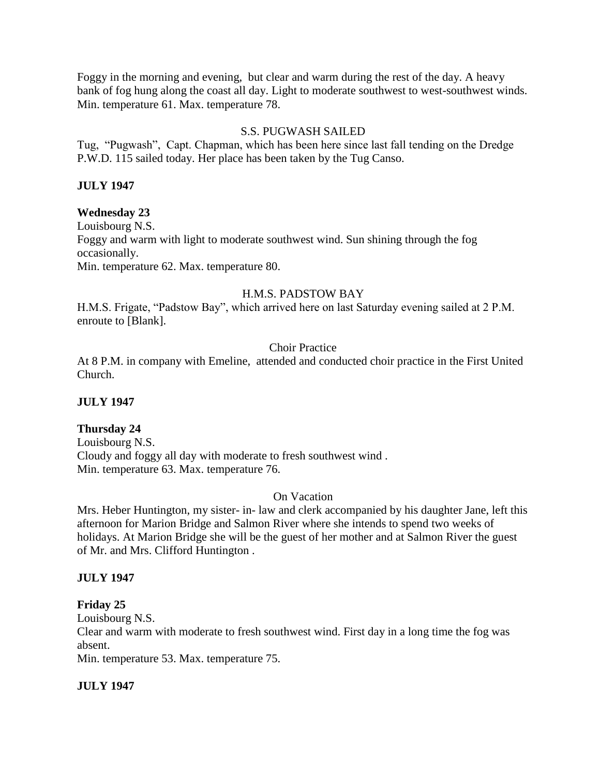Foggy in the morning and evening, but clear and warm during the rest of the day. A heavy bank of fog hung along the coast all day. Light to moderate southwest to west-southwest winds. Min. temperature 61. Max. temperature 78.

## S.S. PUGWASH SAILED

Tug, "Pugwash", Capt. Chapman, which has been here since last fall tending on the Dredge P.W.D. 115 sailed today. Her place has been taken by the Tug Canso.

## **JULY 1947**

## **Wednesday 23**

Louisbourg N.S. Foggy and warm with light to moderate southwest wind. Sun shining through the fog occasionally. Min. temperature 62. Max. temperature 80.

## H.M.S. PADSTOW BAY

H.M.S. Frigate, "Padstow Bay", which arrived here on last Saturday evening sailed at 2 P.M. enroute to [Blank].

## Choir Practice

At 8 P.M. in company with Emeline, attended and conducted choir practice in the First United Church.

## **JULY 1947**

## **Thursday 24**

Louisbourg N.S. Cloudy and foggy all day with moderate to fresh southwest wind . Min. temperature 63. Max. temperature 76.

## On Vacation

Mrs. Heber Huntington, my sister- in- law and clerk accompanied by his daughter Jane, left this afternoon for Marion Bridge and Salmon River where she intends to spend two weeks of holidays. At Marion Bridge she will be the guest of her mother and at Salmon River the guest of Mr. and Mrs. Clifford Huntington .

## **JULY 1947**

## **Friday 25**

Louisbourg N.S.

Clear and warm with moderate to fresh southwest wind. First day in a long time the fog was absent.

Min. temperature 53. Max. temperature 75.

## **JULY 1947**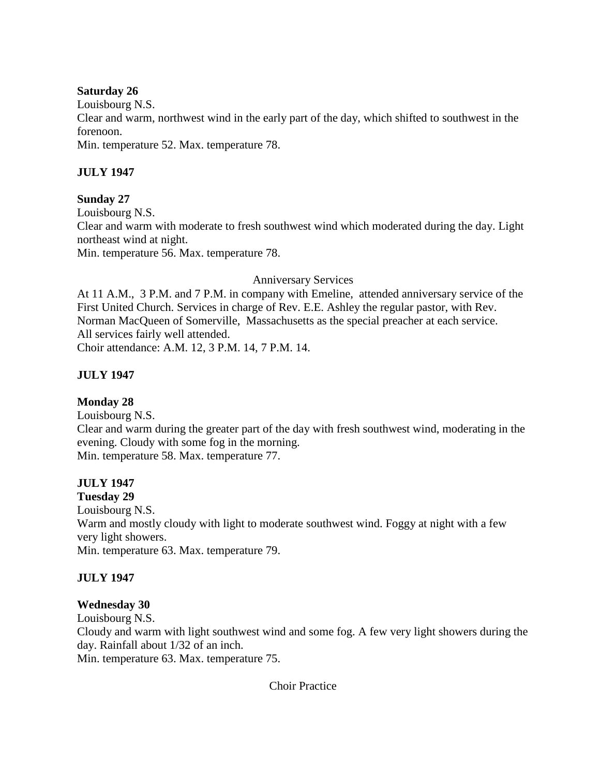## **Saturday 26**

Louisbourg N.S.

Clear and warm, northwest wind in the early part of the day, which shifted to southwest in the forenoon.

Min. temperature 52. Max. temperature 78.

# **JULY 1947**

# **Sunday 27**

Louisbourg N.S. Clear and warm with moderate to fresh southwest wind which moderated during the day. Light northeast wind at night. Min. temperature 56. Max. temperature 78.

# Anniversary Services

At 11 A.M., 3 P.M. and 7 P.M. in company with Emeline, attended anniversary service of the First United Church. Services in charge of Rev. E.E. Ashley the regular pastor, with Rev. Norman MacQueen of Somerville, Massachusetts as the special preacher at each service. All services fairly well attended.

Choir attendance: A.M. 12, 3 P.M. 14, 7 P.M. 14.

# **JULY 1947**

# **Monday 28**

Louisbourg N.S. Clear and warm during the greater part of the day with fresh southwest wind, moderating in the evening. Cloudy with some fog in the morning. Min. temperature 58. Max. temperature 77.

# **JULY 1947**

**Tuesday 29** Louisbourg N.S. Warm and mostly cloudy with light to moderate southwest wind. Foggy at night with a few very light showers. Min. temperature 63. Max. temperature 79.

# **JULY 1947**

# **Wednesday 30**

Louisbourg N.S.

Cloudy and warm with light southwest wind and some fog. A few very light showers during the day. Rainfall about 1/32 of an inch.

Min. temperature 63. Max. temperature 75.

Choir Practice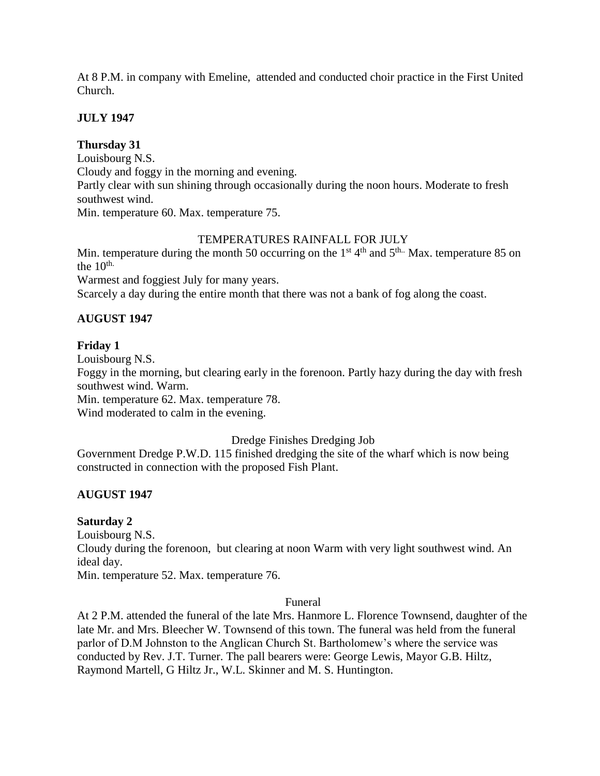At 8 P.M. in company with Emeline, attended and conducted choir practice in the First United Church.

## **JULY 1947**

## **Thursday 31**

Louisbourg N.S. Cloudy and foggy in the morning and evening. Partly clear with sun shining through occasionally during the noon hours. Moderate to fresh southwest wind. Min. temperature 60. Max. temperature 75.

## TEMPERATURES RAINFALL FOR JULY

Min. temperature during the month 50 occurring on the  $1<sup>st</sup> 4<sup>th</sup>$  and  $5<sup>th</sup>$ . Max. temperature 85 on the  $10^{th}$ .

Warmest and foggiest July for many years.

Scarcely a day during the entire month that there was not a bank of fog along the coast.

# **AUGUST 1947**

## **Friday 1**

Louisbourg N.S. Foggy in the morning, but clearing early in the forenoon. Partly hazy during the day with fresh southwest wind. Warm. Min. temperature 62. Max. temperature 78.

Wind moderated to calm in the evening.

## Dredge Finishes Dredging Job

Government Dredge P.W.D. 115 finished dredging the site of the wharf which is now being constructed in connection with the proposed Fish Plant.

# **AUGUST 1947**

## **Saturday 2**

Louisbourg N.S. Cloudy during the forenoon, but clearing at noon Warm with very light southwest wind. An ideal day.

Min. temperature 52. Max. temperature 76.

## Funeral

At 2 P.M. attended the funeral of the late Mrs. Hanmore L. Florence Townsend, daughter of the late Mr. and Mrs. Bleecher W. Townsend of this town. The funeral was held from the funeral parlor of D.M Johnston to the Anglican Church St. Bartholomew's where the service was conducted by Rev. J.T. Turner. The pall bearers were: George Lewis, Mayor G.B. Hiltz, Raymond Martell, G Hiltz Jr., W.L. Skinner and M. S. Huntington.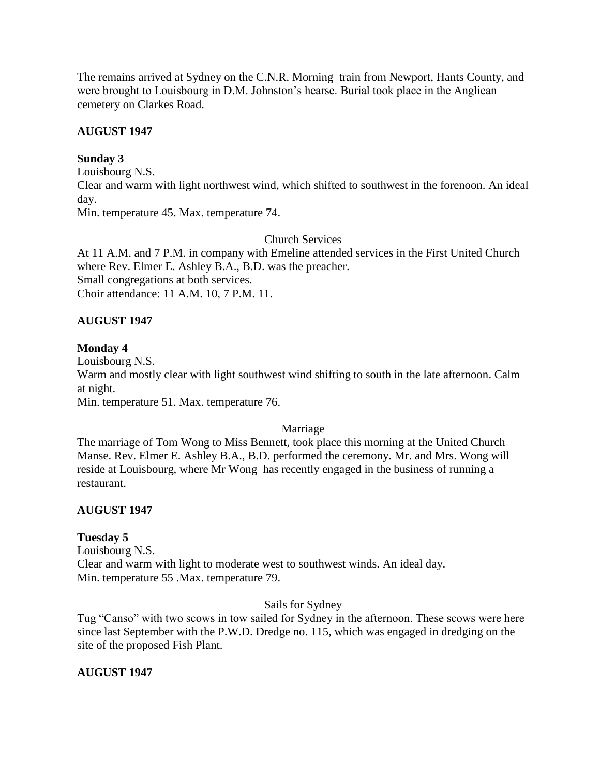The remains arrived at Sydney on the C.N.R. Morning train from Newport, Hants County, and were brought to Louisbourg in D.M. Johnston's hearse. Burial took place in the Anglican cemetery on Clarkes Road.

# **AUGUST 1947**

# **Sunday 3**

Louisbourg N.S. Clear and warm with light northwest wind, which shifted to southwest in the forenoon. An ideal day. Min. temperature 45. Max. temperature 74.

# Church Services

At 11 A.M. and 7 P.M. in company with Emeline attended services in the First United Church where Rev. Elmer E. Ashley B.A., B.D. was the preacher. Small congregations at both services. Choir attendance: 11 A.M. 10, 7 P.M. 11.

# **AUGUST 1947**

# **Monday 4**

Louisbourg N.S.

Warm and mostly clear with light southwest wind shifting to south in the late afternoon. Calm at night.

Min. temperature 51. Max. temperature 76.

# Marriage

The marriage of Tom Wong to Miss Bennett, took place this morning at the United Church Manse. Rev. Elmer E. Ashley B.A., B.D. performed the ceremony. Mr. and Mrs. Wong will reside at Louisbourg, where Mr Wong has recently engaged in the business of running a restaurant.

# **AUGUST 1947**

# **Tuesday 5**

Louisbourg N.S. Clear and warm with light to moderate west to southwest winds. An ideal day. Min. temperature 55 .Max. temperature 79.

# Sails for Sydney

Tug "Canso" with two scows in tow sailed for Sydney in the afternoon. These scows were here since last September with the P.W.D. Dredge no. 115, which was engaged in dredging on the site of the proposed Fish Plant.

# **AUGUST 1947**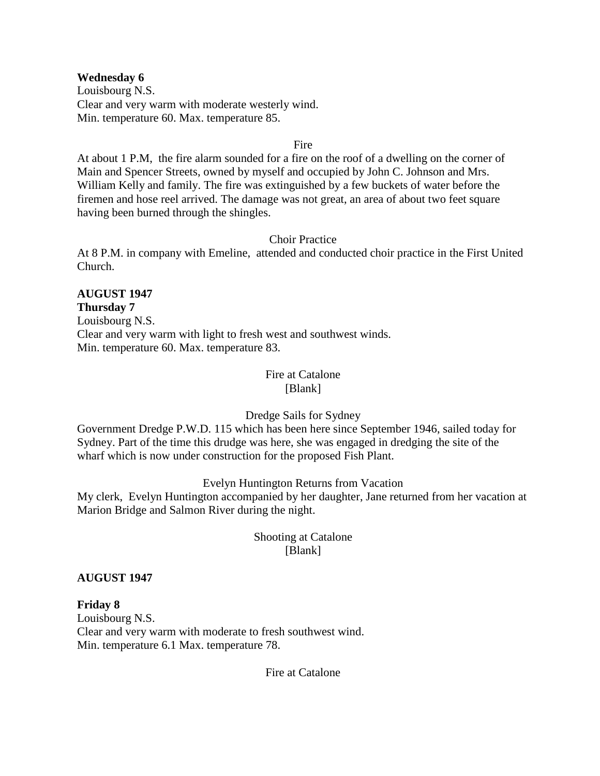#### **Wednesday 6**

Louisbourg N.S. Clear and very warm with moderate westerly wind. Min. temperature 60. Max. temperature 85.

#### Fire

At about 1 P.M, the fire alarm sounded for a fire on the roof of a dwelling on the corner of Main and Spencer Streets, owned by myself and occupied by John C. Johnson and Mrs. William Kelly and family. The fire was extinguished by a few buckets of water before the firemen and hose reel arrived. The damage was not great, an area of about two feet square having been burned through the shingles.

#### Choir Practice

At 8 P.M. in company with Emeline, attended and conducted choir practice in the First United Church.

#### **AUGUST 1947 Thursday 7**

Louisbourg N.S. Clear and very warm with light to fresh west and southwest winds. Min. temperature 60. Max. temperature 83.

#### Fire at Catalone [Blank]

## Dredge Sails for Sydney

Government Dredge P.W.D. 115 which has been here since September 1946, sailed today for Sydney. Part of the time this drudge was here, she was engaged in dredging the site of the wharf which is now under construction for the proposed Fish Plant.

## Evelyn Huntington Returns from Vacation

My clerk, Evelyn Huntington accompanied by her daughter, Jane returned from her vacation at Marion Bridge and Salmon River during the night.

# Shooting at Catalone [Blank]

## **AUGUST 1947**

**Friday 8** Louisbourg N.S. Clear and very warm with moderate to fresh southwest wind. Min. temperature 6.1 Max. temperature 78.

Fire at Catalone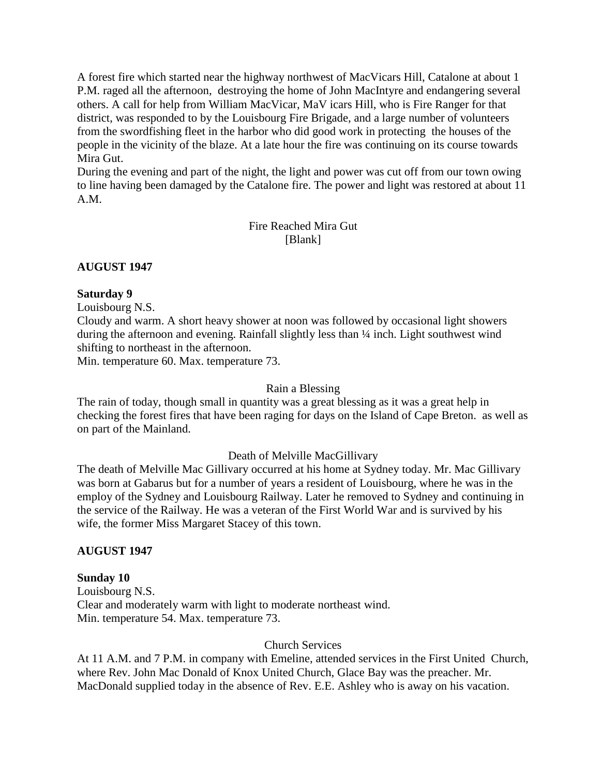A forest fire which started near the highway northwest of MacVicars Hill, Catalone at about 1 P.M. raged all the afternoon, destroying the home of John MacIntyre and endangering several others. A call for help from William MacVicar, MaV icars Hill, who is Fire Ranger for that district, was responded to by the Louisbourg Fire Brigade, and a large number of volunteers from the swordfishing fleet in the harbor who did good work in protecting the houses of the people in the vicinity of the blaze. At a late hour the fire was continuing on its course towards Mira Gut.

During the evening and part of the night, the light and power was cut off from our town owing to line having been damaged by the Catalone fire. The power and light was restored at about 11 A.M.

## Fire Reached Mira Gut [Blank]

# **AUGUST 1947**

## **Saturday 9**

Louisbourg N.S.

Cloudy and warm. A short heavy shower at noon was followed by occasional light showers during the afternoon and evening. Rainfall slightly less than  $\frac{1}{4}$  inch. Light southwest wind shifting to northeast in the afternoon.

Min. temperature 60. Max. temperature 73.

#### Rain a Blessing

The rain of today, though small in quantity was a great blessing as it was a great help in checking the forest fires that have been raging for days on the Island of Cape Breton. as well as on part of the Mainland.

## Death of Melville MacGillivary

The death of Melville Mac Gillivary occurred at his home at Sydney today. Mr. Mac Gillivary was born at Gabarus but for a number of years a resident of Louisbourg, where he was in the employ of the Sydney and Louisbourg Railway. Later he removed to Sydney and continuing in the service of the Railway. He was a veteran of the First World War and is survived by his wife, the former Miss Margaret Stacey of this town.

## **AUGUST 1947**

## **Sunday 10**

Louisbourg N.S. Clear and moderately warm with light to moderate northeast wind. Min. temperature 54. Max. temperature 73.

#### Church Services

At 11 A.M. and 7 P.M. in company with Emeline, attended services in the First United Church, where Rev. John Mac Donald of Knox United Church, Glace Bay was the preacher. Mr. MacDonald supplied today in the absence of Rev. E.E. Ashley who is away on his vacation.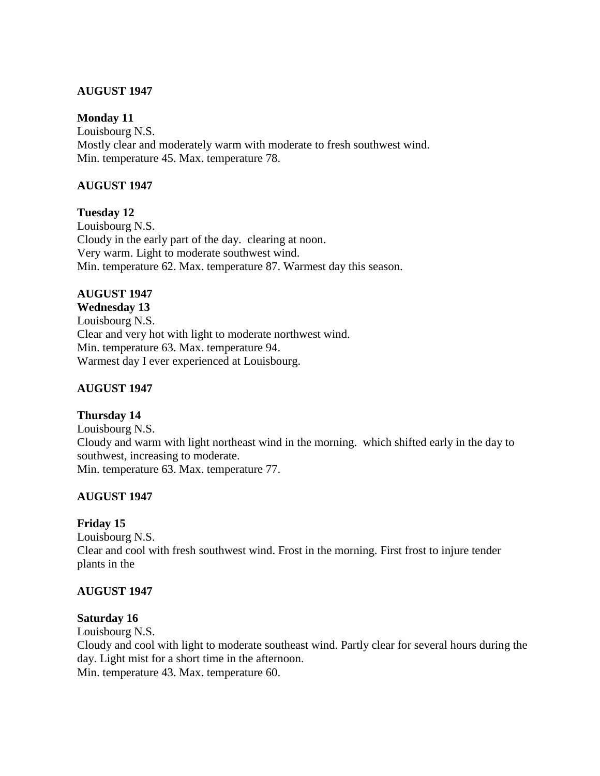## **AUGUST 1947**

#### **Monday 11**

Louisbourg N.S. Mostly clear and moderately warm with moderate to fresh southwest wind. Min. temperature 45. Max. temperature 78.

## **AUGUST 1947**

**Tuesday 12** Louisbourg N.S. Cloudy in the early part of the day. clearing at noon. Very warm. Light to moderate southwest wind. Min. temperature 62. Max. temperature 87. Warmest day this season.

## **AUGUST 1947**

**Wednesday 13** Louisbourg N.S. Clear and very hot with light to moderate northwest wind. Min. temperature 63. Max. temperature 94. Warmest day I ever experienced at Louisbourg.

## **AUGUST 1947**

## **Thursday 14**

Louisbourg N.S. Cloudy and warm with light northeast wind in the morning. which shifted early in the day to southwest, increasing to moderate. Min. temperature 63. Max. temperature 77.

## **AUGUST 1947**

## **Friday 15**

Louisbourg N.S. Clear and cool with fresh southwest wind. Frost in the morning. First frost to injure tender plants in the

## **AUGUST 1947**

## **Saturday 16**

Louisbourg N.S.

Cloudy and cool with light to moderate southeast wind. Partly clear for several hours during the day. Light mist for a short time in the afternoon.

Min. temperature 43. Max. temperature 60.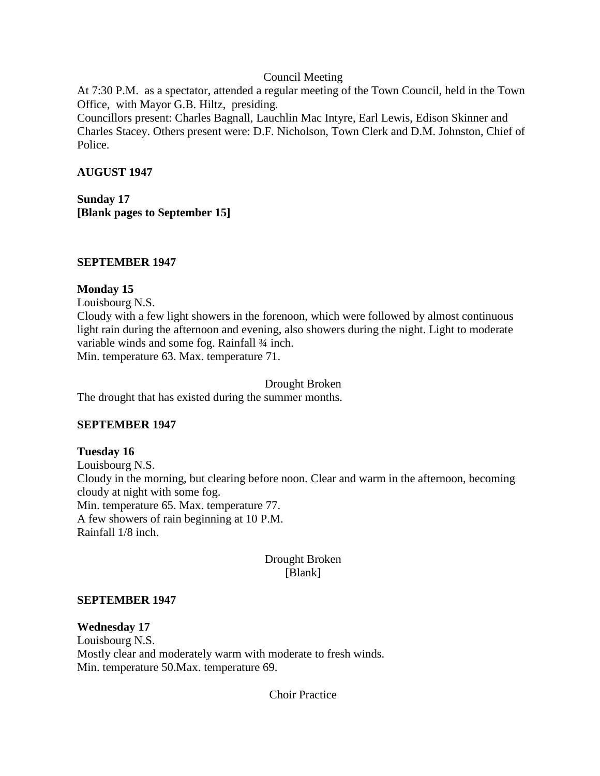#### Council Meeting

At 7:30 P.M. as a spectator, attended a regular meeting of the Town Council, held in the Town Office, with Mayor G.B. Hiltz, presiding.

Councillors present: Charles Bagnall, Lauchlin Mac Intyre, Earl Lewis, Edison Skinner and Charles Stacey. Others present were: D.F. Nicholson, Town Clerk and D.M. Johnston, Chief of Police.

## **AUGUST 1947**

**Sunday 17 [Blank pages to September 15]**

## **SEPTEMBER 1947**

## **Monday 15**

Louisbourg N.S.

Cloudy with a few light showers in the forenoon, which were followed by almost continuous light rain during the afternoon and evening, also showers during the night. Light to moderate variable winds and some fog. Rainfall  $\frac{3}{4}$  inch. Min. temperature 63. Max. temperature 71.

Drought Broken

The drought that has existed during the summer months.

# **SEPTEMBER 1947**

## **Tuesday 16** Louisbourg N.S. Cloudy in the morning, but clearing before noon. Clear and warm in the afternoon, becoming cloudy at night with some fog. Min. temperature 65. Max. temperature 77. A few showers of rain beginning at 10 P.M. Rainfall 1/8 inch.

# Drought Broken [Blank]

## **SEPTEMBER 1947**

# **Wednesday 17** Louisbourg N.S. Mostly clear and moderately warm with moderate to fresh winds. Min. temperature 50.Max. temperature 69.

Choir Practice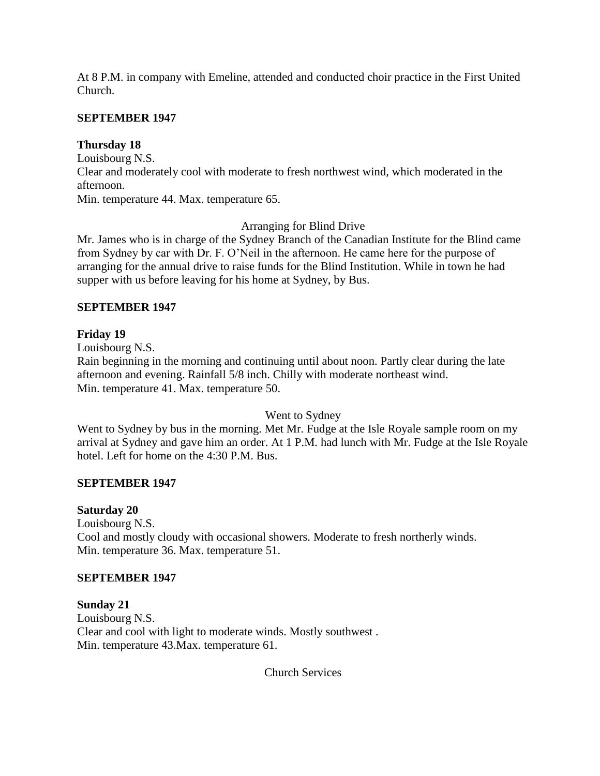At 8 P.M. in company with Emeline, attended and conducted choir practice in the First United Church.

# **SEPTEMBER 1947**

## **Thursday 18**

Louisbourg N.S. Clear and moderately cool with moderate to fresh northwest wind, which moderated in the afternoon. Min. temperature 44. Max. temperature 65.

## Arranging for Blind Drive

Mr. James who is in charge of the Sydney Branch of the Canadian Institute for the Blind came from Sydney by car with Dr. F. O'Neil in the afternoon. He came here for the purpose of arranging for the annual drive to raise funds for the Blind Institution. While in town he had supper with us before leaving for his home at Sydney, by Bus.

## **SEPTEMBER 1947**

## **Friday 19**

Louisbourg N.S.

Rain beginning in the morning and continuing until about noon. Partly clear during the late afternoon and evening. Rainfall 5/8 inch. Chilly with moderate northeast wind. Min. temperature 41. Max. temperature 50.

Went to Sydney

Went to Sydney by bus in the morning. Met Mr. Fudge at the Isle Royale sample room on my arrival at Sydney and gave him an order. At 1 P.M. had lunch with Mr. Fudge at the Isle Royale hotel. Left for home on the 4:30 P.M. Bus.

## **SEPTEMBER 1947**

## **Saturday 20**

Louisbourg N.S. Cool and mostly cloudy with occasional showers. Moderate to fresh northerly winds. Min. temperature 36. Max. temperature 51.

## **SEPTEMBER 1947**

**Sunday 21** Louisbourg N.S. Clear and cool with light to moderate winds. Mostly southwest . Min. temperature 43.Max. temperature 61.

Church Services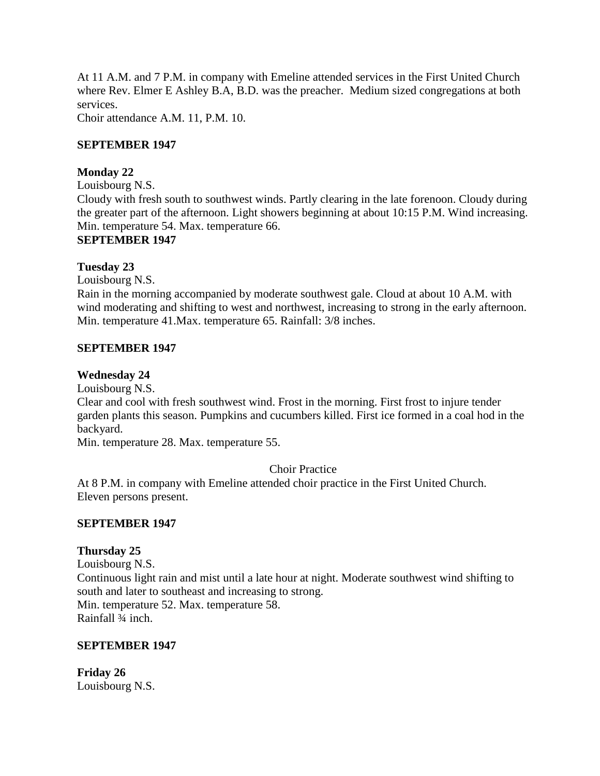At 11 A.M. and 7 P.M. in company with Emeline attended services in the First United Church where Rev. Elmer E Ashley B.A, B.D. was the preacher. Medium sized congregations at both services.

Choir attendance A.M. 11, P.M. 10.

## **SEPTEMBER 1947**

## **Monday 22**

Louisbourg N.S. Cloudy with fresh south to southwest winds. Partly clearing in the late forenoon. Cloudy during the greater part of the afternoon. Light showers beginning at about 10:15 P.M. Wind increasing. Min. temperature 54. Max. temperature 66. **SEPTEMBER 1947**

#### **Tuesday 23**

Louisbourg N.S.

Rain in the morning accompanied by moderate southwest gale. Cloud at about 10 A.M. with wind moderating and shifting to west and northwest, increasing to strong in the early afternoon. Min. temperature 41.Max. temperature 65. Rainfall: 3/8 inches.

#### **SEPTEMBER 1947**

#### **Wednesday 24**

Louisbourg N.S.

Clear and cool with fresh southwest wind. Frost in the morning. First frost to injure tender garden plants this season. Pumpkins and cucumbers killed. First ice formed in a coal hod in the backyard.

Min. temperature 28. Max. temperature 55.

## Choir Practice

At 8 P.M. in company with Emeline attended choir practice in the First United Church. Eleven persons present.

#### **SEPTEMBER 1947**

#### **Thursday 25**

Louisbourg N.S. Continuous light rain and mist until a late hour at night. Moderate southwest wind shifting to south and later to southeast and increasing to strong. Min. temperature 52. Max. temperature 58. Rainfall ¾ inch.

#### **SEPTEMBER 1947**

**Friday 26** Louisbourg N.S.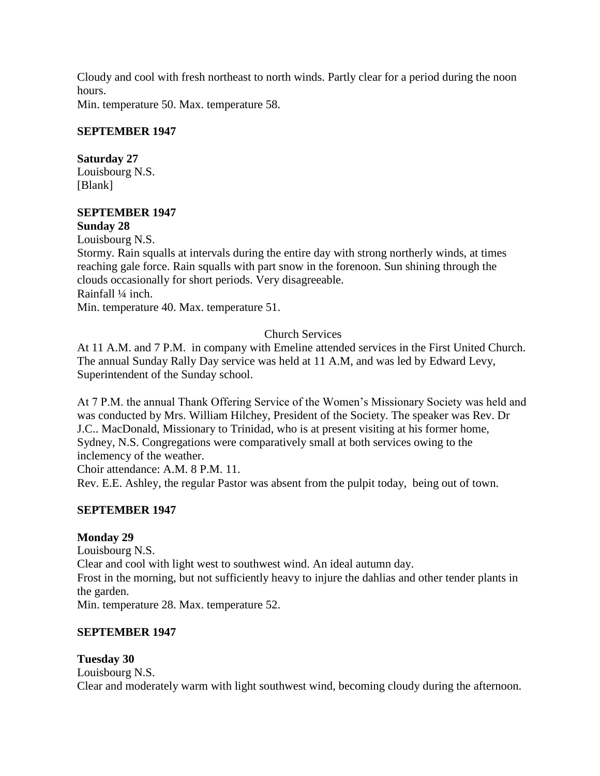Cloudy and cool with fresh northeast to north winds. Partly clear for a period during the noon hours.

Min. temperature 50. Max. temperature 58.

# **SEPTEMBER 1947**

# **Saturday 27**

Louisbourg N.S. [Blank]

#### **SEPTEMBER 1947 Sunday 28**

Louisbourg N.S.

Stormy. Rain squalls at intervals during the entire day with strong northerly winds, at times reaching gale force. Rain squalls with part snow in the forenoon. Sun shining through the clouds occasionally for short periods. Very disagreeable. Rainfall ¼ inch.

Min. temperature 40. Max. temperature 51.

# Church Services

At 11 A.M. and 7 P.M. in company with Emeline attended services in the First United Church. The annual Sunday Rally Day service was held at 11 A.M, and was led by Edward Levy, Superintendent of the Sunday school.

At 7 P.M. the annual Thank Offering Service of the Women's Missionary Society was held and was conducted by Mrs. William Hilchey, President of the Society. The speaker was Rev. Dr J.C.. MacDonald, Missionary to Trinidad, who is at present visiting at his former home, Sydney, N.S. Congregations were comparatively small at both services owing to the inclemency of the weather.

Choir attendance: A.M. 8 P.M. 11.

Rev. E.E. Ashley, the regular Pastor was absent from the pulpit today, being out of town.

# **SEPTEMBER 1947**

# **Monday 29**

Louisbourg N.S. Clear and cool with light west to southwest wind. An ideal autumn day. Frost in the morning, but not sufficiently heavy to injure the dahlias and other tender plants in the garden. Min. temperature 28. Max. temperature 52.

# **SEPTEMBER 1947**

# **Tuesday 30**

Louisbourg N.S. Clear and moderately warm with light southwest wind, becoming cloudy during the afternoon.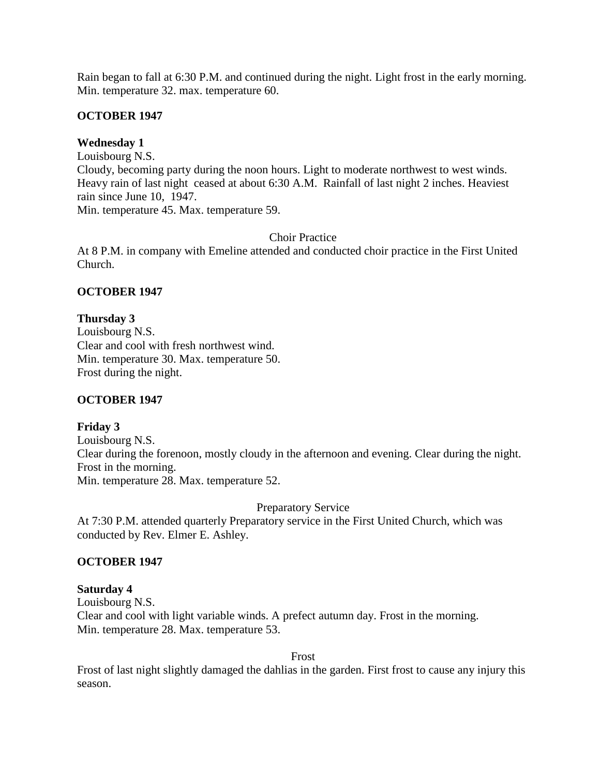Rain began to fall at 6:30 P.M. and continued during the night. Light frost in the early morning. Min. temperature 32. max. temperature 60.

## **OCTOBER 1947**

## **Wednesday 1**

Louisbourg N.S. Cloudy, becoming party during the noon hours. Light to moderate northwest to west winds. Heavy rain of last night ceased at about 6:30 A.M. Rainfall of last night 2 inches. Heaviest rain since June 10, 1947. Min. temperature 45. Max. temperature 59.

## Choir Practice

At 8 P.M. in company with Emeline attended and conducted choir practice in the First United Church.

## **OCTOBER 1947**

## **Thursday 3**

Louisbourg N.S. Clear and cool with fresh northwest wind. Min. temperature 30. Max. temperature 50. Frost during the night.

# **OCTOBER 1947**

## **Friday 3**

Louisbourg N.S. Clear during the forenoon, mostly cloudy in the afternoon and evening. Clear during the night. Frost in the morning. Min. temperature 28. Max. temperature 52.

Preparatory Service

At 7:30 P.M. attended quarterly Preparatory service in the First United Church, which was conducted by Rev. Elmer E. Ashley.

## **OCTOBER 1947**

## **Saturday 4**

Louisbourg N.S. Clear and cool with light variable winds. A prefect autumn day. Frost in the morning. Min. temperature 28. Max. temperature 53.

Frost

Frost of last night slightly damaged the dahlias in the garden. First frost to cause any injury this season.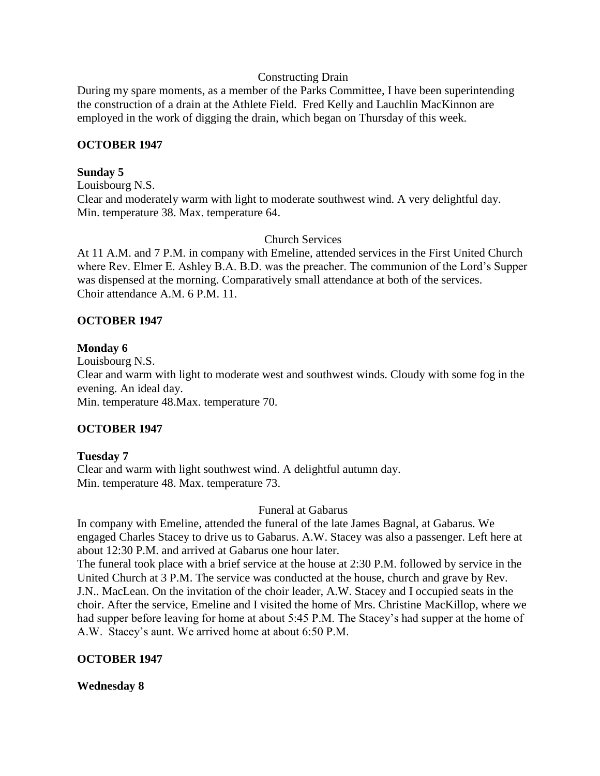## Constructing Drain

During my spare moments, as a member of the Parks Committee, I have been superintending the construction of a drain at the Athlete Field. Fred Kelly and Lauchlin MacKinnon are employed in the work of digging the drain, which began on Thursday of this week.

## **OCTOBER 1947**

## **Sunday 5**

Louisbourg N.S. Clear and moderately warm with light to moderate southwest wind. A very delightful day. Min. temperature 38. Max. temperature 64.

# Church Services

At 11 A.M. and 7 P.M. in company with Emeline, attended services in the First United Church where Rev. Elmer E. Ashley B.A. B.D. was the preacher. The communion of the Lord's Supper was dispensed at the morning. Comparatively small attendance at both of the services. Choir attendance A.M. 6 P.M. 11.

## **OCTOBER 1947**

## **Monday 6**

Louisbourg N.S. Clear and warm with light to moderate west and southwest winds. Cloudy with some fog in the evening. An ideal day. Min. temperature 48.Max. temperature 70.

# **OCTOBER 1947**

## **Tuesday 7**

Clear and warm with light southwest wind. A delightful autumn day. Min. temperature 48. Max. temperature 73.

## Funeral at Gabarus

In company with Emeline, attended the funeral of the late James Bagnal, at Gabarus. We engaged Charles Stacey to drive us to Gabarus. A.W. Stacey was also a passenger. Left here at about 12:30 P.M. and arrived at Gabarus one hour later.

The funeral took place with a brief service at the house at 2:30 P.M. followed by service in the United Church at 3 P.M. The service was conducted at the house, church and grave by Rev. J.N.. MacLean. On the invitation of the choir leader, A.W. Stacey and I occupied seats in the choir. After the service, Emeline and I visited the home of Mrs. Christine MacKillop, where we had supper before leaving for home at about 5:45 P.M. The Stacey's had supper at the home of A.W. Stacey's aunt. We arrived home at about 6:50 P.M.

# **OCTOBER 1947**

**Wednesday 8**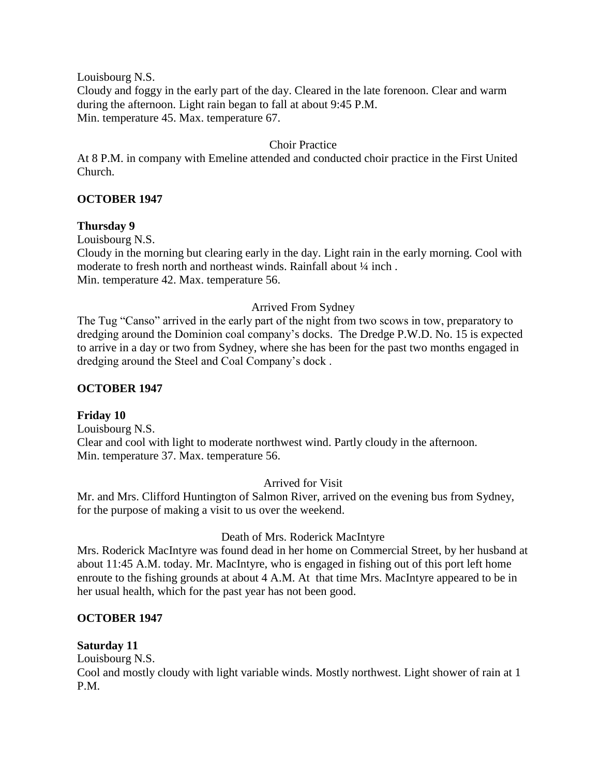Louisbourg N.S.

Cloudy and foggy in the early part of the day. Cleared in the late forenoon. Clear and warm during the afternoon. Light rain began to fall at about 9:45 P.M. Min. temperature 45. Max. temperature 67.

## Choir Practice

At 8 P.M. in company with Emeline attended and conducted choir practice in the First United Church.

## **OCTOBER 1947**

## **Thursday 9**

Louisbourg N.S.

Cloudy in the morning but clearing early in the day. Light rain in the early morning. Cool with moderate to fresh north and northeast winds. Rainfall about  $\frac{1}{4}$  inch. Min. temperature 42. Max. temperature 56.

## Arrived From Sydney

The Tug "Canso" arrived in the early part of the night from two scows in tow, preparatory to dredging around the Dominion coal company's docks. The Dredge P.W.D. No. 15 is expected to arrive in a day or two from Sydney, where she has been for the past two months engaged in dredging around the Steel and Coal Company's dock .

## **OCTOBER 1947**

## **Friday 10**

Louisbourg N.S. Clear and cool with light to moderate northwest wind. Partly cloudy in the afternoon. Min. temperature 37. Max. temperature 56.

## Arrived for Visit

Mr. and Mrs. Clifford Huntington of Salmon River, arrived on the evening bus from Sydney, for the purpose of making a visit to us over the weekend.

## Death of Mrs. Roderick MacIntyre

Mrs. Roderick MacIntyre was found dead in her home on Commercial Street, by her husband at about 11:45 A.M. today. Mr. MacIntyre, who is engaged in fishing out of this port left home enroute to the fishing grounds at about 4 A.M. At that time Mrs. MacIntyre appeared to be in her usual health, which for the past year has not been good.

## **OCTOBER 1947**

## **Saturday 11**

Louisbourg N.S.

Cool and mostly cloudy with light variable winds. Mostly northwest. Light shower of rain at 1 P.M.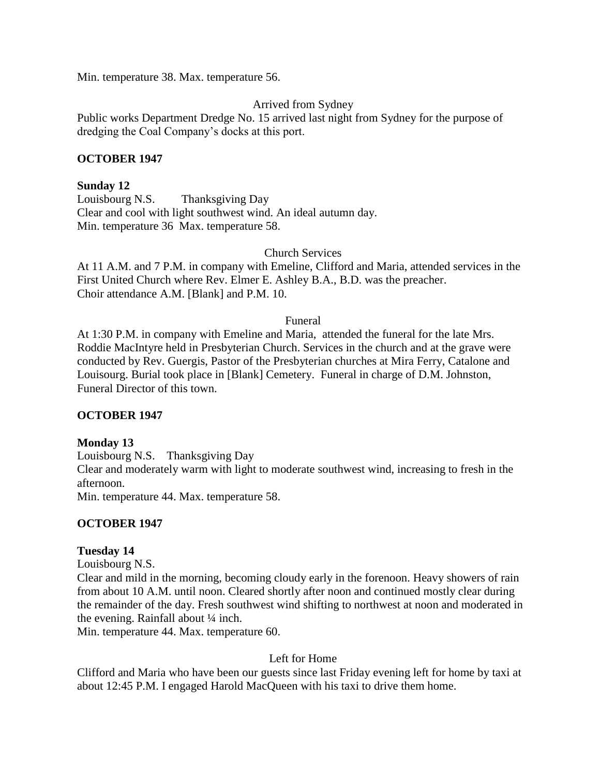Min. temperature 38. Max. temperature 56.

## Arrived from Sydney

Public works Department Dredge No. 15 arrived last night from Sydney for the purpose of dredging the Coal Company's docks at this port.

## **OCTOBER 1947**

## **Sunday 12**

Louisbourg N.S. Thanksgiving Day Clear and cool with light southwest wind. An ideal autumn day. Min. temperature 36 Max. temperature 58.

## Church Services

At 11 A.M. and 7 P.M. in company with Emeline, Clifford and Maria, attended services in the First United Church where Rev. Elmer E. Ashley B.A., B.D. was the preacher. Choir attendance A.M. [Blank] and P.M. 10.

#### Funeral

At 1:30 P.M. in company with Emeline and Maria, attended the funeral for the late Mrs. Roddie MacIntyre held in Presbyterian Church. Services in the church and at the grave were conducted by Rev. Guergis, Pastor of the Presbyterian churches at Mira Ferry, Catalone and Louisourg. Burial took place in [Blank] Cemetery. Funeral in charge of D.M. Johnston, Funeral Director of this town.

## **OCTOBER 1947**

## **Monday 13**

Louisbourg N.S. Thanksgiving Day Clear and moderately warm with light to moderate southwest wind, increasing to fresh in the afternoon.

Min. temperature 44. Max. temperature 58.

## **OCTOBER 1947**

## **Tuesday 14**

Louisbourg N.S.

Clear and mild in the morning, becoming cloudy early in the forenoon. Heavy showers of rain from about 10 A.M. until noon. Cleared shortly after noon and continued mostly clear during the remainder of the day. Fresh southwest wind shifting to northwest at noon and moderated in the evening. Rainfall about  $\frac{1}{4}$  inch.

Min. temperature 44. Max. temperature 60.

## Left for Home

Clifford and Maria who have been our guests since last Friday evening left for home by taxi at about 12:45 P.M. I engaged Harold MacQueen with his taxi to drive them home.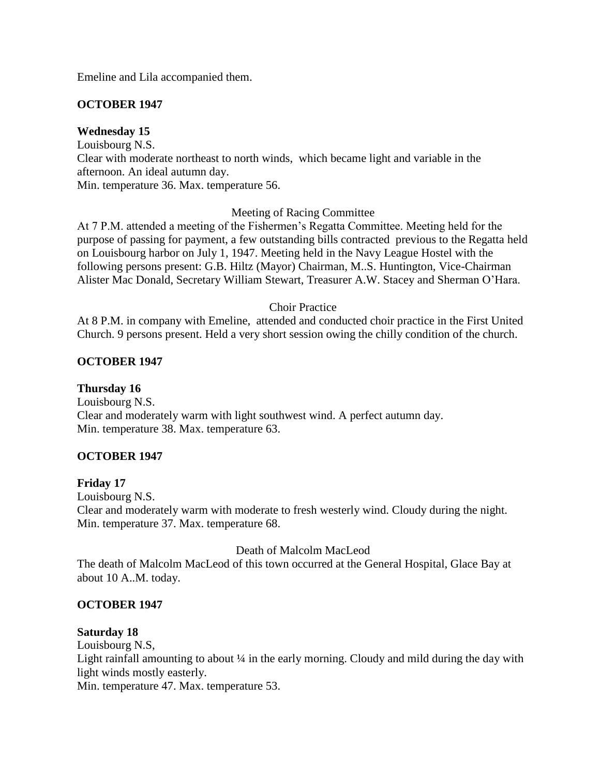Emeline and Lila accompanied them.

## **OCTOBER 1947**

## **Wednesday 15**

Louisbourg N.S. Clear with moderate northeast to north winds, which became light and variable in the afternoon. An ideal autumn day.

Min. temperature 36. Max. temperature 56.

## Meeting of Racing Committee

At 7 P.M. attended a meeting of the Fishermen's Regatta Committee. Meeting held for the purpose of passing for payment, a few outstanding bills contracted previous to the Regatta held on Louisbourg harbor on July 1, 1947. Meeting held in the Navy League Hostel with the following persons present: G.B. Hiltz (Mayor) Chairman, M..S. Huntington, Vice-Chairman Alister Mac Donald, Secretary William Stewart, Treasurer A.W. Stacey and Sherman O'Hara.

## Choir Practice

At 8 P.M. in company with Emeline, attended and conducted choir practice in the First United Church. 9 persons present. Held a very short session owing the chilly condition of the church.

## **OCTOBER 1947**

**Thursday 16** Louisbourg N.S. Clear and moderately warm with light southwest wind. A perfect autumn day. Min. temperature 38. Max. temperature 63.

## **OCTOBER 1947**

## **Friday 17**

Louisbourg N.S. Clear and moderately warm with moderate to fresh westerly wind. Cloudy during the night. Min. temperature 37. Max. temperature 68.

## Death of Malcolm MacLeod

The death of Malcolm MacLeod of this town occurred at the General Hospital, Glace Bay at about 10 A..M. today.

## **OCTOBER 1947**

## **Saturday 18**

Louisbourg N.S,

Light rainfall amounting to about 1/4 in the early morning. Cloudy and mild during the day with light winds mostly easterly.

Min. temperature 47. Max. temperature 53.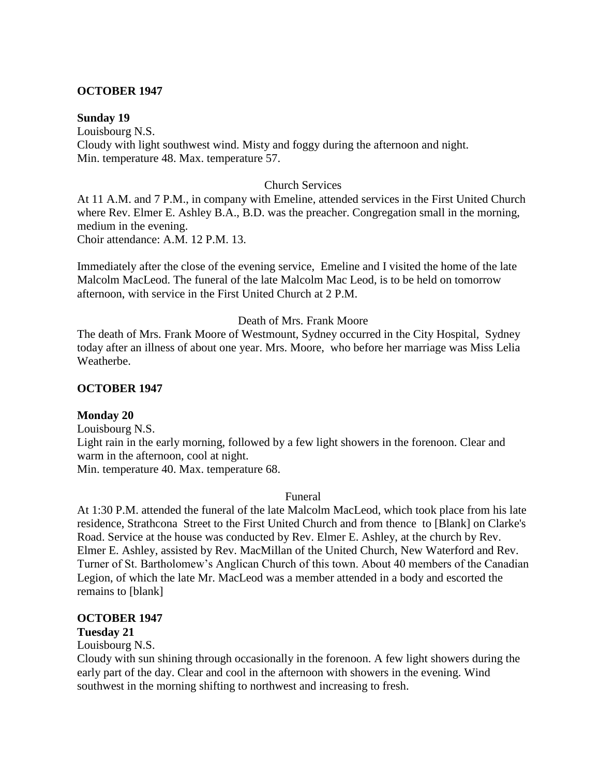#### **OCTOBER 1947**

#### **Sunday 19**

Louisbourg N.S. Cloudy with light southwest wind. Misty and foggy during the afternoon and night. Min. temperature 48. Max. temperature 57.

#### Church Services

At 11 A.M. and 7 P.M., in company with Emeline, attended services in the First United Church where Rev. Elmer E. Ashley B.A., B.D. was the preacher. Congregation small in the morning, medium in the evening. Choir attendance: A.M. 12 P.M. 13.

Immediately after the close of the evening service, Emeline and I visited the home of the late Malcolm MacLeod. The funeral of the late Malcolm Mac Leod, is to be held on tomorrow afternoon, with service in the First United Church at 2 P.M.

## Death of Mrs. Frank Moore

The death of Mrs. Frank Moore of Westmount, Sydney occurred in the City Hospital, Sydney today after an illness of about one year. Mrs. Moore, who before her marriage was Miss Lelia Weatherbe.

#### **OCTOBER 1947**

#### **Monday 20**

Louisbourg N.S. Light rain in the early morning, followed by a few light showers in the forenoon. Clear and warm in the afternoon, cool at night. Min. temperature 40. Max. temperature 68.

#### Funeral

At 1:30 P.M. attended the funeral of the late Malcolm MacLeod, which took place from his late residence, Strathcona Street to the First United Church and from thence to [Blank] on Clarke's Road. Service at the house was conducted by Rev. Elmer E. Ashley, at the church by Rev. Elmer E. Ashley, assisted by Rev. MacMillan of the United Church, New Waterford and Rev. Turner of St. Bartholomew's Anglican Church of this town. About 40 members of the Canadian Legion, of which the late Mr. MacLeod was a member attended in a body and escorted the remains to [blank]

#### **OCTOBER 1947**

#### **Tuesday 21**

Louisbourg N.S.

Cloudy with sun shining through occasionally in the forenoon. A few light showers during the early part of the day. Clear and cool in the afternoon with showers in the evening. Wind southwest in the morning shifting to northwest and increasing to fresh.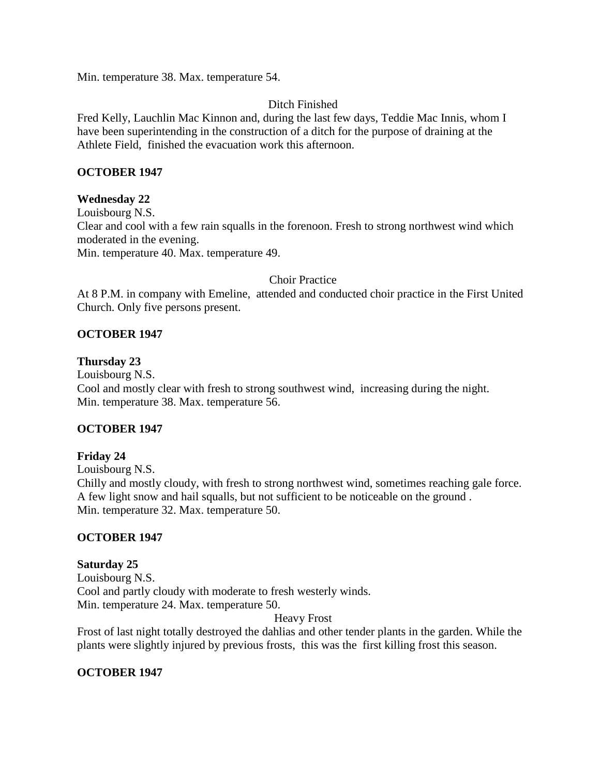Min. temperature 38. Max. temperature 54.

# Ditch Finished

Fred Kelly, Lauchlin Mac Kinnon and, during the last few days, Teddie Mac Innis, whom I have been superintending in the construction of a ditch for the purpose of draining at the Athlete Field, finished the evacuation work this afternoon.

## **OCTOBER 1947**

## **Wednesday 22**

Louisbourg N.S. Clear and cool with a few rain squalls in the forenoon. Fresh to strong northwest wind which moderated in the evening. Min. temperature 40. Max. temperature 49.

## Choir Practice

At 8 P.M. in company with Emeline, attended and conducted choir practice in the First United Church. Only five persons present.

## **OCTOBER 1947**

## **Thursday 23**

Louisbourg N.S.

Cool and mostly clear with fresh to strong southwest wind, increasing during the night. Min. temperature 38. Max. temperature 56.

## **OCTOBER 1947**

# **Friday 24**

Louisbourg N.S.

Chilly and mostly cloudy, with fresh to strong northwest wind, sometimes reaching gale force. A few light snow and hail squalls, but not sufficient to be noticeable on the ground . Min. temperature 32. Max. temperature 50.

# **OCTOBER 1947**

## **Saturday 25**

Louisbourg N.S. Cool and partly cloudy with moderate to fresh westerly winds. Min. temperature 24. Max. temperature 50.

## Heavy Frost

Frost of last night totally destroyed the dahlias and other tender plants in the garden. While the plants were slightly injured by previous frosts, this was the first killing frost this season.

# **OCTOBER 1947**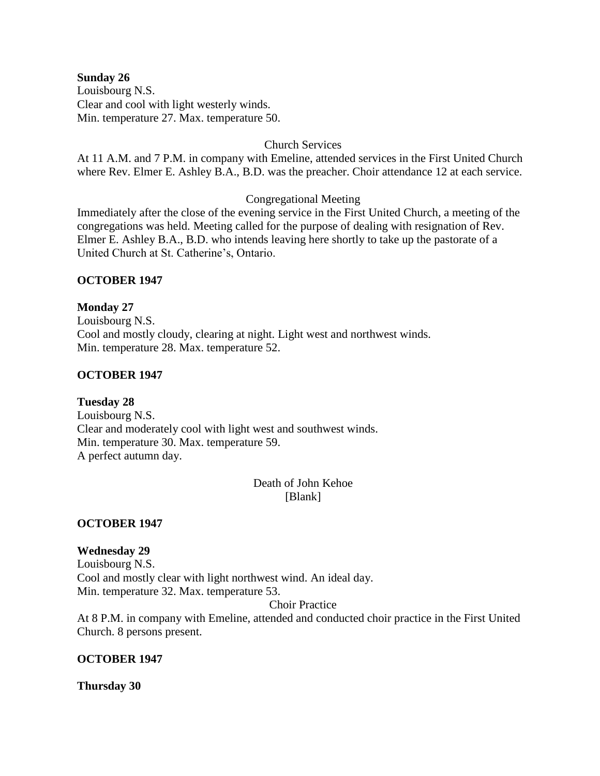#### **Sunday 26**

Louisbourg N.S. Clear and cool with light westerly winds. Min. temperature 27. Max. temperature 50.

## Church Services

At 11 A.M. and 7 P.M. in company with Emeline, attended services in the First United Church where Rev. Elmer E. Ashley B.A., B.D. was the preacher. Choir attendance 12 at each service.

## Congregational Meeting

Immediately after the close of the evening service in the First United Church, a meeting of the congregations was held. Meeting called for the purpose of dealing with resignation of Rev. Elmer E. Ashley B.A., B.D. who intends leaving here shortly to take up the pastorate of a United Church at St. Catherine's, Ontario.

## **OCTOBER 1947**

**Monday 27** Louisbourg N.S. Cool and mostly cloudy, clearing at night. Light west and northwest winds. Min. temperature 28. Max. temperature 52.

## **OCTOBER 1947**

**Tuesday 28** Louisbourg N.S. Clear and moderately cool with light west and southwest winds. Min. temperature 30. Max. temperature 59. A perfect autumn day.

> Death of John Kehoe [Blank]

**OCTOBER 1947**

**Wednesday 29** Louisbourg N.S. Cool and mostly clear with light northwest wind. An ideal day. Min. temperature 32. Max. temperature 53.

Choir Practice

At 8 P.M. in company with Emeline, attended and conducted choir practice in the First United Church. 8 persons present.

## **OCTOBER 1947**

**Thursday 30**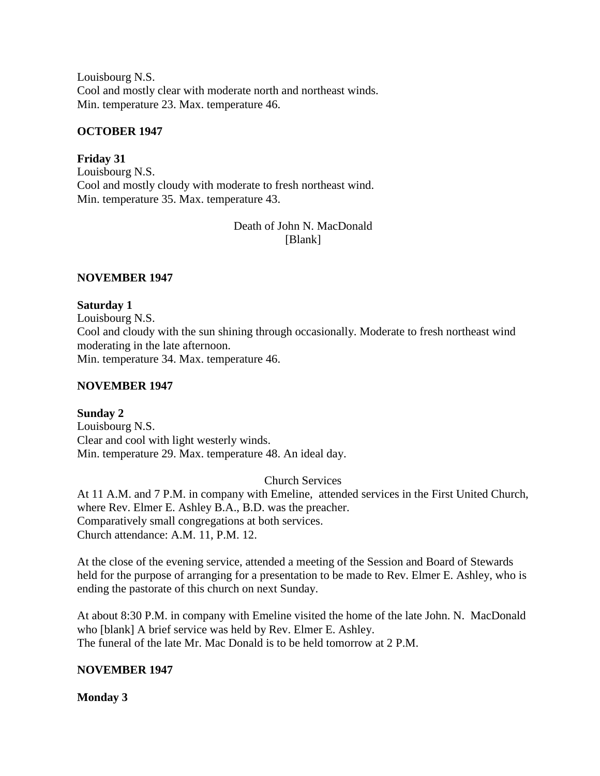Louisbourg N.S. Cool and mostly clear with moderate north and northeast winds. Min. temperature 23. Max. temperature 46.

## **OCTOBER 1947**

**Friday 31** Louisbourg N.S. Cool and mostly cloudy with moderate to fresh northeast wind. Min. temperature 35. Max. temperature 43.

> Death of John N. MacDonald [Blank]

## **NOVEMBER 1947**

## **Saturday 1**

Louisbourg N.S. Cool and cloudy with the sun shining through occasionally. Moderate to fresh northeast wind moderating in the late afternoon. Min. temperature 34. Max. temperature 46.

## **NOVEMBER 1947**

# **Sunday 2**

Louisbourg N.S. Clear and cool with light westerly winds. Min. temperature 29. Max. temperature 48. An ideal day.

Church Services

At 11 A.M. and 7 P.M. in company with Emeline, attended services in the First United Church, where Rev. Elmer E. Ashley B.A., B.D. was the preacher. Comparatively small congregations at both services. Church attendance: A.M. 11, P.M. 12.

At the close of the evening service, attended a meeting of the Session and Board of Stewards held for the purpose of arranging for a presentation to be made to Rev. Elmer E. Ashley, who is ending the pastorate of this church on next Sunday.

At about 8:30 P.M. in company with Emeline visited the home of the late John. N. MacDonald who [blank] A brief service was held by Rev. Elmer E. Ashley. The funeral of the late Mr. Mac Donald is to be held tomorrow at 2 P.M.

# **NOVEMBER 1947**

# **Monday 3**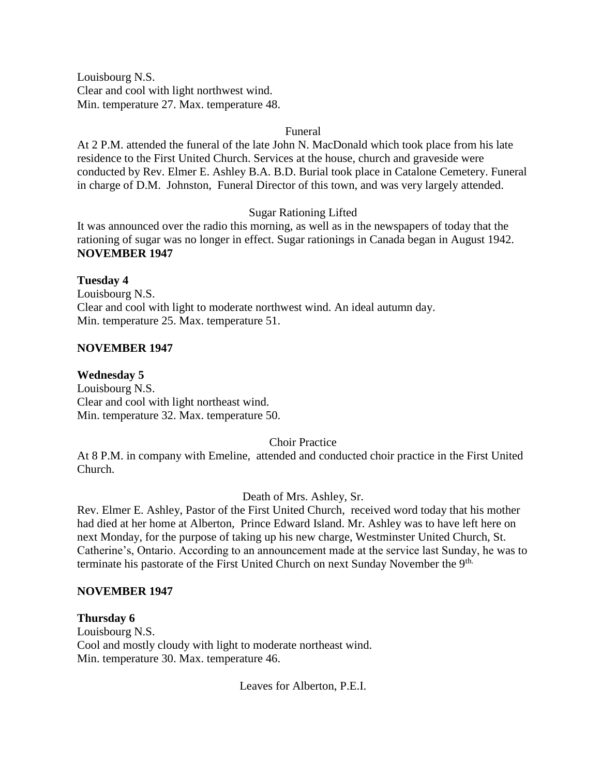Louisbourg N.S. Clear and cool with light northwest wind. Min. temperature 27. Max. temperature 48.

## Funeral

At 2 P.M. attended the funeral of the late John N. MacDonald which took place from his late residence to the First United Church. Services at the house, church and graveside were conducted by Rev. Elmer E. Ashley B.A. B.D. Burial took place in Catalone Cemetery. Funeral in charge of D.M. Johnston, Funeral Director of this town, and was very largely attended.

# Sugar Rationing Lifted

It was announced over the radio this morning, as well as in the newspapers of today that the rationing of sugar was no longer in effect. Sugar rationings in Canada began in August 1942. **NOVEMBER 1947**

## **Tuesday 4** Louisbourg N.S. Clear and cool with light to moderate northwest wind. An ideal autumn day. Min. temperature 25. Max. temperature 51.

## **NOVEMBER 1947**

**Wednesday 5** Louisbourg N.S. Clear and cool with light northeast wind. Min. temperature 32. Max. temperature 50.

Choir Practice

At 8 P.M. in company with Emeline, attended and conducted choir practice in the First United Church.

Death of Mrs. Ashley, Sr.

Rev. Elmer E. Ashley, Pastor of the First United Church, received word today that his mother had died at her home at Alberton, Prince Edward Island. Mr. Ashley was to have left here on next Monday, for the purpose of taking up his new charge, Westminster United Church, St. Catherine's, Ontario. According to an announcement made at the service last Sunday, he was to terminate his pastorate of the First United Church on next Sunday November the 9<sup>th.</sup>

## **NOVEMBER 1947**

**Thursday 6** Louisbourg N.S. Cool and mostly cloudy with light to moderate northeast wind. Min. temperature 30. Max. temperature 46.

Leaves for Alberton, P.E.I.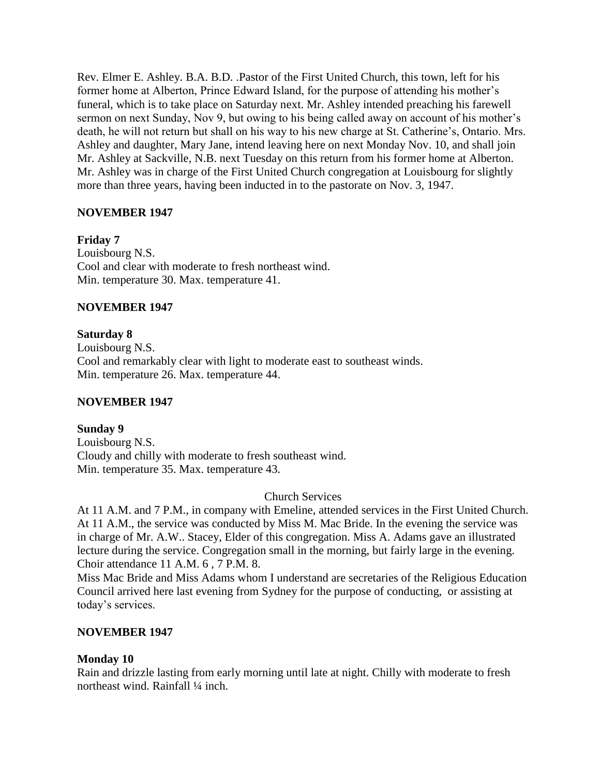Rev. Elmer E. Ashley. B.A. B.D. .Pastor of the First United Church, this town, left for his former home at Alberton, Prince Edward Island, for the purpose of attending his mother's funeral, which is to take place on Saturday next. Mr. Ashley intended preaching his farewell sermon on next Sunday, Nov 9, but owing to his being called away on account of his mother's death, he will not return but shall on his way to his new charge at St. Catherine's, Ontario. Mrs. Ashley and daughter, Mary Jane, intend leaving here on next Monday Nov. 10, and shall join Mr. Ashley at Sackville, N.B. next Tuesday on this return from his former home at Alberton. Mr. Ashley was in charge of the First United Church congregation at Louisbourg for slightly more than three years, having been inducted in to the pastorate on Nov. 3, 1947.

# **NOVEMBER 1947**

**Friday 7**

Louisbourg N.S. Cool and clear with moderate to fresh northeast wind. Min. temperature 30. Max. temperature 41.

## **NOVEMBER 1947**

**Saturday 8**

Louisbourg N.S. Cool and remarkably clear with light to moderate east to southeast winds. Min. temperature 26. Max. temperature 44.

## **NOVEMBER 1947**

**Sunday 9** Louisbourg N.S. Cloudy and chilly with moderate to fresh southeast wind. Min. temperature 35. Max. temperature 43.

## Church Services

At 11 A.M. and 7 P.M., in company with Emeline, attended services in the First United Church. At 11 A.M., the service was conducted by Miss M. Mac Bride. In the evening the service was in charge of Mr. A.W.. Stacey, Elder of this congregation. Miss A. Adams gave an illustrated lecture during the service. Congregation small in the morning, but fairly large in the evening. Choir attendance 11 A.M. 6 , 7 P.M. 8.

Miss Mac Bride and Miss Adams whom I understand are secretaries of the Religious Education Council arrived here last evening from Sydney for the purpose of conducting, or assisting at today's services.

# **NOVEMBER 1947**

# **Monday 10**

Rain and drizzle lasting from early morning until late at night. Chilly with moderate to fresh northeast wind. Rainfall ¼ inch.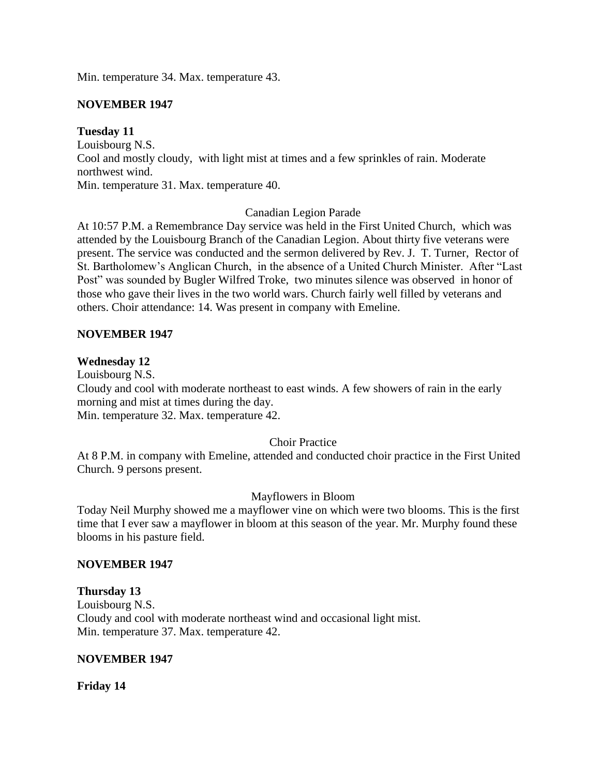Min. temperature 34. Max. temperature 43.

## **NOVEMBER 1947**

## **Tuesday 11**

Louisbourg N.S. Cool and mostly cloudy, with light mist at times and a few sprinkles of rain. Moderate northwest wind. Min. temperature 31. Max. temperature 40.

## Canadian Legion Parade

At 10:57 P.M. a Remembrance Day service was held in the First United Church, which was attended by the Louisbourg Branch of the Canadian Legion. About thirty five veterans were present. The service was conducted and the sermon delivered by Rev. J. T. Turner, Rector of St. Bartholomew's Anglican Church, in the absence of a United Church Minister. After "Last Post" was sounded by Bugler Wilfred Troke, two minutes silence was observed in honor of those who gave their lives in the two world wars. Church fairly well filled by veterans and others. Choir attendance: 14. Was present in company with Emeline.

## **NOVEMBER 1947**

#### **Wednesday 12**

Louisbourg N.S. Cloudy and cool with moderate northeast to east winds. A few showers of rain in the early morning and mist at times during the day. Min. temperature 32. Max. temperature 42.

## Choir Practice

At 8 P.M. in company with Emeline, attended and conducted choir practice in the First United Church. 9 persons present.

## Mayflowers in Bloom

Today Neil Murphy showed me a mayflower vine on which were two blooms. This is the first time that I ever saw a mayflower in bloom at this season of the year. Mr. Murphy found these blooms in his pasture field.

## **NOVEMBER 1947**

## **Thursday 13**

Louisbourg N.S. Cloudy and cool with moderate northeast wind and occasional light mist. Min. temperature 37. Max. temperature 42.

## **NOVEMBER 1947**

**Friday 14**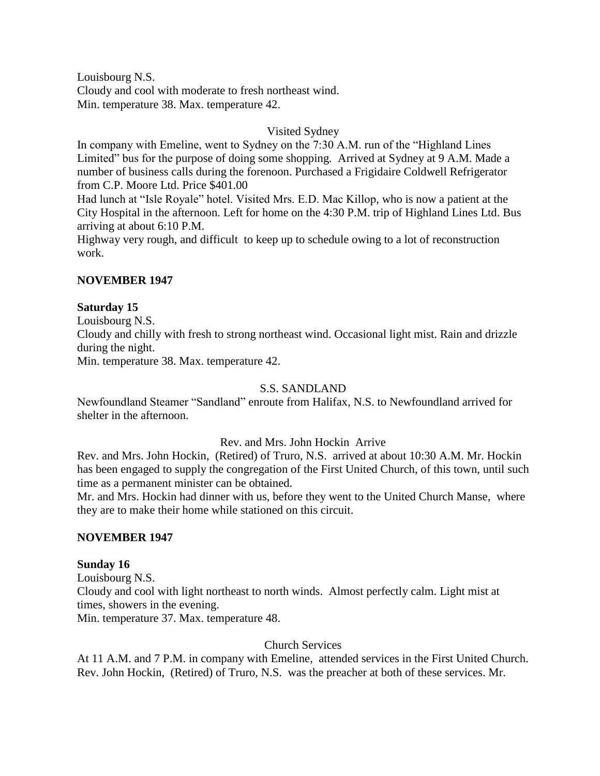Louisbourg N.S. Cloudy and cool with moderate to fresh northeast wind. Min. temperature 38. Max. temperature 42.

## Visited Sydney

In company with Emeline, went to Sydney on the 7:30 A.M. run of the "Highland Lines Limited" bus for the purpose of doing some shopping. Arrived at Sydney at 9 A.M. Made a number of business calls during the forenoon. Purchased a Frigidaire Coldwell Refrigerator from C.P. Moore Ltd. Price \$401.00

Had lunch at "Isle Royale" hotel. Visited Mrs. E.D. Mac Killop, who is now a patient at the City Hospital in the afternoon. Left for home on the 4:30 P.M. trip of Highland Lines Ltd. Bus arriving at about 6:10 P.M.

Highway very rough, and difficult to keep up to schedule owing to a lot of reconstruction work.

## **NOVEMBER 1947**

## **Saturday 15**

Louisbourg N.S.

Cloudy and chilly with fresh to strong northeast wind. Occasional light mist. Rain and drizzle during the night.

Min. temperature 38. Max. temperature 42.

## S.S. SANDLAND

Newfoundland Steamer "Sandland" enroute from Halifax, N.S. to Newfoundland arrived for shelter in the afternoon.

## Rev. and Mrs. John Hockin Arrive

Rev. and Mrs. John Hockin, (Retired) of Truro, N.S. arrived at about 10:30 A.M. Mr. Hockin has been engaged to supply the congregation of the First United Church, of this town, until such time as a permanent minister can be obtained.

Mr. and Mrs. Hockin had dinner with us, before they went to the United Church Manse, where they are to make their home while stationed on this circuit.

## **NOVEMBER 1947**

## **Sunday 16**

Louisbourg N.S. Cloudy and cool with light northeast to north winds. Almost perfectly calm. Light mist at times, showers in the evening.

Min. temperature 37. Max. temperature 48.

## Church Services

At 11 A.M. and 7 P.M. in company with Emeline, attended services in the First United Church. Rev. John Hockin, (Retired) of Truro, N.S. was the preacher at both of these services. Mr.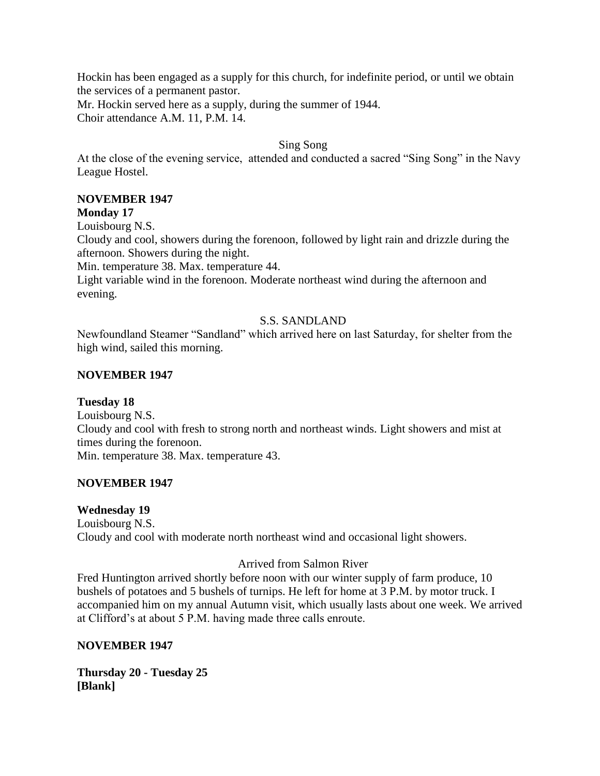Hockin has been engaged as a supply for this church, for indefinite period, or until we obtain the services of a permanent pastor.

Mr. Hockin served here as a supply, during the summer of 1944. Choir attendance A.M. 11, P.M. 14.

## Sing Song

At the close of the evening service, attended and conducted a sacred "Sing Song" in the Navy League Hostel.

## **NOVEMBER 1947**

## **Monday 17**

Louisbourg N.S.

Cloudy and cool, showers during the forenoon, followed by light rain and drizzle during the afternoon. Showers during the night.

Min. temperature 38. Max. temperature 44.

Light variable wind in the forenoon. Moderate northeast wind during the afternoon and evening.

## S.S. SANDLAND

Newfoundland Steamer "Sandland" which arrived here on last Saturday, for shelter from the high wind, sailed this morning.

## **NOVEMBER 1947**

## **Tuesday 18**

Louisbourg N.S. Cloudy and cool with fresh to strong north and northeast winds. Light showers and mist at times during the forenoon. Min. temperature 38. Max. temperature 43.

## **NOVEMBER 1947**

## **Wednesday 19**

Louisbourg N.S. Cloudy and cool with moderate north northeast wind and occasional light showers.

## Arrived from Salmon River

Fred Huntington arrived shortly before noon with our winter supply of farm produce, 10 bushels of potatoes and 5 bushels of turnips. He left for home at 3 P.M. by motor truck. I accompanied him on my annual Autumn visit, which usually lasts about one week. We arrived at Clifford's at about 5 P.M. having made three calls enroute.

## **NOVEMBER 1947**

**Thursday 20 - Tuesday 25 [Blank]**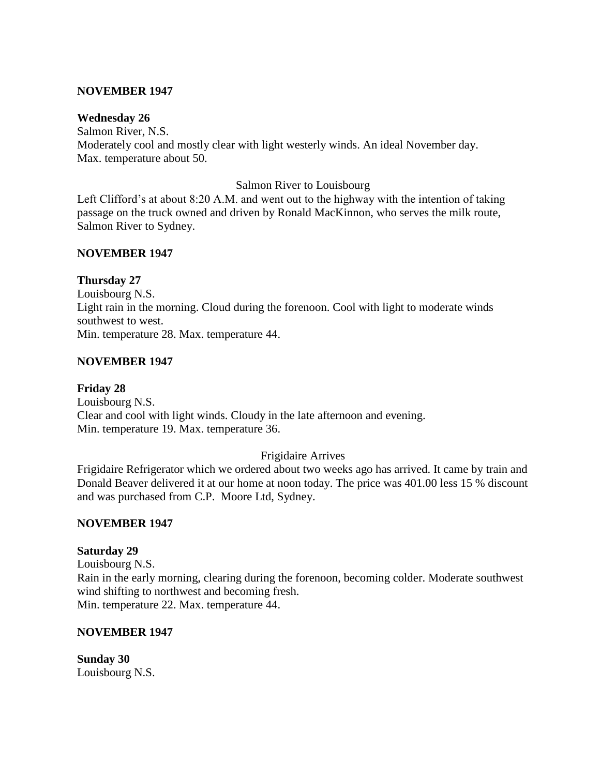## **NOVEMBER 1947**

#### **Wednesday 26**

Salmon River, N.S. Moderately cool and mostly clear with light westerly winds. An ideal November day. Max. temperature about 50.

#### Salmon River to Louisbourg

Left Clifford's at about 8:20 A.M. and went out to the highway with the intention of taking passage on the truck owned and driven by Ronald MacKinnon, who serves the milk route, Salmon River to Sydney.

#### **NOVEMBER 1947**

#### **Thursday 27**

Louisbourg N.S. Light rain in the morning. Cloud during the forenoon. Cool with light to moderate winds southwest to west. Min. temperature 28. Max. temperature 44.

#### **NOVEMBER 1947**

**Friday 28** Louisbourg N.S. Clear and cool with light winds. Cloudy in the late afternoon and evening. Min. temperature 19. Max. temperature 36.

## Frigidaire Arrives

Frigidaire Refrigerator which we ordered about two weeks ago has arrived. It came by train and Donald Beaver delivered it at our home at noon today. The price was 401.00 less 15 % discount and was purchased from C.P. Moore Ltd, Sydney.

## **NOVEMBER 1947**

#### **Saturday 29**

Louisbourg N.S. Rain in the early morning, clearing during the forenoon, becoming colder. Moderate southwest wind shifting to northwest and becoming fresh. Min. temperature 22. Max. temperature 44.

## **NOVEMBER 1947**

**Sunday 30** Louisbourg N.S.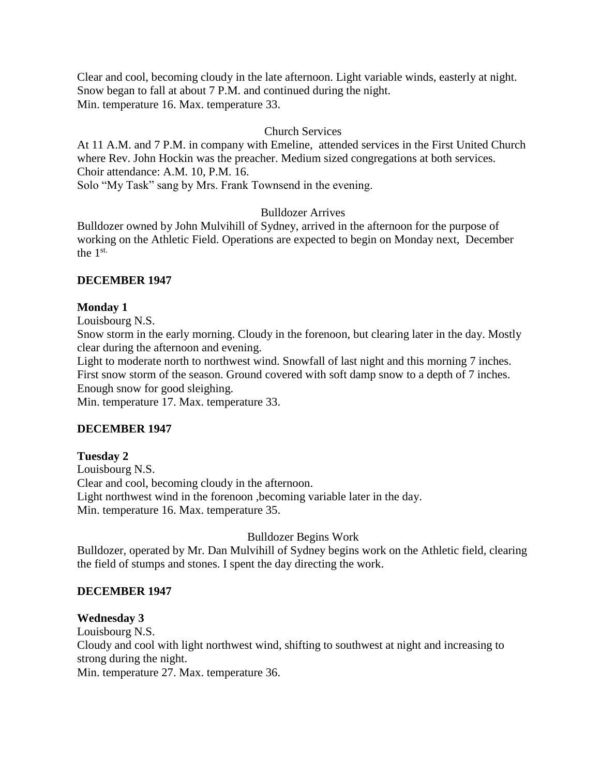Clear and cool, becoming cloudy in the late afternoon. Light variable winds, easterly at night. Snow began to fall at about 7 P.M. and continued during the night. Min. temperature 16. Max. temperature 33.

## Church Services

At 11 A.M. and 7 P.M. in company with Emeline, attended services in the First United Church where Rev. John Hockin was the preacher. Medium sized congregations at both services. Choir attendance: A.M. 10, P.M. 16.

Solo "My Task" sang by Mrs. Frank Townsend in the evening.

## Bulldozer Arrives

Bulldozer owned by John Mulvihill of Sydney, arrived in the afternoon for the purpose of working on the Athletic Field. Operations are expected to begin on Monday next, December the 1st.

## **DECEMBER 1947**

## **Monday 1**

Louisbourg N.S.

Snow storm in the early morning. Cloudy in the forenoon, but clearing later in the day. Mostly clear during the afternoon and evening.

Light to moderate north to northwest wind. Snowfall of last night and this morning 7 inches. First snow storm of the season. Ground covered with soft damp snow to a depth of 7 inches. Enough snow for good sleighing.

Min. temperature 17. Max. temperature 33.

## **DECEMBER 1947**

## **Tuesday 2**

Louisbourg N.S. Clear and cool, becoming cloudy in the afternoon. Light northwest wind in the forenoon ,becoming variable later in the day. Min. temperature 16. Max. temperature 35.

# Bulldozer Begins Work

Bulldozer, operated by Mr. Dan Mulvihill of Sydney begins work on the Athletic field, clearing the field of stumps and stones. I spent the day directing the work.

## **DECEMBER 1947**

## **Wednesday 3**

Louisbourg N.S. Cloudy and cool with light northwest wind, shifting to southwest at night and increasing to strong during the night. Min. temperature 27. Max. temperature 36.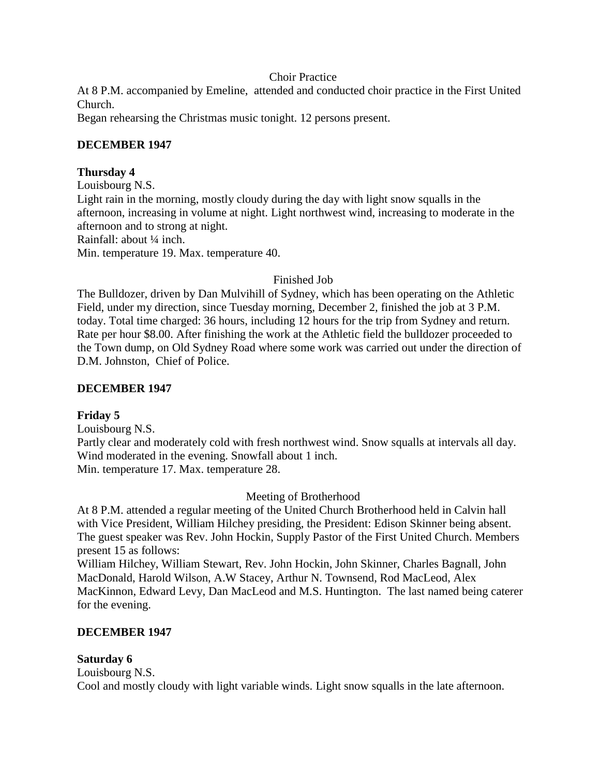## Choir Practice

At 8 P.M. accompanied by Emeline, attended and conducted choir practice in the First United Church.

Began rehearsing the Christmas music tonight. 12 persons present.

## **DECEMBER 1947**

## **Thursday 4**

Louisbourg N.S. Light rain in the morning, mostly cloudy during the day with light snow squalls in the afternoon, increasing in volume at night. Light northwest wind, increasing to moderate in the afternoon and to strong at night. Rainfall: about ¼ inch. Min. temperature 19. Max. temperature 40.

Finished Job

The Bulldozer, driven by Dan Mulvihill of Sydney, which has been operating on the Athletic Field, under my direction, since Tuesday morning, December 2, finished the job at 3 P.M. today. Total time charged: 36 hours, including 12 hours for the trip from Sydney and return. Rate per hour \$8.00. After finishing the work at the Athletic field the bulldozer proceeded to the Town dump, on Old Sydney Road where some work was carried out under the direction of D.M. Johnston, Chief of Police.

## **DECEMBER 1947**

# **Friday 5**

Louisbourg N.S.

Partly clear and moderately cold with fresh northwest wind. Snow squalls at intervals all day. Wind moderated in the evening. Snowfall about 1 inch. Min. temperature 17. Max. temperature 28.

## Meeting of Brotherhood

At 8 P.M. attended a regular meeting of the United Church Brotherhood held in Calvin hall with Vice President, William Hilchey presiding, the President: Edison Skinner being absent. The guest speaker was Rev. John Hockin, Supply Pastor of the First United Church. Members present 15 as follows:

William Hilchey, William Stewart, Rev. John Hockin, John Skinner, Charles Bagnall, John MacDonald, Harold Wilson, A.W Stacey, Arthur N. Townsend, Rod MacLeod, Alex MacKinnon, Edward Levy, Dan MacLeod and M.S. Huntington. The last named being caterer for the evening.

## **DECEMBER 1947**

## **Saturday 6**

Louisbourg N.S.

Cool and mostly cloudy with light variable winds. Light snow squalls in the late afternoon.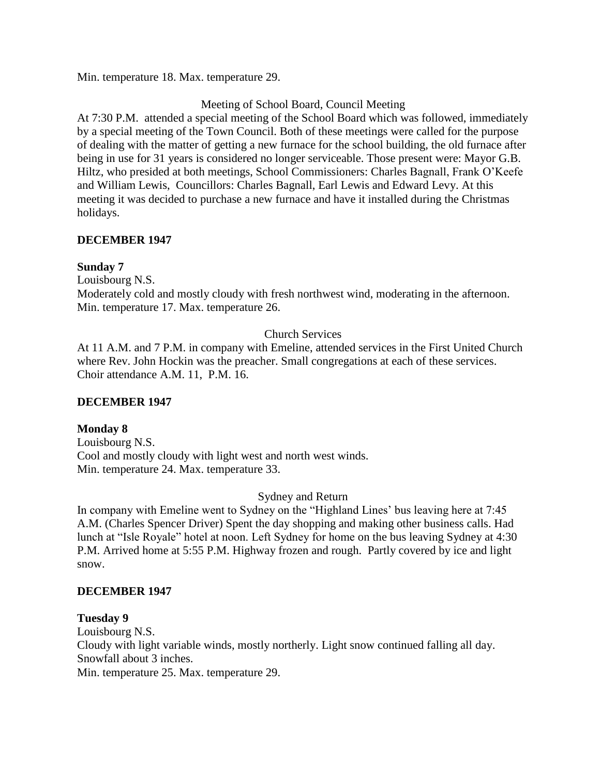Min. temperature 18. Max. temperature 29.

## Meeting of School Board, Council Meeting

At 7:30 P.M. attended a special meeting of the School Board which was followed, immediately by a special meeting of the Town Council. Both of these meetings were called for the purpose of dealing with the matter of getting a new furnace for the school building, the old furnace after being in use for 31 years is considered no longer serviceable. Those present were: Mayor G.B. Hiltz, who presided at both meetings, School Commissioners: Charles Bagnall, Frank O'Keefe and William Lewis, Councillors: Charles Bagnall, Earl Lewis and Edward Levy. At this meeting it was decided to purchase a new furnace and have it installed during the Christmas holidays.

## **DECEMBER 1947**

## **Sunday 7**

Louisbourg N.S.

Moderately cold and mostly cloudy with fresh northwest wind, moderating in the afternoon. Min. temperature 17. Max. temperature 26.

# Church Services

At 11 A.M. and 7 P.M. in company with Emeline, attended services in the First United Church where Rev. John Hockin was the preacher. Small congregations at each of these services. Choir attendance A.M. 11, P.M. 16.

## **DECEMBER 1947**

## **Monday 8**

Louisbourg N.S. Cool and mostly cloudy with light west and north west winds. Min. temperature 24. Max. temperature 33.

## Sydney and Return

In company with Emeline went to Sydney on the "Highland Lines' bus leaving here at 7:45 A.M. (Charles Spencer Driver) Spent the day shopping and making other business calls. Had lunch at "Isle Royale" hotel at noon. Left Sydney for home on the bus leaving Sydney at 4:30 P.M. Arrived home at 5:55 P.M. Highway frozen and rough. Partly covered by ice and light snow.

## **DECEMBER 1947**

**Tuesday 9** Louisbourg N.S. Cloudy with light variable winds, mostly northerly. Light snow continued falling all day. Snowfall about 3 inches. Min. temperature 25. Max. temperature 29.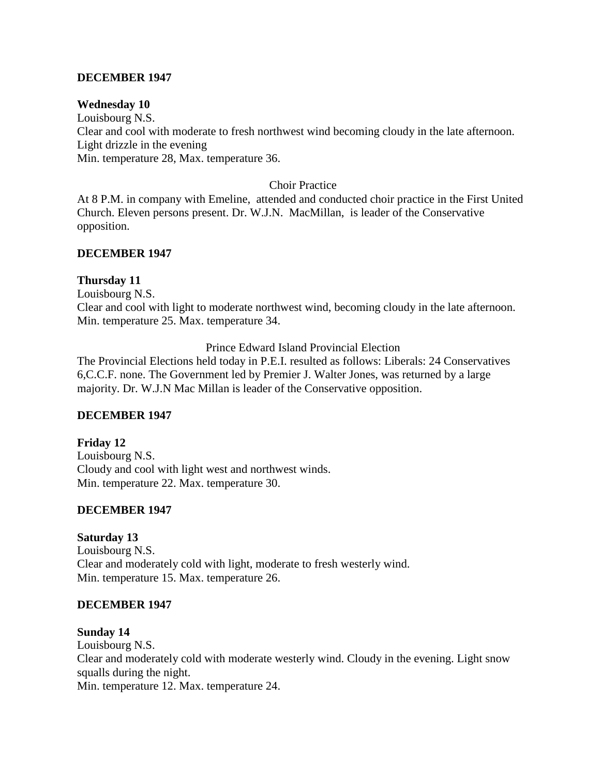## **DECEMBER 1947**

#### **Wednesday 10**

Louisbourg N.S. Clear and cool with moderate to fresh northwest wind becoming cloudy in the late afternoon. Light drizzle in the evening Min. temperature 28, Max. temperature 36.

#### Choir Practice

At 8 P.M. in company with Emeline, attended and conducted choir practice in the First United Church. Eleven persons present. Dr. W.J.N. MacMillan, is leader of the Conservative opposition.

## **DECEMBER 1947**

#### **Thursday 11**

Louisbourg N.S.

Clear and cool with light to moderate northwest wind, becoming cloudy in the late afternoon. Min. temperature 25. Max. temperature 34.

Prince Edward Island Provincial Election

The Provincial Elections held today in P.E.I. resulted as follows: Liberals: 24 Conservatives 6,C.C.F. none. The Government led by Premier J. Walter Jones, was returned by a large majority. Dr. W.J.N Mac Millan is leader of the Conservative opposition.

## **DECEMBER 1947**

**Friday 12** Louisbourg N.S. Cloudy and cool with light west and northwest winds. Min. temperature 22. Max. temperature 30.

## **DECEMBER 1947**

## **Saturday 13**

Louisbourg N.S. Clear and moderately cold with light, moderate to fresh westerly wind. Min. temperature 15. Max. temperature 26.

#### **DECEMBER 1947**

#### **Sunday 14**

Louisbourg N.S. Clear and moderately cold with moderate westerly wind. Cloudy in the evening. Light snow squalls during the night. Min. temperature 12. Max. temperature 24.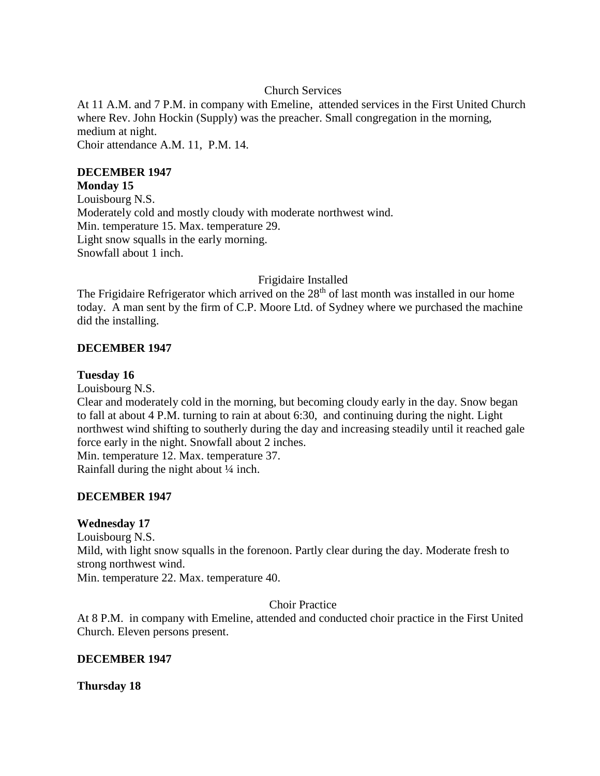## Church Services

At 11 A.M. and 7 P.M. in company with Emeline, attended services in the First United Church where Rev. John Hockin (Supply) was the preacher. Small congregation in the morning, medium at night. Choir attendance A.M. 11, P.M. 14.

## **DECEMBER 1947**

#### **Monday 15**

Louisbourg N.S. Moderately cold and mostly cloudy with moderate northwest wind. Min. temperature 15. Max. temperature 29. Light snow squalls in the early morning. Snowfall about 1 inch.

## Frigidaire Installed

The Frigidaire Refrigerator which arrived on the  $28<sup>th</sup>$  of last month was installed in our home today. A man sent by the firm of C.P. Moore Ltd. of Sydney where we purchased the machine did the installing.

## **DECEMBER 1947**

## **Tuesday 16**

Louisbourg N.S.

Clear and moderately cold in the morning, but becoming cloudy early in the day. Snow began to fall at about 4 P.M. turning to rain at about 6:30, and continuing during the night. Light northwest wind shifting to southerly during the day and increasing steadily until it reached gale force early in the night. Snowfall about 2 inches.

Min. temperature 12. Max. temperature 37.

Rainfall during the night about ¼ inch.

## **DECEMBER 1947**

## **Wednesday 17**

Louisbourg N.S. Mild, with light snow squalls in the forenoon. Partly clear during the day. Moderate fresh to strong northwest wind. Min. temperature 22. Max. temperature 40.

## Choir Practice

At 8 P.M. in company with Emeline, attended and conducted choir practice in the First United Church. Eleven persons present.

## **DECEMBER 1947**

**Thursday 18**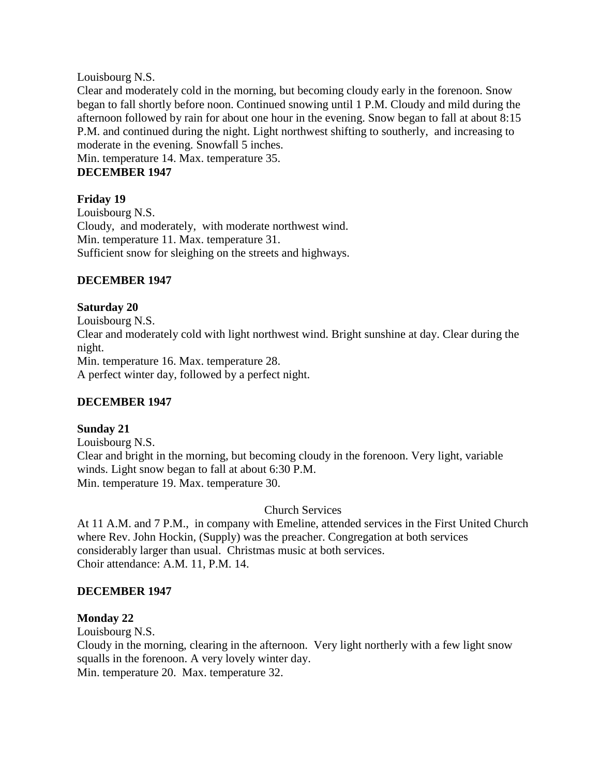Louisbourg N.S.

Clear and moderately cold in the morning, but becoming cloudy early in the forenoon. Snow began to fall shortly before noon. Continued snowing until 1 P.M. Cloudy and mild during the afternoon followed by rain for about one hour in the evening. Snow began to fall at about 8:15 P.M. and continued during the night. Light northwest shifting to southerly, and increasing to moderate in the evening. Snowfall 5 inches.

Min. temperature 14. Max. temperature 35.

# **DECEMBER 1947**

## **Friday 19**

Louisbourg N.S. Cloudy, and moderately, with moderate northwest wind. Min. temperature 11. Max. temperature 31. Sufficient snow for sleighing on the streets and highways.

## **DECEMBER 1947**

## **Saturday 20**

Louisbourg N.S. Clear and moderately cold with light northwest wind. Bright sunshine at day. Clear during the night. Min. temperature 16. Max. temperature 28. A perfect winter day, followed by a perfect night.

## **DECEMBER 1947**

## **Sunday 21**

Louisbourg N.S. Clear and bright in the morning, but becoming cloudy in the forenoon. Very light, variable winds. Light snow began to fall at about 6:30 P.M. Min. temperature 19. Max. temperature 30.

Church Services

At 11 A.M. and 7 P.M., in company with Emeline, attended services in the First United Church where Rev. John Hockin, (Supply) was the preacher. Congregation at both services considerably larger than usual. Christmas music at both services. Choir attendance: A.M. 11, P.M. 14.

## **DECEMBER 1947**

## **Monday 22**

Louisbourg N.S.

Cloudy in the morning, clearing in the afternoon. Very light northerly with a few light snow squalls in the forenoon. A very lovely winter day. Min. temperature 20. Max. temperature 32.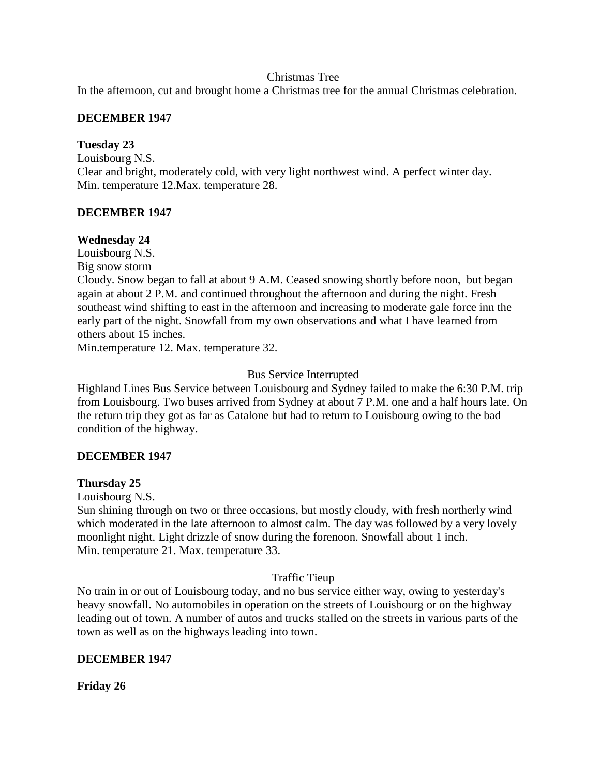## Christmas Tree

In the afternoon, cut and brought home a Christmas tree for the annual Christmas celebration.

## **DECEMBER 1947**

## **Tuesday 23**

Louisbourg N.S. Clear and bright, moderately cold, with very light northwest wind. A perfect winter day. Min. temperature 12.Max. temperature 28.

## **DECEMBER 1947**

## **Wednesday 24**

Louisbourg N.S. Big snow storm

Cloudy. Snow began to fall at about 9 A.M. Ceased snowing shortly before noon, but began again at about 2 P.M. and continued throughout the afternoon and during the night. Fresh southeast wind shifting to east in the afternoon and increasing to moderate gale force inn the early part of the night. Snowfall from my own observations and what I have learned from others about 15 inches.

Min.temperature 12. Max. temperature 32.

# Bus Service Interrupted

Highland Lines Bus Service between Louisbourg and Sydney failed to make the 6:30 P.M. trip from Louisbourg. Two buses arrived from Sydney at about 7 P.M. one and a half hours late. On the return trip they got as far as Catalone but had to return to Louisbourg owing to the bad condition of the highway.

# **DECEMBER 1947**

## **Thursday 25**

Louisbourg N.S.

Sun shining through on two or three occasions, but mostly cloudy, with fresh northerly wind which moderated in the late afternoon to almost calm. The day was followed by a very lovely moonlight night. Light drizzle of snow during the forenoon. Snowfall about 1 inch. Min. temperature 21. Max. temperature 33.

## Traffic Tieup

No train in or out of Louisbourg today, and no bus service either way, owing to yesterday's heavy snowfall. No automobiles in operation on the streets of Louisbourg or on the highway leading out of town. A number of autos and trucks stalled on the streets in various parts of the town as well as on the highways leading into town.

## **DECEMBER 1947**

**Friday 26**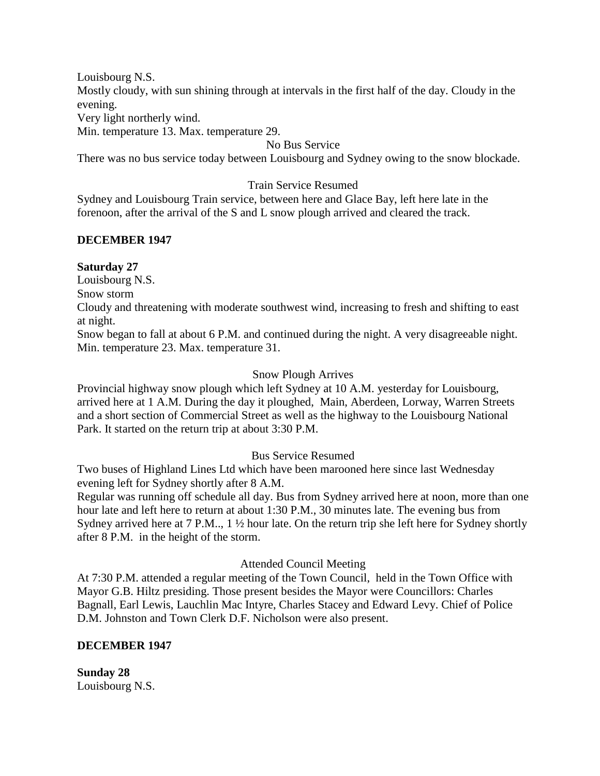Louisbourg N.S. Mostly cloudy, with sun shining through at intervals in the first half of the day. Cloudy in the evening. Very light northerly wind.

Min. temperature 13. Max. temperature 29.

## No Bus Service

There was no bus service today between Louisbourg and Sydney owing to the snow blockade.

## Train Service Resumed

Sydney and Louisbourg Train service, between here and Glace Bay, left here late in the forenoon, after the arrival of the S and L snow plough arrived and cleared the track.

## **DECEMBER 1947**

#### **Saturday 27**

Louisbourg N.S.

Snow storm

Cloudy and threatening with moderate southwest wind, increasing to fresh and shifting to east at night.

Snow began to fall at about 6 P.M. and continued during the night. A very disagreeable night. Min. temperature 23. Max. temperature 31.

## Snow Plough Arrives

Provincial highway snow plough which left Sydney at 10 A.M. yesterday for Louisbourg, arrived here at 1 A.M. During the day it ploughed, Main, Aberdeen, Lorway, Warren Streets and a short section of Commercial Street as well as the highway to the Louisbourg National Park. It started on the return trip at about 3:30 P.M.

## Bus Service Resumed

Two buses of Highland Lines Ltd which have been marooned here since last Wednesday evening left for Sydney shortly after 8 A.M.

Regular was running off schedule all day. Bus from Sydney arrived here at noon, more than one hour late and left here to return at about 1:30 P.M., 30 minutes late. The evening bus from Sydney arrived here at 7 P.M.., 1 ½ hour late. On the return trip she left here for Sydney shortly after 8 P.M. in the height of the storm.

## Attended Council Meeting

At 7:30 P.M. attended a regular meeting of the Town Council, held in the Town Office with Mayor G.B. Hiltz presiding. Those present besides the Mayor were Councillors: Charles Bagnall, Earl Lewis, Lauchlin Mac Intyre, Charles Stacey and Edward Levy. Chief of Police D.M. Johnston and Town Clerk D.F. Nicholson were also present.

## **DECEMBER 1947**

**Sunday 28** Louisbourg N.S.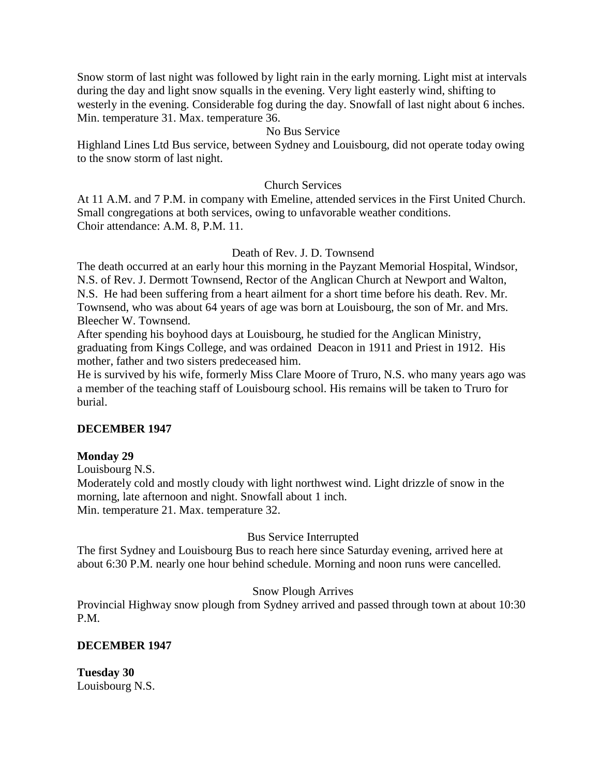Snow storm of last night was followed by light rain in the early morning. Light mist at intervals during the day and light snow squalls in the evening. Very light easterly wind, shifting to westerly in the evening. Considerable fog during the day. Snowfall of last night about 6 inches. Min. temperature 31. Max. temperature 36.

## No Bus Service

Highland Lines Ltd Bus service, between Sydney and Louisbourg, did not operate today owing to the snow storm of last night.

## Church Services

At 11 A.M. and 7 P.M. in company with Emeline, attended services in the First United Church. Small congregations at both services, owing to unfavorable weather conditions. Choir attendance: A.M. 8, P.M. 11.

## Death of Rev. J. D. Townsend

The death occurred at an early hour this morning in the Payzant Memorial Hospital, Windsor, N.S. of Rev. J. Dermott Townsend, Rector of the Anglican Church at Newport and Walton, N.S. He had been suffering from a heart ailment for a short time before his death. Rev. Mr. Townsend, who was about 64 years of age was born at Louisbourg, the son of Mr. and Mrs. Bleecher W. Townsend.

After spending his boyhood days at Louisbourg, he studied for the Anglican Ministry, graduating from Kings College, and was ordained Deacon in 1911 and Priest in 1912. His mother, father and two sisters predeceased him.

He is survived by his wife, formerly Miss Clare Moore of Truro, N.S. who many years ago was a member of the teaching staff of Louisbourg school. His remains will be taken to Truro for burial.

## **DECEMBER 1947**

## **Monday 29**

Louisbourg N.S.

Moderately cold and mostly cloudy with light northwest wind. Light drizzle of snow in the morning, late afternoon and night. Snowfall about 1 inch. Min. temperature 21. Max. temperature 32.

# Bus Service Interrupted

The first Sydney and Louisbourg Bus to reach here since Saturday evening, arrived here at about 6:30 P.M. nearly one hour behind schedule. Morning and noon runs were cancelled.

## Snow Plough Arrives

Provincial Highway snow plough from Sydney arrived and passed through town at about 10:30 P.M.

## **DECEMBER 1947**

**Tuesday 30** Louisbourg N.S.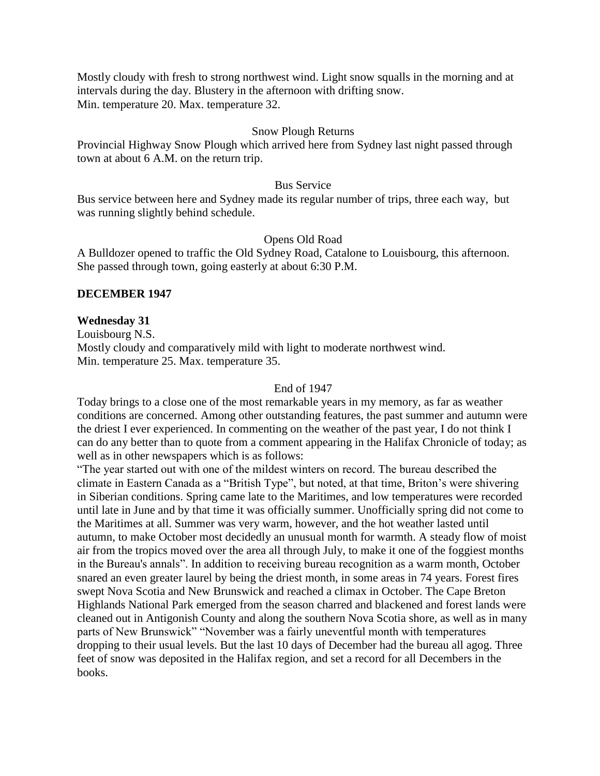Mostly cloudy with fresh to strong northwest wind. Light snow squalls in the morning and at intervals during the day. Blustery in the afternoon with drifting snow. Min. temperature 20. Max. temperature 32.

#### Snow Plough Returns

Provincial Highway Snow Plough which arrived here from Sydney last night passed through town at about 6 A.M. on the return trip.

#### Bus Service

Bus service between here and Sydney made its regular number of trips, three each way, but was running slightly behind schedule.

#### Opens Old Road

A Bulldozer opened to traffic the Old Sydney Road, Catalone to Louisbourg, this afternoon. She passed through town, going easterly at about 6:30 P.M.

#### **DECEMBER 1947**

#### **Wednesday 31**

Louisbourg N.S. Mostly cloudy and comparatively mild with light to moderate northwest wind. Min. temperature 25. Max. temperature 35.

#### End of 1947

Today brings to a close one of the most remarkable years in my memory, as far as weather conditions are concerned. Among other outstanding features, the past summer and autumn were the driest I ever experienced. In commenting on the weather of the past year, I do not think I can do any better than to quote from a comment appearing in the Halifax Chronicle of today; as well as in other newspapers which is as follows:

"The year started out with one of the mildest winters on record. The bureau described the climate in Eastern Canada as a "British Type", but noted, at that time, Briton's were shivering in Siberian conditions. Spring came late to the Maritimes, and low temperatures were recorded until late in June and by that time it was officially summer. Unofficially spring did not come to the Maritimes at all. Summer was very warm, however, and the hot weather lasted until autumn, to make October most decidedly an unusual month for warmth. A steady flow of moist air from the tropics moved over the area all through July, to make it one of the foggiest months in the Bureau's annals". In addition to receiving bureau recognition as a warm month, October snared an even greater laurel by being the driest month, in some areas in 74 years. Forest fires swept Nova Scotia and New Brunswick and reached a climax in October. The Cape Breton Highlands National Park emerged from the season charred and blackened and forest lands were cleaned out in Antigonish County and along the southern Nova Scotia shore, as well as in many parts of New Brunswick" "November was a fairly uneventful month with temperatures dropping to their usual levels. But the last 10 days of December had the bureau all agog. Three feet of snow was deposited in the Halifax region, and set a record for all Decembers in the books.